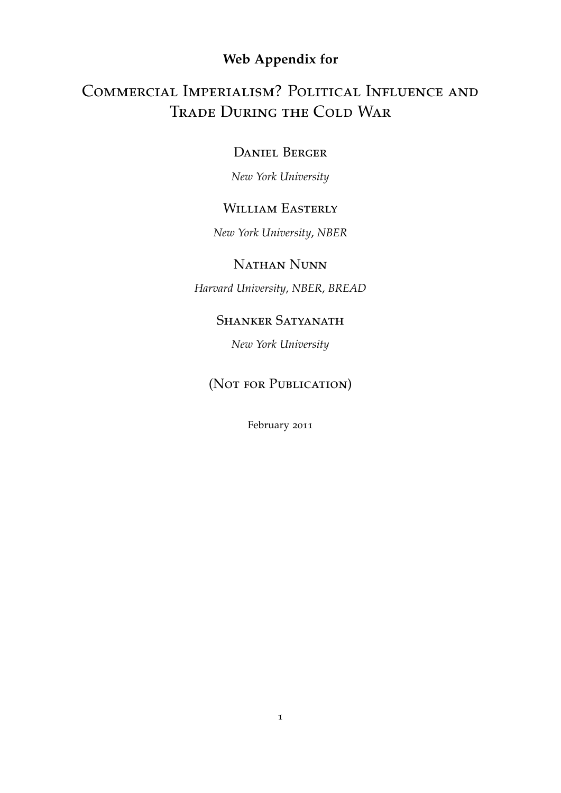## **Web Appendix for**

# Commercial Imperialism? Political Influence and Trade During the Cold War

### Daniel Berger

*New York University*

## WILLIAM EASTERLY

*New York University*, *NBER*

### Nathan Nunn

*Harvard University*, *NBER*, *BREAD*

### SHANKER SATYANATH

*New York University*

## (NOT FOR PUBLICATION)

February 2011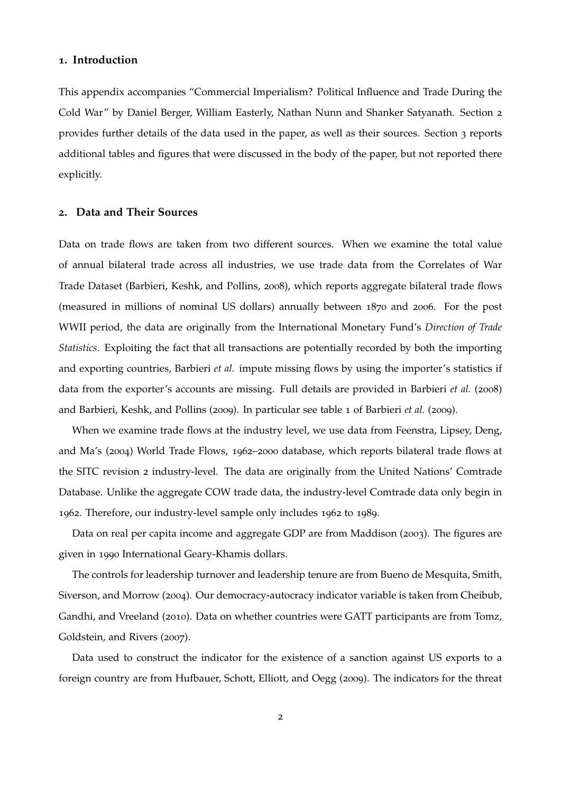#### **1. Introduction**

This appendix accompanies "Commercial Imperialism? Political Influence and Trade During the Cold War" by Daniel Berger, William Easterly, Nathan Nunn and Shanker Satyanath. Section [2](#page-1-0) provides further details of the data used in the paper, as well as their sources. Section [3](#page-4-0) reports additional tables and figures that were discussed in the body of the paper, but not reported there explicitly.

#### <span id="page-1-0"></span>**2. Data and Their Sources**

Data on trade flows are taken from two different sources. When we examine the total value of annual bilateral trade across all industries, we use trade data from the Correlates of War Trade Dataset [\(Barbieri, Keshk, and Pollins,](#page-37-0) [2008](#page-37-0)), which reports aggregate bilateral trade flows (measured in millions of nominal US dollars) annually between 1870 and 2006. For the post WWII period, the data are originally from the International Monetary Fund's *Direction of Trade Statistics*. Exploiting the fact that all transactions are potentially recorded by both the importing and exporting countries, [Barbieri](#page-37-0) *et al.* impute missing flows by using the importer's statistics if data from the exporter's accounts are missing. Full details are provided in [Barbieri](#page-37-0) *et al.* ([2008](#page-37-0)) and [Barbieri, Keshk, and Pollins](#page-37-1) ([2009](#page-37-1)). In particular see table 1 of [Barbieri](#page-37-1) *et al.* ([2009](#page-37-1)).

When we examine trade flows at the industry level, we use data from [Feenstra, Lipsey, Deng,](#page-37-2) [and Ma'](#page-37-2)s ([2004](#page-37-2)) World Trade Flows, 1962–2000 database, which reports bilateral trade flows at the SITC revision 2 industry-level. The data are originally from the United Nations' Comtrade Database. Unlike the aggregate COW trade data, the industry-level Comtrade data only begin in 1962. Therefore, our industry-level sample only includes 1962 to 1989.

Data on real per capita income and aggregate GDP are from [Maddison](#page-37-3) ([2003](#page-37-3)). The figures are given in 1990 International Geary-Khamis dollars.

The controls for leadership turnover and leadership tenure are from [Bueno de Mesquita, Smith,](#page-37-4) [Siverson, and Morrow](#page-37-4) ([2004](#page-37-4)). Our democracy-autocracy indicator variable is taken from [Cheibub,](#page-37-5) [Gandhi, and Vreeland](#page-37-5) ([2010](#page-37-5)). Data on whether countries were GATT participants are from [Tomz,](#page-37-6) [Goldstein, and Rivers](#page-37-6) ([2007](#page-37-6)).

Data used to construct the indicator for the existence of a sanction against US exports to a foreign country are from [Hufbauer, Schott, Elliott, and Oegg](#page-37-7) ([2009](#page-37-7)). The indicators for the threat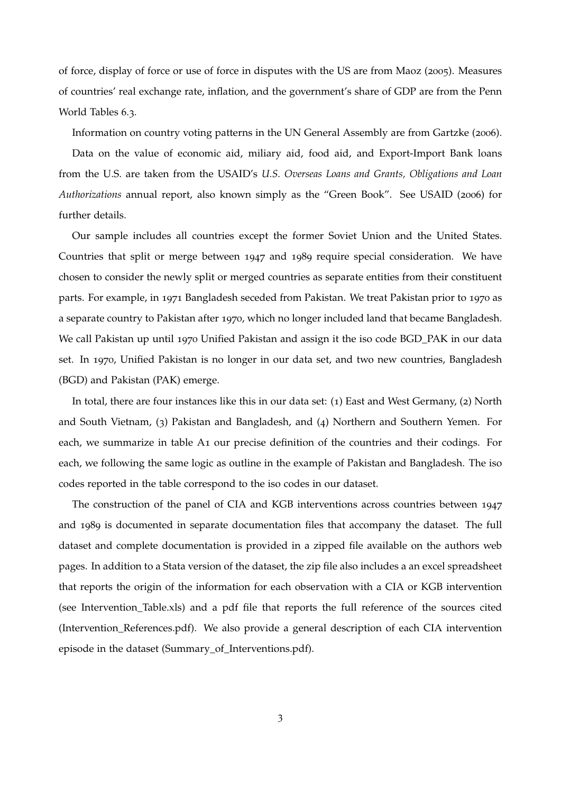of force, display of force or use of force in disputes with the US are from [Maoz](#page-37-8) ([2005](#page-37-8)). Measures of countries' real exchange rate, inflation, and the government's share of GDP are from the Penn World Tables 6.3.

Information on country voting patterns in the UN General Assembly are from [Gartzke](#page-37-9) ([2006](#page-37-9)).

Data on the value of economic aid, miliary aid, food aid, and Export-Import Bank loans from the U.S. are taken from the USAID's *U.S. Overseas Loans and Grants, Obligations and Loan Authorizations* annual report, also known simply as the "Green Book". See [USAID](#page-37-10) ([2006](#page-37-10)) for further details.

Our sample includes all countries except the former Soviet Union and the United States. Countries that split or merge between 1947 and 1989 require special consideration. We have chosen to consider the newly split or merged countries as separate entities from their constituent parts. For example, in 1971 Bangladesh seceded from Pakistan. We treat Pakistan prior to 1970 as a separate country to Pakistan after 1970, which no longer included land that became Bangladesh. We call Pakistan up until 1970 Unified Pakistan and assign it the iso code BGD\_PAK in our data set. In 1970, Unified Pakistan is no longer in our data set, and two new countries, Bangladesh (BGD) and Pakistan (PAK) emerge.

In total, there are four instances like this in our data set: (1) East and West Germany, (2) North and South Vietnam, (3) Pakistan and Bangladesh, and (4) Northern and Southern Yemen. For each, we summarize in table [A](#page-3-0)1 our precise definition of the countries and their codings. For each, we following the same logic as outline in the example of Pakistan and Bangladesh. The iso codes reported in the table correspond to the iso codes in our dataset.

The construction of the panel of CIA and KGB interventions across countries between 1947 and 1989 is documented in separate documentation files that accompany the dataset. The full dataset and complete documentation is provided in a zipped file available on the authors web pages. In addition to a Stata version of the dataset, the zip file also includes a an excel spreadsheet that reports the origin of the information for each observation with a CIA or KGB intervention (see Intervention\_Table.xls) and a pdf file that reports the full reference of the sources cited (Intervention\_References.pdf). We also provide a general description of each CIA intervention episode in the dataset (Summary\_of\_Interventions.pdf).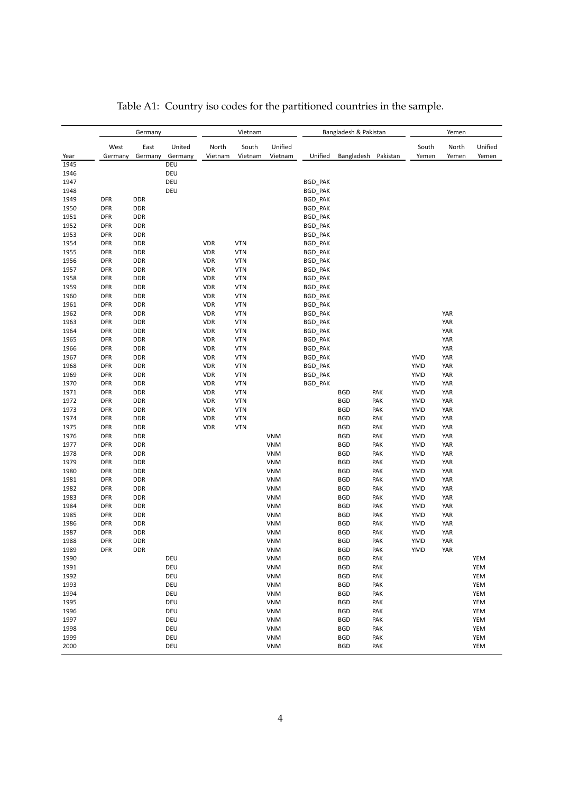<span id="page-3-0"></span>

|              |                          | Germany                  |            |            | Vietnam    |                          |                           | Bangladesh & Pakistan    |            |            | Yemen      |         |
|--------------|--------------------------|--------------------------|------------|------------|------------|--------------------------|---------------------------|--------------------------|------------|------------|------------|---------|
|              | West                     | East                     | United     | North      | South      | Unified                  |                           |                          |            | South      | North      | Unified |
| Year         | Germany                  | Germany                  | Germany    | Vietnam    | Vietnam    | Vietnam                  | Unified                   | Bangladesh               | Pakistan   | Yemen      | Yemen      | Yemen   |
| 1945<br>1946 |                          |                          | DEU<br>DEU |            |            |                          |                           |                          |            |            |            |         |
| 1947         |                          |                          | DEU        |            |            |                          | <b>BGD_PAK</b>            |                          |            |            |            |         |
| 1948         |                          |                          | DEU        |            |            |                          |                           |                          |            |            |            |         |
| 1949         | <b>DFR</b>               | <b>DDR</b>               |            |            |            |                          | BGD_PAK                   |                          |            |            |            |         |
| 1950         | <b>DFR</b>               | <b>DDR</b>               |            |            |            |                          | BGD_PAK<br><b>BGD PAK</b> |                          |            |            |            |         |
| 1951         | DFR                      | <b>DDR</b>               |            |            |            |                          | BGD_PAK                   |                          |            |            |            |         |
| 1952         | <b>DFR</b>               | <b>DDR</b>               |            |            |            |                          | BGD_PAK                   |                          |            |            |            |         |
| 1953         | <b>DFR</b>               | <b>DDR</b>               |            |            |            |                          | BGD_PAK                   |                          |            |            |            |         |
| 1954         | <b>DFR</b>               | <b>DDR</b>               |            | <b>VDR</b> | <b>VTN</b> |                          | BGD_PAK                   |                          |            |            |            |         |
| 1955         | <b>DFR</b>               | <b>DDR</b>               |            | <b>VDR</b> | <b>VTN</b> |                          | <b>BGD PAK</b>            |                          |            |            |            |         |
| 1956         | <b>DFR</b>               | <b>DDR</b>               |            | <b>VDR</b> | <b>VTN</b> |                          | BGD_PAK                   |                          |            |            |            |         |
| 1957         | <b>DFR</b>               | <b>DDR</b>               |            | <b>VDR</b> | <b>VTN</b> |                          | BGD_PAK                   |                          |            |            |            |         |
| 1958         | <b>DFR</b>               | <b>DDR</b>               |            | <b>VDR</b> | <b>VTN</b> |                          | BGD_PAK                   |                          |            |            |            |         |
| 1959         | <b>DFR</b>               | <b>DDR</b>               |            | <b>VDR</b> | <b>VTN</b> |                          | BGD_PAK                   |                          |            |            |            |         |
| 1960         | <b>DFR</b>               | <b>DDR</b>               |            | <b>VDR</b> | <b>VTN</b> |                          | BGD_PAK                   |                          |            |            |            |         |
| 1961         | <b>DFR</b>               | <b>DDR</b>               |            | <b>VDR</b> | <b>VTN</b> |                          | BGD_PAK                   |                          |            |            |            |         |
| 1962         | <b>DFR</b>               | <b>DDR</b>               |            | <b>VDR</b> | <b>VTN</b> |                          | BGD_PAK                   |                          |            |            | YAR        |         |
| 1963         | <b>DFR</b>               | <b>DDR</b>               |            | <b>VDR</b> | <b>VTN</b> |                          | <b>BGD_PAK</b>            |                          |            |            | YAR        |         |
| 1964         | <b>DFR</b>               | <b>DDR</b>               |            | <b>VDR</b> | <b>VTN</b> |                          | BGD_PAK                   |                          |            |            | YAR        |         |
| 1965         | <b>DFR</b>               | <b>DDR</b>               |            | <b>VDR</b> | <b>VTN</b> |                          | <b>BGD PAK</b>            |                          |            |            | YAR        |         |
| 1966         | <b>DFR</b>               | <b>DDR</b>               |            | <b>VDR</b> | <b>VTN</b> |                          | BGD_PAK                   |                          |            |            | YAR        |         |
| 1967         | <b>DFR</b>               | DDR                      |            | <b>VDR</b> | <b>VTN</b> |                          | BGD_PAK                   |                          |            | YMD        | YAR        |         |
| 1968         | <b>DFR</b>               | <b>DDR</b>               |            | <b>VDR</b> | <b>VTN</b> |                          | BGD_PAK                   |                          |            | YMD        | YAR        |         |
| 1969         | DFR                      | <b>DDR</b>               |            | <b>VDR</b> | <b>VTN</b> |                          | BGD_PAK                   |                          |            | YMD        | YAR        |         |
| 1970         | <b>DFR</b>               | <b>DDR</b>               |            | <b>VDR</b> | <b>VTN</b> |                          | <b>BGD PAK</b>            |                          |            | YMD        | YAR        |         |
| 1971         | <b>DFR</b>               | DDR                      |            | <b>VDR</b> | <b>VTN</b> |                          |                           | <b>BGD</b>               | PAK        | YMD        | YAR        |         |
| 1972         | <b>DFR</b>               | <b>DDR</b>               |            | <b>VDR</b> | <b>VTN</b> |                          |                           | <b>BGD</b>               | PAK        | YMD        | YAR        |         |
| 1973         | <b>DFR</b>               | <b>DDR</b>               |            | <b>VDR</b> | <b>VTN</b> |                          |                           | <b>BGD</b>               | PAK        | YMD        | YAR        |         |
| 1974         | DFR                      | <b>DDR</b>               |            | <b>VDR</b> | <b>VTN</b> |                          |                           | <b>BGD</b>               | PAK        | YMD        | YAR        |         |
| 1975         | <b>DFR</b>               | <b>DDR</b>               |            | <b>VDR</b> | <b>VTN</b> |                          |                           | <b>BGD</b>               | PAK        | YMD        | YAR        |         |
| 1976         | <b>DFR</b>               | DDR                      |            |            |            | <b>VNM</b>               |                           | <b>BGD</b>               | PAK        | YMD        | YAR        |         |
| 1977         | <b>DFR</b>               | <b>DDR</b>               |            |            |            | <b>VNM</b>               |                           | <b>BGD</b>               | PAK        | YMD        | YAR        |         |
| 1978         | <b>DFR</b>               | <b>DDR</b>               |            |            |            | <b>VNM</b>               |                           | <b>BGD</b>               | PAK        | YMD        | YAR        |         |
| 1979         | <b>DFR</b>               | <b>DDR</b>               |            |            |            | <b>VNM</b>               |                           | <b>BGD</b>               | PAK        | YMD        | YAR        |         |
| 1980         | <b>DFR</b>               | <b>DDR</b>               |            |            |            | <b>VNM</b>               |                           | <b>BGD</b>               | PAK        | YMD        | YAR        |         |
| 1981         | <b>DFR</b>               | <b>DDR</b>               |            |            |            | <b>VNM</b>               |                           | <b>BGD</b>               | PAK        | YMD        | YAR        |         |
| 1982         | <b>DFR</b>               | <b>DDR</b>               |            |            |            | <b>VNM</b>               |                           | <b>BGD</b>               | PAK        | YMD        | YAR        |         |
| 1983         | <b>DFR</b>               | <b>DDR</b>               |            |            |            | <b>VNM</b>               |                           | <b>BGD</b>               | PAK        | YMD        | YAR        |         |
| 1984<br>1985 | <b>DFR</b><br><b>DFR</b> | <b>DDR</b><br><b>DDR</b> |            |            |            | <b>VNM</b><br><b>VNM</b> |                           | <b>BGD</b><br><b>BGD</b> | PAK<br>PAK | YMD        | YAR        |         |
| 1986         | <b>DFR</b>               | <b>DDR</b>               |            |            |            | <b>VNM</b>               |                           | <b>BGD</b>               | PAK        | YMD<br>YMD | YAR<br>YAR |         |
| 1987         | <b>DFR</b>               | DDR                      |            |            |            | <b>VNM</b>               |                           | <b>BGD</b>               | PAK        | YMD        | YAR        |         |
| 1988         | <b>DFR</b>               | <b>DDR</b>               |            |            |            | <b>VNM</b>               |                           | <b>BGD</b>               | PAK        | YMD        | YAR        |         |
| 1989         | DFR                      | DDR                      |            |            |            | VNM                      |                           | <b>BGD</b>               | PAK        | YMD        | YAR        |         |
| 1990         |                          |                          | DEU        |            |            | <b>VNM</b>               |                           | <b>BGD</b>               | PAK        |            |            | YEM     |
| 1991         |                          |                          | DEU        |            |            | <b>VNM</b>               |                           | <b>BGD</b>               | PAK        |            |            | YEM     |
| 1992         |                          |                          | DEU        |            |            | <b>VNM</b>               |                           | <b>BGD</b>               | PAK        |            |            | YEM     |
| 1993         |                          |                          | DEU        |            |            | <b>VNM</b>               |                           | <b>BGD</b>               | PAK        |            |            | YEM     |
| 1994         |                          |                          | DEU        |            |            | <b>VNM</b>               |                           | <b>BGD</b>               | PAK        |            |            | YEM     |
| 1995         |                          |                          | DEU        |            |            | <b>VNM</b>               |                           | <b>BGD</b>               | PAK        |            |            | YEM     |
| 1996         |                          |                          | DEU        |            |            | <b>VNM</b>               |                           | <b>BGD</b>               | PAK        |            |            | YEM     |
| 1997         |                          |                          | DEU        |            |            | <b>VNM</b>               |                           | <b>BGD</b>               | PAK        |            |            | YEM     |
| 1998         |                          |                          | DEU        |            |            | <b>VNM</b>               |                           | <b>BGD</b>               | PAK        |            |            | YEM     |
| 1999         |                          |                          | DEU        |            |            | <b>VNM</b>               |                           | <b>BGD</b>               | PAK        |            |            | YEM     |
| 2000         |                          |                          | DEU        |            |            | VNM                      |                           | <b>BGD</b>               | PAK        |            |            | YEM     |

## Table A1: Country iso codes for the partitioned countries in the sample.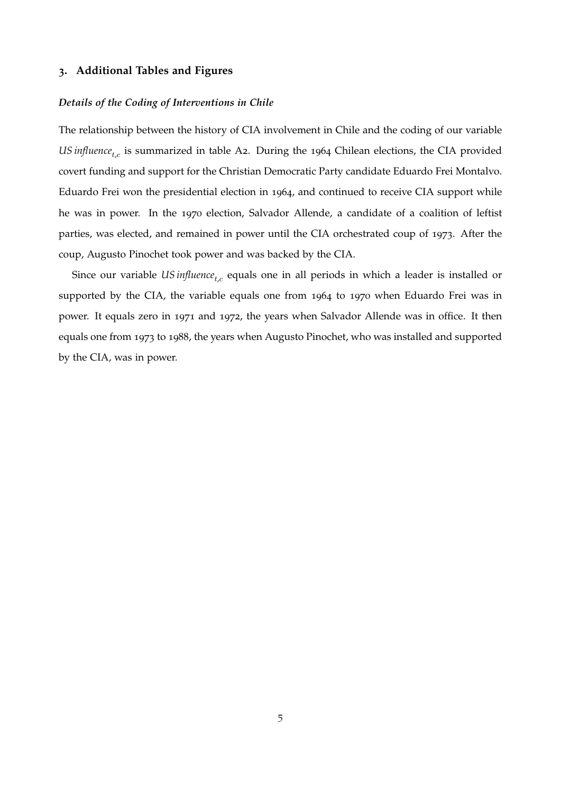#### <span id="page-4-0"></span>**3. Additional Tables and Figures**

#### *Details of the Coding of Interventions in Chile*

The relationship between the history of CIA involvement in Chile and the coding of our variable US influence<sub>t,c</sub> is summarized in table [A](#page-5-0)2. During the 1964 Chilean elections, the CIA provided covert funding and support for the Christian Democratic Party candidate Eduardo Frei Montalvo. Eduardo Frei won the presidential election in 1964, and continued to receive CIA support while he was in power. In the 1970 election, Salvador Allende, a candidate of a coalition of leftist parties, was elected, and remained in power until the CIA orchestrated coup of 1973. After the coup, Augusto Pinochet took power and was backed by the CIA.

Since our variable *US influence<sub>t,c</sub>* equals one in all periods in which a leader is installed or supported by the CIA, the variable equals one from 1964 to 1970 when Eduardo Frei was in power. It equals zero in 1971 and 1972, the years when Salvador Allende was in office. It then equals one from 1973 to 1988, the years when Augusto Pinochet, who was installed and supported by the CIA, was in power.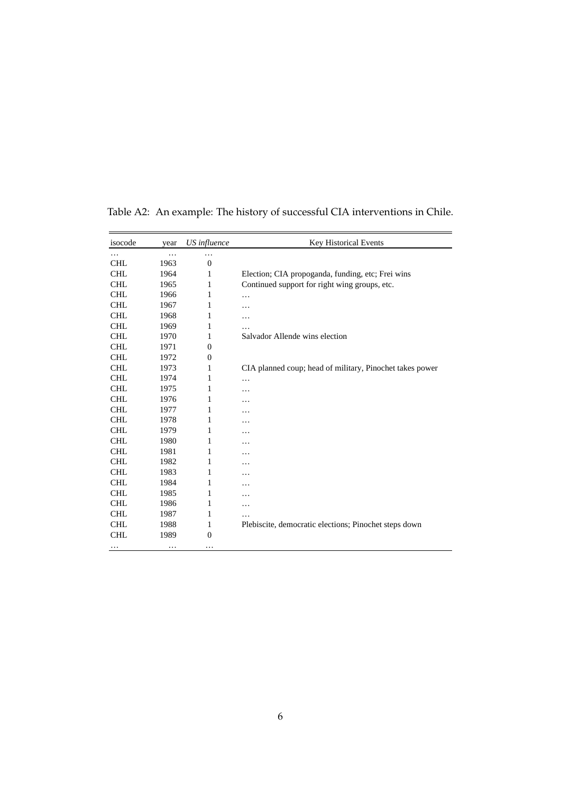| isocode    | year | US influence     | Key Historical Events                                    |
|------------|------|------------------|----------------------------------------------------------|
| .          | .    |                  |                                                          |
| <b>CHL</b> | 1963 | $\overline{0}$   |                                                          |
| <b>CHL</b> | 1964 | 1                | Election; CIA propoganda, funding, etc; Frei wins        |
| <b>CHL</b> | 1965 | 1                | Continued support for right wing groups, etc.            |
| <b>CHL</b> | 1966 | 1                | $\cdots$                                                 |
| <b>CHL</b> | 1967 | 1                | .                                                        |
| <b>CHL</b> | 1968 | 1                | .                                                        |
| <b>CHL</b> | 1969 | 1                |                                                          |
| <b>CHL</b> | 1970 | $\mathbf{1}$     | Salvador Allende wins election                           |
| <b>CHL</b> | 1971 | $\overline{0}$   |                                                          |
| <b>CHL</b> | 1972 | $\boldsymbol{0}$ |                                                          |
| <b>CHL</b> | 1973 | 1                | CIA planned coup; head of military, Pinochet takes power |
| <b>CHL</b> | 1974 | 1                | .                                                        |
| <b>CHL</b> | 1975 | 1                | .                                                        |
| <b>CHL</b> | 1976 | 1                |                                                          |
| <b>CHL</b> | 1977 | 1                | .                                                        |
| <b>CHL</b> | 1978 | 1                | .                                                        |
| <b>CHL</b> | 1979 | 1                | .                                                        |
| <b>CHL</b> | 1980 | 1                | .                                                        |
| <b>CHL</b> | 1981 | 1                | .                                                        |
| <b>CHL</b> | 1982 | 1                | .                                                        |
| <b>CHL</b> | 1983 | 1                | .                                                        |
| <b>CHL</b> | 1984 | 1                | .                                                        |
| <b>CHL</b> | 1985 | 1                | .                                                        |
| <b>CHL</b> | 1986 | 1                | .                                                        |
| <b>CHL</b> | 1987 | 1                |                                                          |
| <b>CHL</b> | 1988 | $\mathbf{1}$     | Plebiscite, democratic elections; Pinochet steps down    |
| <b>CHL</b> | 1989 | $\overline{0}$   |                                                          |
|            | .    | $\cdots$         |                                                          |

<span id="page-5-0"></span>Table A2: An example: The history of successful CIA interventions in Chile.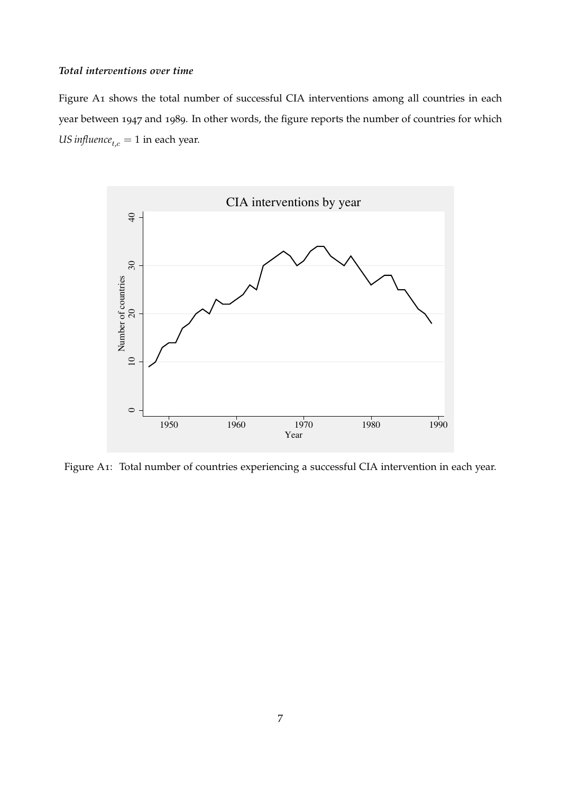#### *Total interventions over time*

Figure [A](#page-6-0)1 shows the total number of successful CIA interventions among all countries in each year between 1947 and 1989. In other words, the figure reports the number of countries for which *US influence*<sub>t,c</sub> = 1 in each year.

<span id="page-6-0"></span>

Figure A1: Total number of countries experiencing a successful CIA intervention in each year.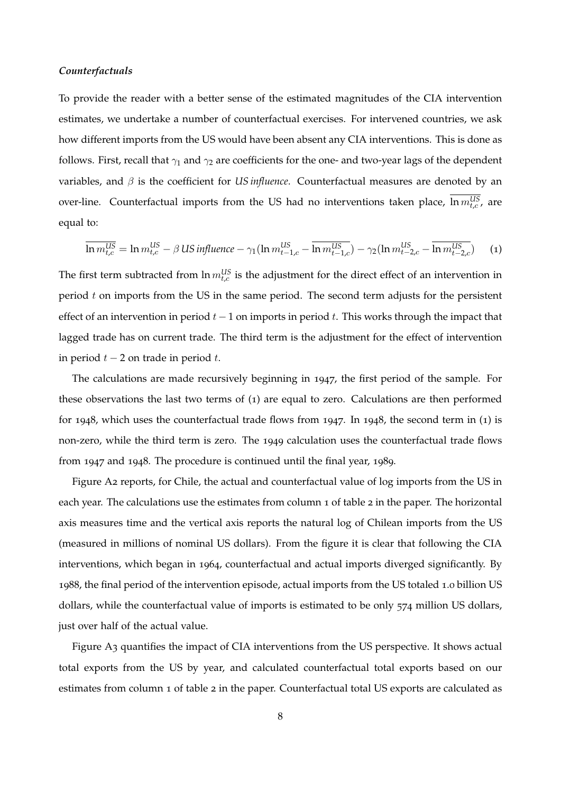#### *Counterfactuals*

To provide the reader with a better sense of the estimated magnitudes of the CIA intervention estimates, we undertake a number of counterfactual exercises. For intervened countries, we ask how different imports from the US would have been absent any CIA interventions. This is done as follows. First, recall that  $\gamma_1$  and  $\gamma_2$  are coefficients for the one- and two-year lags of the dependent variables, and β is the coefficient for *US influence*. Counterfactual measures are denoted by an over-line. Counterfactual imports from the US had no interventions taken place,  $\ln m_{t,c}^{US}$ , are equal to:

<span id="page-7-0"></span>
$$
\overline{\ln m_{t,c}^{\text{US}}} = \ln m_{t,c}^{\text{US}} - \beta \text{ US influence} - \gamma_1 (\ln m_{t-1,c}^{\text{US}} - \overline{\ln m_{t-1,c}^{\text{US}}}) - \gamma_2 (\ln m_{t-2,c}^{\text{US}} - \overline{\ln m_{t-2,c}^{\text{US}}}) \tag{1}
$$

The first term subtracted from  $\ln m_{t,c}^{US}$  is the adjustment for the direct effect of an intervention in period  $t$  on imports from the US in the same period. The second term adjusts for the persistent effect of an intervention in period  $t - 1$  on imports in period t. This works through the impact that lagged trade has on current trade. The third term is the adjustment for the effect of intervention in period  $t - 2$  on trade in period t.

The calculations are made recursively beginning in 1947, the first period of the sample. For these observations the last two terms of ([1](#page-7-0)) are equal to zero. Calculations are then performed for 1948, which uses the counterfactual trade flows from 1947. In 1948, the second term in ([1](#page-7-0)) is non-zero, while the third term is zero. The 1949 calculation uses the counterfactual trade flows from 1947 and 1948. The procedure is continued until the final year, 1989.

Figure [A](#page-8-0)2 reports, for Chile, the actual and counterfactual value of log imports from the US in each year. The calculations use the estimates from column 1 of table 2 in the paper. The horizontal axis measures time and the vertical axis reports the natural log of Chilean imports from the US (measured in millions of nominal US dollars). From the figure it is clear that following the CIA interventions, which began in 1964, counterfactual and actual imports diverged significantly. By 1988, the final period of the intervention episode, actual imports from the US totaled 1.0 billion US dollars, while the counterfactual value of imports is estimated to be only 574 million US dollars, just over half of the actual value.

Figure [A](#page-9-0)3 quantifies the impact of CIA interventions from the US perspective. It shows actual total exports from the US by year, and calculated counterfactual total exports based on our estimates from column 1 of table 2 in the paper. Counterfactual total US exports are calculated as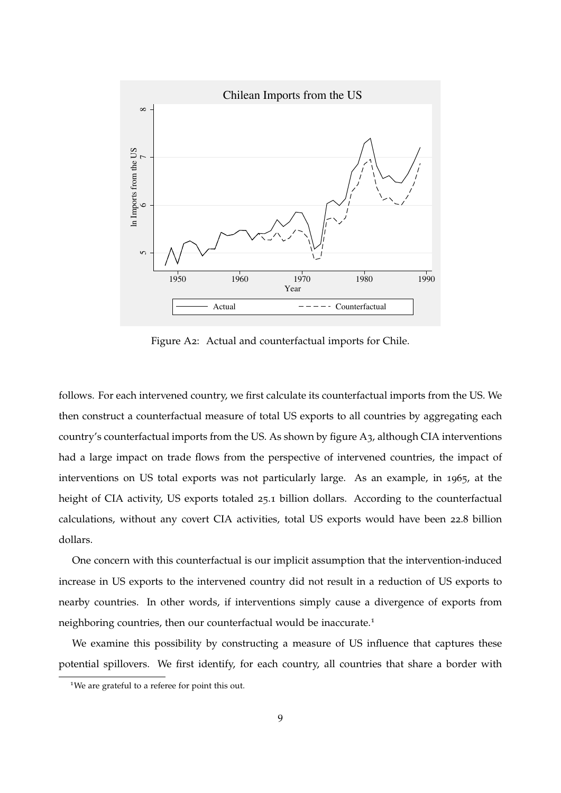<span id="page-8-0"></span>

Figure A2: Actual and counterfactual imports for Chile.

follows. For each intervened country, we first calculate its counterfactual imports from the US. We then construct a counterfactual measure of total US exports to all countries by aggregating each country's counterfactual imports from the US. As shown by figure [A](#page-9-0)3, although CIA interventions had a large impact on trade flows from the perspective of intervened countries, the impact of interventions on US total exports was not particularly large. As an example, in 1965, at the height of CIA activity, US exports totaled 25.1 billion dollars. According to the counterfactual calculations, without any covert CIA activities, total US exports would have been 22.8 billion dollars.

One concern with this counterfactual is our implicit assumption that the intervention-induced increase in US exports to the intervened country did not result in a reduction of US exports to nearby countries. In other words, if interventions simply cause a divergence of exports from neighboring countries, then our counterfactual would be inaccurate.[1](#page-8-1)

We examine this possibility by constructing a measure of US influence that captures these potential spillovers. We first identify, for each country, all countries that share a border with

<span id="page-8-1"></span><sup>&</sup>lt;sup>1</sup>We are grateful to a referee for point this out.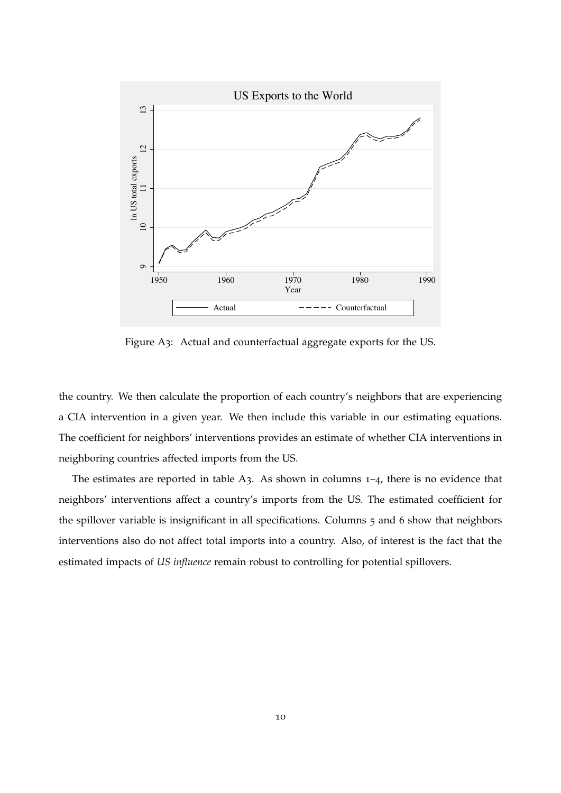<span id="page-9-0"></span>

Figure A3: Actual and counterfactual aggregate exports for the US.

the country. We then calculate the proportion of each country's neighbors that are experiencing a CIA intervention in a given year. We then include this variable in our estimating equations. The coefficient for neighbors' interventions provides an estimate of whether CIA interventions in neighboring countries affected imports from the US.

The estimates are reported in table [A](#page-10-0)3. As shown in columns 1–4, there is no evidence that neighbors' interventions affect a country's imports from the US. The estimated coefficient for the spillover variable is insignificant in all specifications. Columns 5 and 6 show that neighbors interventions also do not affect total imports into a country. Also, of interest is the fact that the estimated impacts of *US influence* remain robust to controlling for potential spillovers.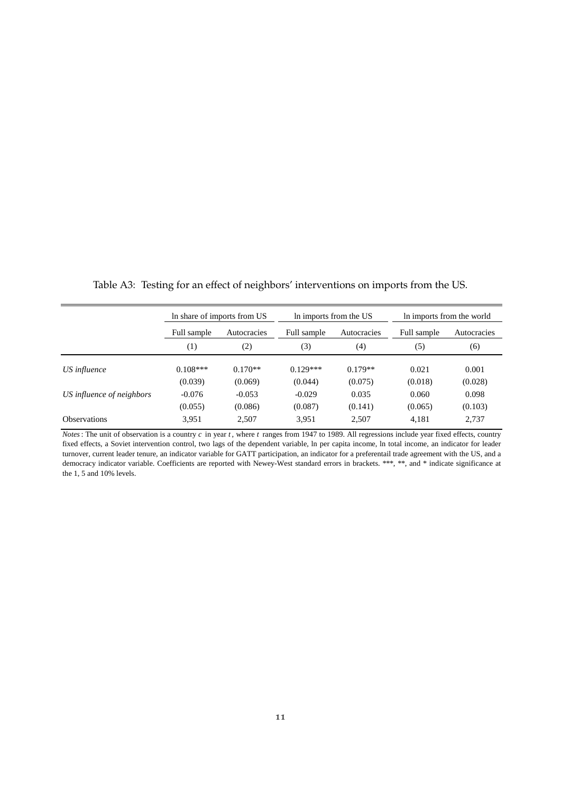|                           |             | In share of imports from US |             | In imports from the US |             | In imports from the world |
|---------------------------|-------------|-----------------------------|-------------|------------------------|-------------|---------------------------|
|                           | Full sample | Autocracies                 | Full sample | Autocracies            | Full sample | Autocracies               |
|                           | (1)         | (2)                         | (3)         | (4)                    | (5)         | (6)                       |
| US influence              | $0.108***$  | $0.170**$                   | $0.129***$  | $0.179**$              | 0.021       | 0.001                     |
|                           | (0.039)     | (0.069)                     | (0.044)     | (0.075)                | (0.018)     | (0.028)                   |
| US influence of neighbors | $-0.076$    | $-0.053$                    | $-0.029$    | 0.035                  | 0.060       | 0.098                     |
|                           | (0.055)     | (0.086)                     | (0.087)     | (0.141)                | (0.065)     | (0.103)                   |
| <b>Observations</b>       | 3,951       | 2,507                       | 3,951       | 2,507                  | 4,181       | 2,737                     |

<span id="page-10-0"></span>Table A3: Testing for an effect of neighbors' interventions on imports from the US.

*Notes*: The unit of observation is a country *c* in year *t* , where *t* ranges from 1947 to 1989. All regressions include year fixed effects, country fixed effects, a Soviet intervention control, two lags of the dependent variable, ln per capita income, ln total income, an indicator for leader turnover, current leader tenure, an indicator variable for GATT participation, an indicator for a preferentail trade agreement with the US, and a democracy indicator variable. Coefficients are reported with Newey-West standard errors in brackets. \*\*\*, \*\*, and \* indicate significance at the 1, 5 and 10% levels.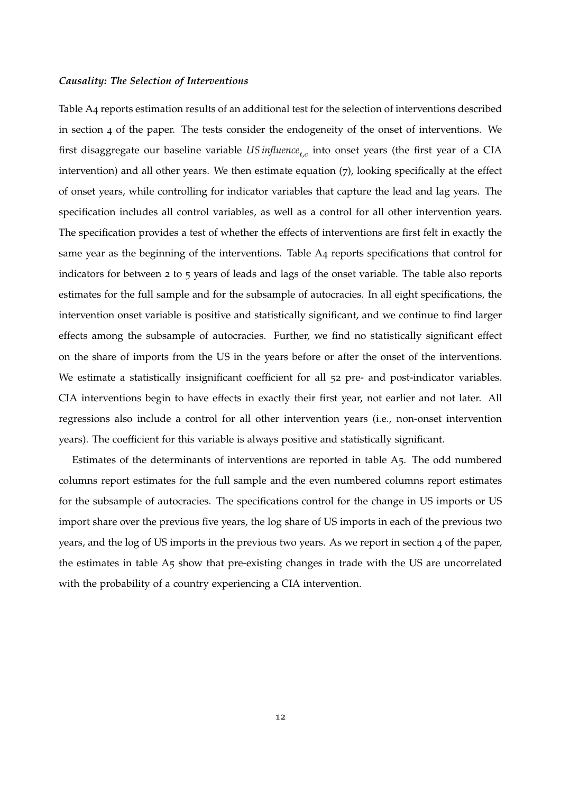#### *Causality: The Selection of Interventions*

Table [A](#page-12-0)4 reports estimation results of an additional test for the selection of interventions described in section 4 of the paper. The tests consider the endogeneity of the onset of interventions. We first disaggregate our baseline variable *US influence<sub>t,c</sub>* into onset years (the first year of a CIA intervention) and all other years. We then estimate equation (7), looking specifically at the effect of onset years, while controlling for indicator variables that capture the lead and lag years. The specification includes all control variables, as well as a control for all other intervention years. The specification provides a test of whether the effects of interventions are first felt in exactly the same year as the beginning of the interventions. Table [A](#page-12-0)4 reports specifications that control for indicators for between 2 to 5 years of leads and lags of the onset variable. The table also reports estimates for the full sample and for the subsample of autocracies. In all eight specifications, the intervention onset variable is positive and statistically significant, and we continue to find larger effects among the subsample of autocracies. Further, we find no statistically significant effect on the share of imports from the US in the years before or after the onset of the interventions. We estimate a statistically insignificant coefficient for all  $52$  pre- and post-indicator variables. CIA interventions begin to have effects in exactly their first year, not earlier and not later. All regressions also include a control for all other intervention years (i.e., non-onset intervention years). The coefficient for this variable is always positive and statistically significant.

Estimates of the determinants of interventions are reported in table [A](#page-13-0)5. The odd numbered columns report estimates for the full sample and the even numbered columns report estimates for the subsample of autocracies. The specifications control for the change in US imports or US import share over the previous five years, the log share of US imports in each of the previous two years, and the log of US imports in the previous two years. As we report in section 4 of the paper, the estimates in table [A](#page-13-0)5 show that pre-existing changes in trade with the US are uncorrelated with the probability of a country experiencing a CIA intervention.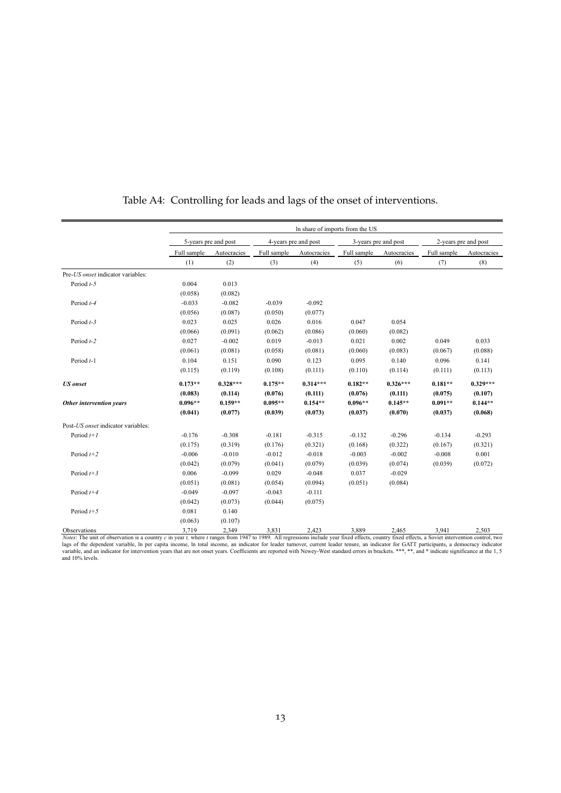<span id="page-12-0"></span>

|                                                                                                                                                                                                               |             |                      |             |                      | In share of imports from the US |                      |             |                      |
|---------------------------------------------------------------------------------------------------------------------------------------------------------------------------------------------------------------|-------------|----------------------|-------------|----------------------|---------------------------------|----------------------|-------------|----------------------|
|                                                                                                                                                                                                               |             | 5-years pre and post |             | 4-years pre and post |                                 | 3-years pre and post |             | 2-years pre and post |
|                                                                                                                                                                                                               | Full sample | Autocracies          | Full sample | Autocracies          | Full sample                     | Autocracies          | Full sample | Autocracies          |
|                                                                                                                                                                                                               | (1)         | (2)                  | (3)         | (4)                  | (5)                             | (6)                  | (7)         | (8)                  |
| Pre-US onset indicator variables:                                                                                                                                                                             |             |                      |             |                      |                                 |                      |             |                      |
| Period $t-5$                                                                                                                                                                                                  | 0.004       | 0.013                |             |                      |                                 |                      |             |                      |
|                                                                                                                                                                                                               | (0.058)     | (0.082)              |             |                      |                                 |                      |             |                      |
| Period t-4                                                                                                                                                                                                    | $-0.033$    | $-0.082$             | $-0.039$    | $-0.092$             |                                 |                      |             |                      |
|                                                                                                                                                                                                               | (0.056)     | (0.087)              | (0.050)     | (0.077)              |                                 |                      |             |                      |
| Period $t-3$                                                                                                                                                                                                  | 0.023       | 0.025                | 0.026       | 0.016                | 0.047                           | 0.054                |             |                      |
|                                                                                                                                                                                                               | (0.066)     | (0.091)              | (0.062)     | (0.086)              | (0.060)                         | (0.082)              |             |                      |
| Period t-2                                                                                                                                                                                                    | 0.027       | $-0.002$             | 0.019       | $-0.013$             | 0.021                           | 0.002                | 0.049       | 0.033                |
|                                                                                                                                                                                                               | (0.061)     | (0.081)              | (0.058)     | (0.081)              | (0.060)                         | (0.083)              | (0.067)     | (0.088)              |
| Period $t-1$                                                                                                                                                                                                  | 0.104       | 0.151                | 0.090       | 0.123                | 0.095                           | 0.140                | 0.096       | 0.141                |
|                                                                                                                                                                                                               | (0.115)     | (0.119)              | (0.108)     | (0.111)              | (0.110)                         | (0.114)              | (0.111)     | (0.113)              |
| <b>US</b> onset                                                                                                                                                                                               | $0.173**$   | $0.328***$           | $0.175**$   | $0.314***$           | $0.182**$                       | $0.326***$           | $0.181**$   | $0.329***$           |
|                                                                                                                                                                                                               | (0.083)     | (0.114)              | (0.076)     | (0.111)              | (0.076)                         | (0.111)              | (0.075)     | (0.107)              |
| Other intervention years                                                                                                                                                                                      | $0.096**$   | $0.159**$            | $0.095**$   | $0.154**$            | $0.096**$                       | $0.145**$            | $0.091**$   | $0.144**$            |
|                                                                                                                                                                                                               | (0.041)     | (0.077)              | (0.039)     | (0.073)              | (0.037)                         | (0.070)              | (0.037)     | (0.068)              |
| Post-US onset indicator variables:                                                                                                                                                                            |             |                      |             |                      |                                 |                      |             |                      |
| Period $t+1$                                                                                                                                                                                                  | $-0.176$    | $-0.308$             | $-0.181$    | $-0.315$             | $-0.132$                        | $-0.296$             | $-0.134$    | $-0.293$             |
|                                                                                                                                                                                                               | (0.175)     | (0.319)              | (0.176)     | (0.321)              | (0.168)                         | (0.322)              | (0.167)     | (0.321)              |
| Period $t+2$                                                                                                                                                                                                  | $-0.006$    | $-0.010$             | $-0.012$    | $-0.018$             | $-0.003$                        | $-0.002$             | $-0.008$    | 0.001                |
|                                                                                                                                                                                                               | (0.042)     | (0.079)              | (0.041)     | (0.079)              | (0.039)                         | (0.074)              | (0.039)     | (0.072)              |
| Period $t+3$                                                                                                                                                                                                  | 0.006       | $-0.099$             | 0.029       | $-0.048$             | 0.037                           | $-0.029$             |             |                      |
|                                                                                                                                                                                                               | (0.051)     | (0.081)              | (0.054)     | (0.094)              | (0.051)                         | (0.084)              |             |                      |
| Period $t+4$                                                                                                                                                                                                  | $-0.049$    | $-0.097$             | $-0.043$    | $-0.111$             |                                 |                      |             |                      |
|                                                                                                                                                                                                               | (0.042)     | (0.073)              | (0.044)     | (0.075)              |                                 |                      |             |                      |
| Period $t+5$                                                                                                                                                                                                  | 0.081       | 0.140                |             |                      |                                 |                      |             |                      |
|                                                                                                                                                                                                               | (0.063)     | (0.107)              |             |                      |                                 |                      |             |                      |
| Observations<br>Notes: The unit of observation is a country c in wear t where tranges from 1947 to 1989. All regressions include year fixed effects, country fixed effects, a Soviet intervention control two | 3,719       | 2,349                | 3,831       | 2,423                | 3,889                           | 2,465                | 3,941       | 2,503                |

### Table A4: Controlling for leads and lags of the onset of interventions.

Observations 3,719 2,349 3,881 2,423 3,889 2,465 3,941 2,503<br>*Notes*: The unit of observation is a country c in year t, where t ranges from 1947 to 1989. All regressions include year fixed effects, country fixed effects, a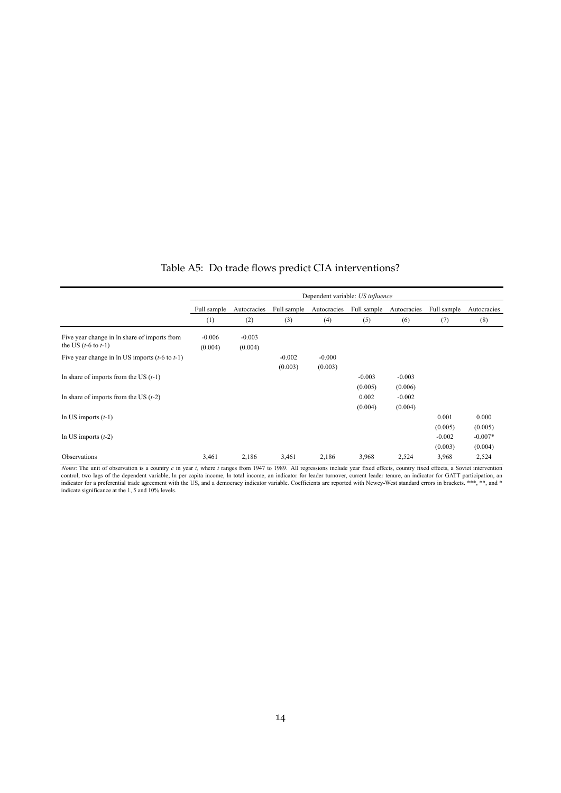|  |  |  | Table A5: Do trade flows predict CIA interventions? |
|--|--|--|-----------------------------------------------------|
|--|--|--|-----------------------------------------------------|

<span id="page-13-0"></span>

|                                                    |             |             |             | Dependent variable: US influence |             |             |             |             |
|----------------------------------------------------|-------------|-------------|-------------|----------------------------------|-------------|-------------|-------------|-------------|
|                                                    | Full sample | Autocracies | Full sample | Autocracies                      | Full sample | Autocracies | Full sample | Autocracies |
|                                                    | (1)         | (2)         | (3)         | (4)                              | (5)         | (6)         | (7)         | (8)         |
| Five year change in ln share of imports from       | $-0.006$    | $-0.003$    |             |                                  |             |             |             |             |
| the US $(t-6 \text{ to } t-1)$                     | (0.004)     | (0.004)     |             |                                  |             |             |             |             |
| Five year change in ln US imports $(t-6$ to $t-1)$ |             |             | $-0.002$    | $-0.000$                         |             |             |             |             |
|                                                    |             |             | (0.003)     | (0.003)                          |             |             |             |             |
| In share of imports from the US $(t-1)$            |             |             |             |                                  | $-0.003$    | $-0.003$    |             |             |
|                                                    |             |             |             |                                  | (0.005)     | (0.006)     |             |             |
| In share of imports from the US $(t-2)$            |             |             |             |                                  | 0.002       | $-0.002$    |             |             |
|                                                    |             |             |             |                                  | (0.004)     | (0.004)     |             |             |
| In US imports $(t-1)$                              |             |             |             |                                  |             |             | 0.001       | 0.000       |
|                                                    |             |             |             |                                  |             |             | (0.005)     | (0.005)     |
| In US imports $(t-2)$                              |             |             |             |                                  |             |             | $-0.002$    | $-0.007*$   |
|                                                    |             |             |             |                                  |             |             | (0.003)     | (0.004)     |
| Observations                                       | 3,461       | 2,186       | 3,461       | 2,186                            | 3,968       | 2,524       | 3,968       | 2,524       |

*Notes*: The unit of observation is a country c in year t, where t ranges from 1947 to 1989. All regressions include year fixed effects, country fixed effects, a Soviet intervention control, two lags of the dependent vari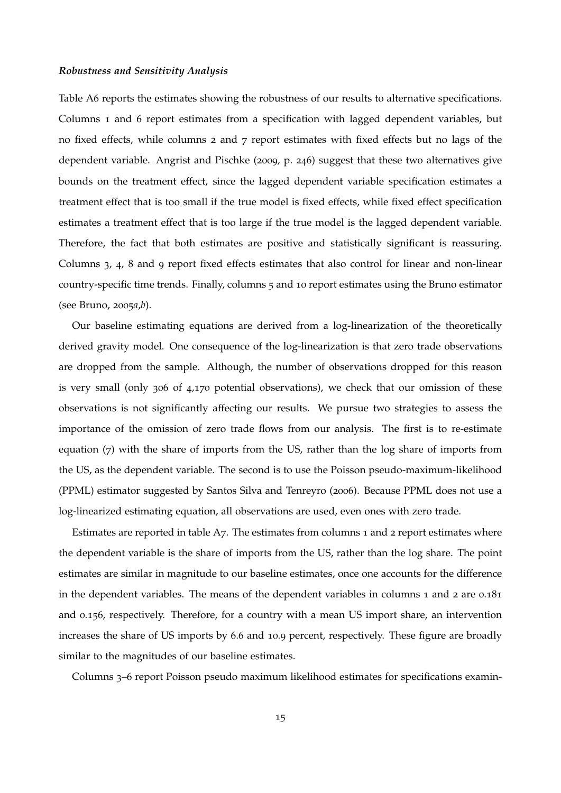#### *Robustness and Sensitivity Analysis*

Table [A](#page-15-0)6 reports the estimates showing the robustness of our results to alternative specifications. Columns 1 and 6 report estimates from a specification with lagged dependent variables, but no fixed effects, while columns 2 and 7 report estimates with fixed effects but no lags of the dependent variable. [Angrist and Pischke](#page-37-11) ([2009](#page-37-11), p. 246) suggest that these two alternatives give bounds on the treatment effect, since the lagged dependent variable specification estimates a treatment effect that is too small if the true model is fixed effects, while fixed effect specification estimates a treatment effect that is too large if the true model is the lagged dependent variable. Therefore, the fact that both estimates are positive and statistically significant is reassuring. Columns 3, 4, 8 and 9 report fixed effects estimates that also control for linear and non-linear country-specific time trends. Finally, columns 5 and 10 report estimates using the Bruno estimator (see [Bruno,](#page-37-12) [2005](#page-37-12)*a*,*[b](#page-37-13)*).

Our baseline estimating equations are derived from a log-linearization of the theoretically derived gravity model. One consequence of the log-linearization is that zero trade observations are dropped from the sample. Although, the number of observations dropped for this reason is very small (only 306 of 4,170 potential observations), we check that our omission of these observations is not significantly affecting our results. We pursue two strategies to assess the importance of the omission of zero trade flows from our analysis. The first is to re-estimate equation (7) with the share of imports from the US, rather than the log share of imports from the US, as the dependent variable. The second is to use the Poisson pseudo-maximum-likelihood (PPML) estimator suggested by [Santos Silva and Tenreyro](#page-37-14) ([2006](#page-37-14)). Because PPML does not use a log-linearized estimating equation, all observations are used, even ones with zero trade.

Estimates are reported in table [A](#page-16-0)7. The estimates from columns 1 and 2 report estimates where the dependent variable is the share of imports from the US, rather than the log share. The point estimates are similar in magnitude to our baseline estimates, once one accounts for the difference in the dependent variables. The means of the dependent variables in columns 1 and 2 are 0.181 and 0.156, respectively. Therefore, for a country with a mean US import share, an intervention increases the share of US imports by 6.6 and 10.9 percent, respectively. These figure are broadly similar to the magnitudes of our baseline estimates.

Columns 3–6 report Poisson pseudo maximum likelihood estimates for specifications examin-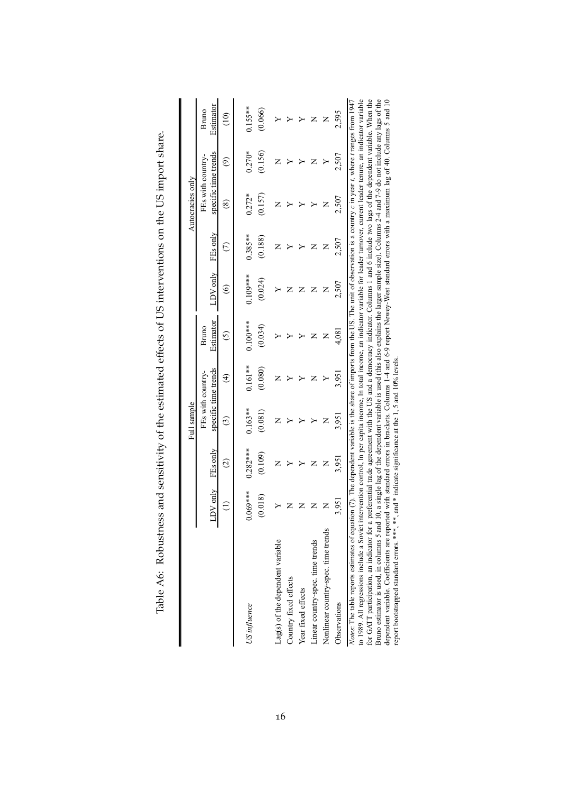<span id="page-15-0"></span>

|                                                                                                                                                                                                                                                                                                                                                                                                                                                                                                                                                                                                                                                                                                                                                                                                                                                                                                                                                                        |                       |                       | Full sample          |                          |                       |                       |                      | Autocracies only    |                      |                      |
|------------------------------------------------------------------------------------------------------------------------------------------------------------------------------------------------------------------------------------------------------------------------------------------------------------------------------------------------------------------------------------------------------------------------------------------------------------------------------------------------------------------------------------------------------------------------------------------------------------------------------------------------------------------------------------------------------------------------------------------------------------------------------------------------------------------------------------------------------------------------------------------------------------------------------------------------------------------------|-----------------------|-----------------------|----------------------|--------------------------|-----------------------|-----------------------|----------------------|---------------------|----------------------|----------------------|
|                                                                                                                                                                                                                                                                                                                                                                                                                                                                                                                                                                                                                                                                                                                                                                                                                                                                                                                                                                        | $LDV$ only            | FEs only              | FEs with country.    | specific time trends     | Estimator<br>Bruno    | LDV only              | FEs only             | FEs with country    | specific time trends | Estimator<br>Bruno   |
|                                                                                                                                                                                                                                                                                                                                                                                                                                                                                                                                                                                                                                                                                                                                                                                                                                                                                                                                                                        |                       | $\widehat{\circ}$     | ල                    | $\widehat{\mathfrak{t}}$ | ⊙                     | $\circledcirc$        | $\widehat{\in}$      | $^{\circledR}$      | ව                    | $\widehat{\Xi}$      |
| US influence                                                                                                                                                                                                                                                                                                                                                                                                                                                                                                                                                                                                                                                                                                                                                                                                                                                                                                                                                           | $0.069***$<br>(0.018) | $0.282***$<br>(0.109) | $0.163**$<br>(0.081) | $0.161**$<br>(0.080)     | $0.100***$<br>(0.034) | $0.109***$<br>(0.024) | $0.385**$<br>(0.188) | $0.272*$<br>(0.157) | $0.270*$<br>(0.156)  | $0.155**$<br>(0.066) |
| Lag(s) of the dependent variable                                                                                                                                                                                                                                                                                                                                                                                                                                                                                                                                                                                                                                                                                                                                                                                                                                                                                                                                       |                       | Z                     | Z                    | Z                        |                       |                       |                      | Z                   | Z                    |                      |
| Country fixed effects                                                                                                                                                                                                                                                                                                                                                                                                                                                                                                                                                                                                                                                                                                                                                                                                                                                                                                                                                  |                       |                       |                      |                          |                       |                       |                      |                     |                      |                      |
| Year fixed effects                                                                                                                                                                                                                                                                                                                                                                                                                                                                                                                                                                                                                                                                                                                                                                                                                                                                                                                                                     |                       |                       |                      |                          |                       |                       |                      |                     |                      |                      |
| Linear country-spec. time trends                                                                                                                                                                                                                                                                                                                                                                                                                                                                                                                                                                                                                                                                                                                                                                                                                                                                                                                                       |                       |                       |                      |                          | z                     | z                     |                      |                     |                      |                      |
| Nonlinear country-spec. time trends                                                                                                                                                                                                                                                                                                                                                                                                                                                                                                                                                                                                                                                                                                                                                                                                                                                                                                                                    |                       | Z                     |                      |                          | z                     | z                     | z                    | Z                   |                      | Z                    |
| Observations                                                                                                                                                                                                                                                                                                                                                                                                                                                                                                                                                                                                                                                                                                                                                                                                                                                                                                                                                           | 3,951                 | 3,951                 | 3,951                | 3,951                    | 4,081                 | 2,507                 | 2,507                | 2,507               | 2,507                | 2,595                |
| to 1989. All regressions include a Soviet intervention control, In per capita income, In total income, an indicator variable for leader turnover, current leader tenure, an indicator variable<br>for GATT participation, an indicator for a preferential trade agreement with the US and a democracy indicator. Columns 1 and 6 include two lags of the dependent variable. When the<br>Bruno estimator is used, in columns 5 and 10, a single lag of the dependent variable is used (this also explains the larger sample size). Columns 2-4 and 7-9 do not include any lags of the<br>dependent variable. Coefficients are reported with standard errors in brackets. Columns 1-4 and 6-9 report Newey-West standard errors with a maximum lag of 40. Columns 5 and 10<br>Notes: The table reports estimates of equation (7). The dependent variable is the share of imports from the US. The unit of observation is a country c in year t, where tranges from 1947 |                       |                       |                      |                          |                       |                       |                      |                     |                      |                      |

report bootstrapped standard errors. \*\*\*, \*\*, and \* indicate significance at the 1, 5 and 10% levels.

Table A6: Robustness and sensitivity of the estimated effects of US interventions on the US import share. Table A6: Robustness and sensitivity of the estimated effects of US interventions on the US import share.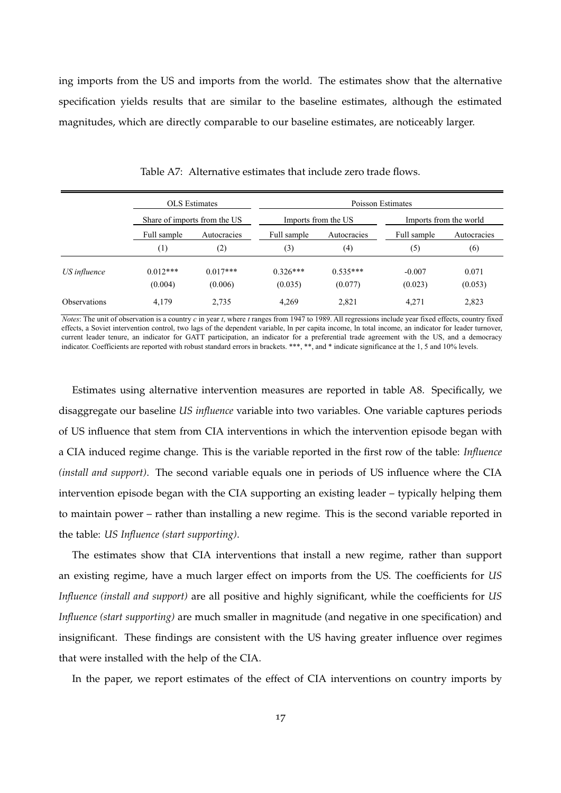<span id="page-16-0"></span>ing imports from the US and imports from the world. The estimates show that the alternative specification yields results that are similar to the baseline estimates, although the estimated magnitudes, which are directly comparable to our baseline estimates, are noticeably larger.

|                     |                       | <b>OLS</b> Estimates         |                       |                       | Poisson Estimates   |                        |
|---------------------|-----------------------|------------------------------|-----------------------|-----------------------|---------------------|------------------------|
|                     |                       | Share of imports from the US |                       | Imports from the US   |                     | Imports from the world |
|                     | Full sample           | Autocracies                  | Full sample           | Autocracies           | Full sample         | Autocracies            |
|                     | $\left(1\right)$      | (2)                          | (3)                   | (4)                   | (5)                 | (6)                    |
| US influence        | $0.012***$<br>(0.004) | $0.017***$<br>(0.006)        | $0.326***$<br>(0.035) | $0.535***$<br>(0.077) | $-0.007$<br>(0.023) | 0.071<br>(0.053)       |
| <b>Observations</b> | 4,179                 | 2,735                        | 4,269                 | 2,821                 | 4.271               | 2,823                  |

Table A7: Alternative estimates that include zero trade flows.

*Notes*: The unit of observation is a country *c* in year *t*, where *t* ranges from 1947 to 1989. All regressions include year fixed effects, country fixed effects, a Soviet intervention control, two lags of the dependent variable, ln per capita income, ln total income, an indicator for leader turnover, current leader tenure, an indicator for GATT participation, an indicator for a preferential trade agreement with the US, and a democracy indicator. Coefficients are reported with robust standard errors in brackets. \*\*\*, \*\*, and \* indicate significance at the 1, 5 and 10% levels.

Estimates using alternative intervention measures are reported in table [A](#page-17-0)8. Specifically, we disaggregate our baseline *US influence* variable into two variables. One variable captures periods of US influence that stem from CIA interventions in which the intervention episode began with a CIA induced regime change. This is the variable reported in the first row of the table: *Influence (install and support)*. The second variable equals one in periods of US influence where the CIA intervention episode began with the CIA supporting an existing leader – typically helping them to maintain power – rather than installing a new regime. This is the second variable reported in the table: *US Influence (start supporting)*.

The estimates show that CIA interventions that install a new regime, rather than support an existing regime, have a much larger effect on imports from the US. The coefficients for *US Influence (install and support)* are all positive and highly significant, while the coefficients for *US Influence (start supporting)* are much smaller in magnitude (and negative in one specification) and insignificant. These findings are consistent with the US having greater influence over regimes that were installed with the help of the CIA.

In the paper, we report estimates of the effect of CIA interventions on country imports by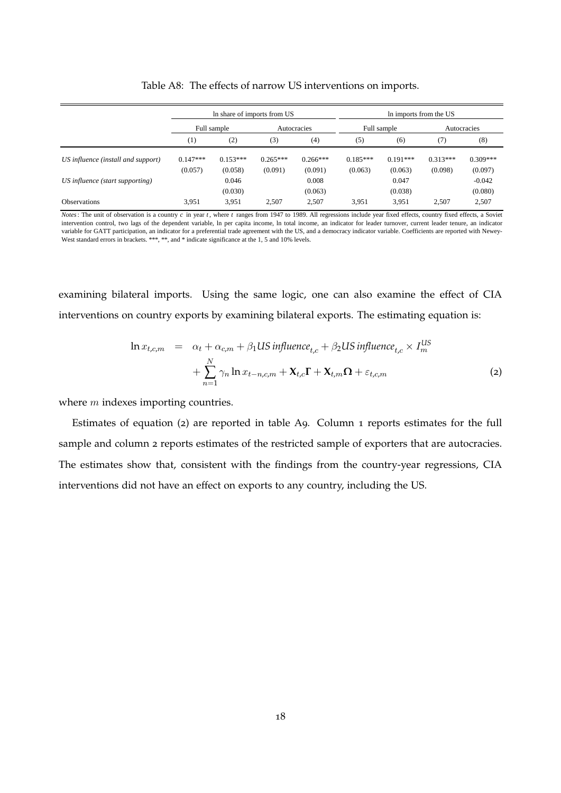<span id="page-17-0"></span>

|                                    |            | In share of imports from US |            |             |            |             | In imports from the US |             |
|------------------------------------|------------|-----------------------------|------------|-------------|------------|-------------|------------------------|-------------|
|                                    |            | Full sample                 |            | Autocracies |            | Full sample |                        | Autocracies |
|                                    | (1)        | (2)                         | (3)        | (4)         | (5)        | (6)         | (7)                    | (8)         |
| US influence (install and support) | $0.147***$ | $0.153***$                  | $0.265***$ | $0.266***$  | $0.185***$ | $0.191***$  | $0.313***$             | $0.309***$  |
|                                    | (0.057)    | (0.058)                     | (0.091)    | (0.091)     | (0.063)    | (0.063)     | (0.098)                | (0.097)     |
| US influence (start supporting)    |            | 0.046                       |            | 0.008       |            | 0.047       |                        | $-0.042$    |
|                                    |            | (0.030)                     |            | (0.063)     |            | (0.038)     |                        | (0.080)     |
| <b>Observations</b>                | 3,951      | 3,951                       | 2.507      | 2,507       | 3,951      | 3,951       | 2,507                  | 2,507       |

Table A8: The effects of narrow US interventions on imports.

*Notes*: The unit of observation is a country *c* in year *t*, where *t* ranges from 1947 to 1989. All regressions include year fixed effects, country fixed effects, a Soviet intervention control, two lags of the dependent variable, ln per capita income, ln total income, an indicator for leader turnover, current leader tenure, an indicator variable for GATT participation, an indicator for a preferential trade agreement with the US, and a democracy indicator variable. Coefficients are reported with Newey-West standard errors in brackets. \*\*\*, \*\*, and \* indicate significance at the 1, 5 and 10% levels.

examining bilateral imports. Using the same logic, one can also examine the effect of CIA interventions on country exports by examining bilateral exports. The estimating equation is:

<span id="page-17-1"></span>
$$
\ln x_{t,c,m} = \alpha_t + \alpha_{c,m} + \beta_1 US\ influence_{t,c} + \beta_2 US\ influence_{t,c} \times I_m^{US}
$$
  
+ 
$$
\sum_{n=1}^{N} \gamma_n \ln x_{t-n,c,m} + \mathbf{X}_{t,c} \mathbf{\Gamma} + \mathbf{X}_{t,m} \mathbf{\Omega} + \varepsilon_{t,c,m}
$$
 (2)

where *m* indexes importing countries.

Estimates of equation ([2](#page-17-1)) are reported in table [A](#page-18-0)9. Column 1 reports estimates for the full sample and column 2 reports estimates of the restricted sample of exporters that are autocracies. The estimates show that, consistent with the findings from the country-year regressions, CIA interventions did not have an effect on exports to any country, including the US.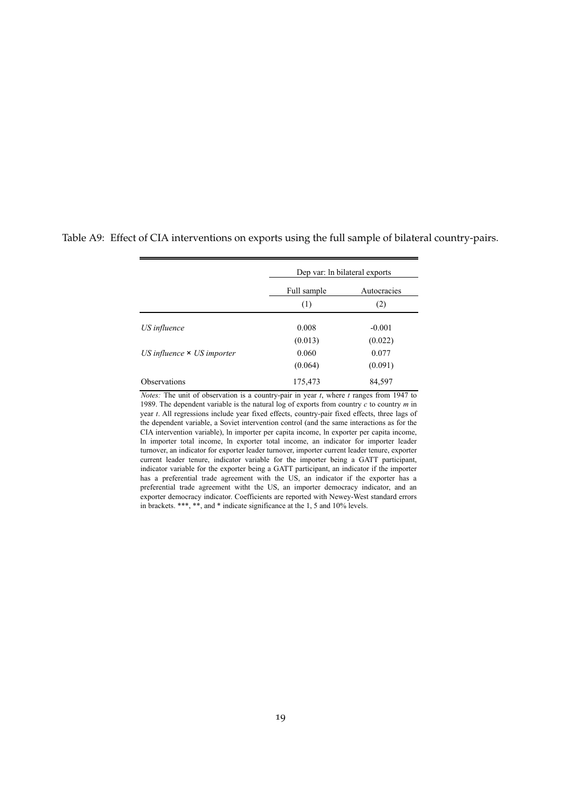|                                   |             | Dep var: ln bilateral exports |
|-----------------------------------|-------------|-------------------------------|
|                                   | Full sample | Autocracies                   |
|                                   | (1)         | (2)                           |
| US influence                      | 0.008       | $-0.001$                      |
|                                   | (0.013)     | (0.022)                       |
| US influence $\times$ US importer | 0.060       | 0.077                         |
|                                   | (0.064)     | (0.091)                       |
| <b>Observations</b>               | 175,473     | 84,597                        |

<span id="page-18-0"></span>Table A9: Effect of CIA interventions on exports using the full sample of bilateral country-pairs.

*Notes:* The unit of observation is a country-pair in year *t*, where *t* ranges from 1947 to 1989. The dependent variable is the natural log of exports from country *c* to country *m* in year *t*. All regressions include year fixed effects, country-pair fixed effects, three lags of the dependent variable, a Soviet intervention control (and the same interactions as for the CIA intervention variable), ln importer per capita income, ln exporter per capita income, ln importer total income, ln exporter total income, an indicator for importer leader turnover, an indicator for exporter leader turnover, importer current leader tenure, exporter current leader tenure, indicator variable for the importer being a GATT participant, indicator variable for the exporter being a GATT participant, an indicator if the importer has a preferential trade agreement with the US, an indicator if the exporter has a preferential trade agreement witht the US, an importer democracy indicator, and an exporter democracy indicator. Coefficients are reported with Newey-West standard errors in brackets. \*\*\*, \*\*, and \* indicate significance at the 1, 5 and 10% levels.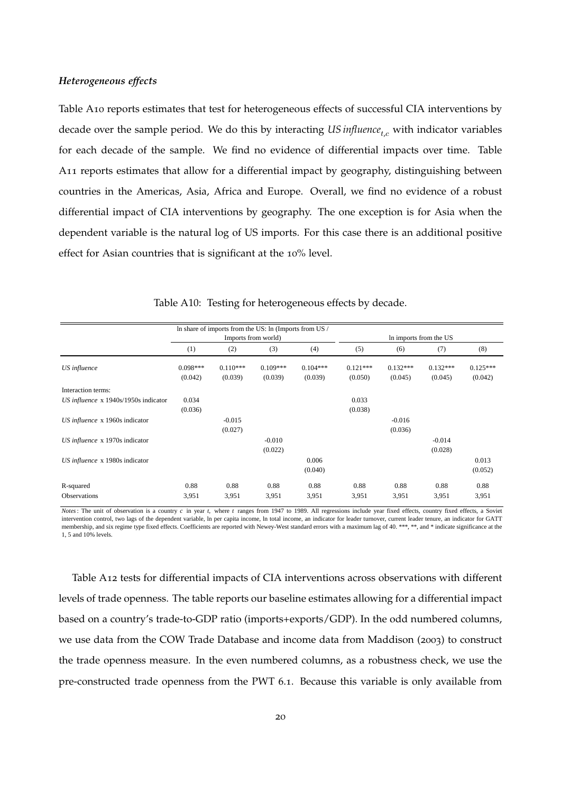#### *Heterogeneous effects*

Table A[10](#page-19-0) reports estimates that test for heterogeneous effects of successful CIA interventions by decade over the sample period. We do this by interacting *US influence<sub>t,c</sub>* with indicator variables for each decade of the sample. We find no evidence of differential impacts over time. Table A[11](#page-20-0) reports estimates that allow for a differential impact by geography, distinguishing between countries in the Americas, Asia, Africa and Europe. Overall, we find no evidence of a robust differential impact of CIA interventions by geography. The one exception is for Asia when the dependent variable is the natural log of US imports. For this case there is an additional positive effect for Asian countries that is significant at the 10% level.

<span id="page-19-0"></span>

|                                        |            |            | In share of imports from the US: In (Imports from US / |            |            |            |                        |            |
|----------------------------------------|------------|------------|--------------------------------------------------------|------------|------------|------------|------------------------|------------|
|                                        |            |            | Imports from world)                                    |            |            |            | In imports from the US |            |
|                                        | (1)        | (2)        | (3)                                                    | (4)        | (5)        | (6)        | (7)                    | (8)        |
| US influence                           | $0.098***$ | $0.110***$ | $0.109***$                                             | $0.104***$ | $0.121***$ | $0.132***$ | $0.132***$             | $0.125***$ |
|                                        | (0.042)    | (0.039)    | (0.039)                                                | (0.039)    | (0.050)    | (0.045)    | (0.045)                | (0.042)    |
| Interaction terms:                     |            |            |                                                        |            |            |            |                        |            |
| US influence $x$ 1940s/1950s indicator | 0.034      |            |                                                        |            | 0.033      |            |                        |            |
|                                        | (0.036)    |            |                                                        |            | (0.038)    |            |                        |            |
| US influence x 1960s indicator         |            | $-0.015$   |                                                        |            |            | $-0.016$   |                        |            |
|                                        |            | (0.027)    |                                                        |            |            | (0.036)    |                        |            |
| US influence x 1970s indicator         |            |            | $-0.010$                                               |            |            |            | $-0.014$               |            |
|                                        |            |            | (0.022)                                                |            |            |            | (0.028)                |            |
| US influence x 1980s indicator         |            |            |                                                        | 0.006      |            |            |                        | 0.013      |
|                                        |            |            |                                                        | (0.040)    |            |            |                        | (0.052)    |
| R-squared                              | 0.88       | 0.88       | 0.88                                                   | 0.88       | 0.88       | 0.88       | 0.88                   | 0.88       |
| <b>Observations</b>                    | 3,951      | 3,951      | 3,951                                                  | 3,951      | 3,951      | 3,951      | 3,951                  | 3,951      |

Table A10: Testing for heterogeneous effects by decade.

*Notes*: The unit of observation is a country *c* in year *t,* where *t* ranges from 1947 to 1989. All regressions include year fixed effects, country fixed effects, a Soviet intervention control, two lags of the dependent variable, ln per capita income, ln total income, an indicator for leader turnover, current leader tenure, an indicator for GATT membership, and six regime type fixed effects. Coefficients are reported with Newey-West standard errors with a maximum lag of 40. \*\*\*, \*\*, and \* indicate significance at the 1, 5 and 10% levels.

Table A[12](#page-21-0) tests for differential impacts of CIA interventions across observations with different levels of trade openness. The table reports our baseline estimates allowing for a differential impact based on a country's trade-to-GDP ratio (imports+exports/GDP). In the odd numbered columns, we use data from the COW Trade Database and income data from [Maddison](#page-37-3) ([2003](#page-37-3)) to construct the trade openness measure. In the even numbered columns, as a robustness check, we use the pre-constructed trade openness from the PWT 6.1. Because this variable is only available from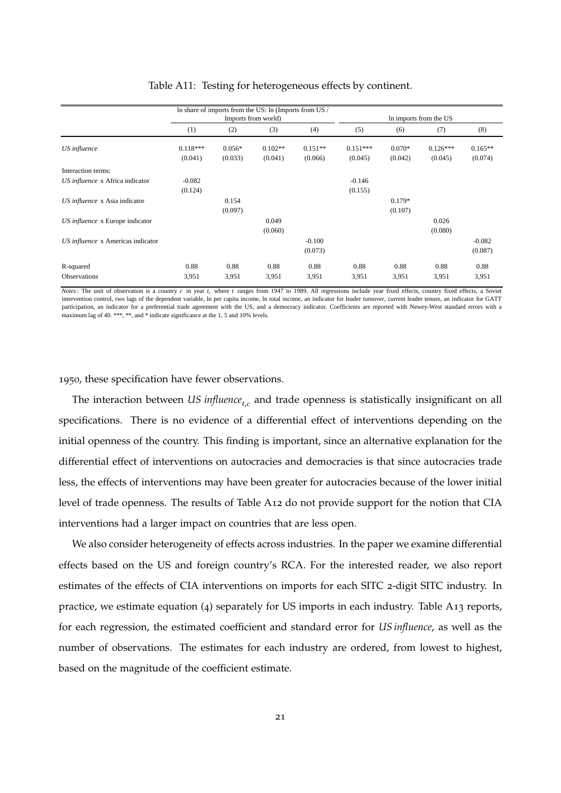<span id="page-20-0"></span>

|                                   |                       |                     | In share of imports from the US: In (Imports from US / |                      |                       |                     |                        |                      |
|-----------------------------------|-----------------------|---------------------|--------------------------------------------------------|----------------------|-----------------------|---------------------|------------------------|----------------------|
|                                   |                       |                     | Imports from world)                                    |                      |                       |                     | In imports from the US |                      |
|                                   | (1)                   | (2)                 | (3)                                                    | (4)                  | (5)                   | (6)                 | (7)                    | (8)                  |
| US influence                      | $0.118***$<br>(0.041) | $0.056*$<br>(0.033) | $0.102**$<br>(0.041)                                   | $0.151**$<br>(0.066) | $0.151***$<br>(0.045) | $0.070*$<br>(0.042) | $0.126***$<br>(0.045)  | $0.165**$<br>(0.074) |
| Interaction terms:                |                       |                     |                                                        |                      |                       |                     |                        |                      |
| US influence x Africa indicator   | $-0.082$<br>(0.124)   |                     |                                                        |                      | $-0.146$<br>(0.155)   |                     |                        |                      |
| US influence x Asia indicator     |                       | 0.154<br>(0.097)    |                                                        |                      |                       | $0.179*$<br>(0.107) |                        |                      |
| US influence x Europe indicator   |                       |                     | 0.049<br>(0.060)                                       |                      |                       |                     | 0.026<br>(0.080)       |                      |
| US influence x Americas indicator |                       |                     |                                                        | $-0.100$<br>(0.073)  |                       |                     |                        | $-0.082$<br>(0.087)  |
| R-squared<br><b>Observations</b>  | 0.88<br>3,951         | 0.88<br>3,951       | 0.88<br>3,951                                          | 0.88<br>3,951        | 0.88<br>3,951         | 0.88<br>3,951       | 0.88<br>3,951          | 0.88<br>3,951        |

#### Table A11: Testing for heterogeneous effects by continent.

*Notes*: The unit of observation is a country *c* in year *t,* where *t* ranges from 1947 to 1989. All regressions include year fixed effects, country fixed effects, a Soviet intervention control, two lags of the dependent variable, ln per capita income, ln total income, an indicator for leader turnover, current leader tenure, an indicator for GATT participation, an indicator for a preferential trade agreement with the US, and a democracy indicator. Coefficients are reported with Newey-West standard errors with a maximum lag of 40. \*\*\*, \*\*, and \* indicate significance at the 1, 5 and 10% levels.

1950, these specification have fewer observations.

The interaction between *US influence<sub>t,c</sub>* and trade openness is statistically insignificant on all specifications. There is no evidence of a differential effect of interventions depending on the initial openness of the country. This finding is important, since an alternative explanation for the differential effect of interventions on autocracies and democracies is that since autocracies trade less, the effects of interventions may have been greater for autocracies because of the lower initial level of trade openness. The results of Table A[12](#page-21-0) do not provide support for the notion that CIA interventions had a larger impact on countries that are less open.

We also consider heterogeneity of effects across industries. In the paper we examine differential effects based on the US and foreign country's RCA. For the interested reader, we also report estimates of the effects of CIA interventions on imports for each SITC 2-digit SITC industry. In practice, we estimate equation (4) separately for US imports in each industry. Table A[13](#page-22-0) reports, for each regression, the estimated coefficient and standard error for *US influence*, as well as the number of observations. The estimates for each industry are ordered, from lowest to highest, based on the magnitude of the coefficient estimate.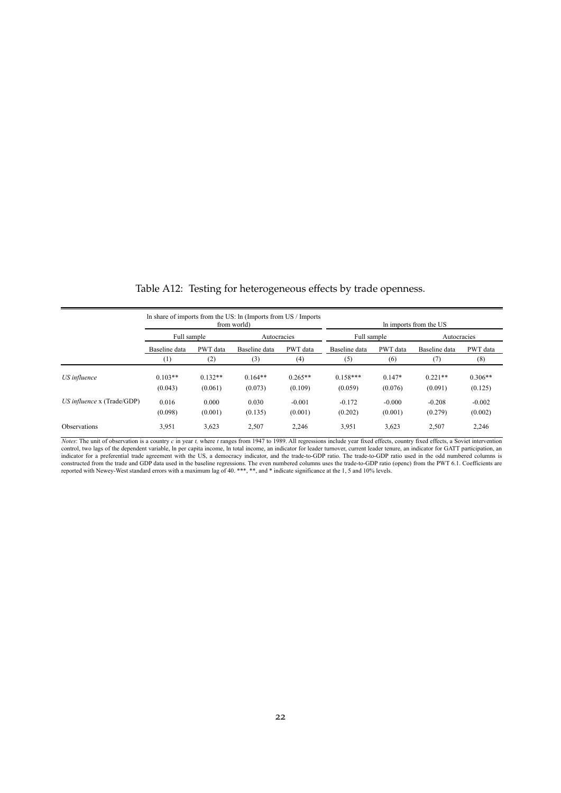<span id="page-21-0"></span>

|                                |               |           | In share of imports from the US: In (Imports from US / Imports<br>from world) |           |               |          | In imports from the US |           |  |  |
|--------------------------------|---------------|-----------|-------------------------------------------------------------------------------|-----------|---------------|----------|------------------------|-----------|--|--|
|                                | Full sample   |           | Autocracies                                                                   |           | Full sample   |          | Autocracies            |           |  |  |
|                                | Baseline data | PWT data  | Baseline data                                                                 | PWT data  | Baseline data | PWT data | Baseline data          | PWT data  |  |  |
|                                | (1)           | (2)       | (3)                                                                           | (4)       | (5)           | (6)      | (7)                    | (8)       |  |  |
| US influence                   | $0.103**$     | $0.132**$ | $0.164**$                                                                     | $0.265**$ | $0.158***$    | $0.147*$ | $0.221**$              | $0.306**$ |  |  |
|                                | (0.043)       | (0.061)   | (0.073)                                                                       | (0.109)   | (0.059)       | (0.076)  | (0.091)                | (0.125)   |  |  |
| $US$ influence $x$ (Trade/GDP) | 0.016         | 0.000     | 0.030                                                                         | $-0.001$  | $-0.172$      | $-0.000$ | $-0.208$               | $-0.002$  |  |  |
|                                | (0.098)       | (0.001)   | (0.135)                                                                       | (0.001)   | (0.202)       | (0.001)  | (0.279)                | (0.002)   |  |  |
| Observations                   | 3,951         | 3,623     | 2,507                                                                         | 2,246     | 3,951         | 3,623    | 2,507                  | 2,246     |  |  |

Table A12: Testing for heterogeneous effects by trade openness.

*Notes*: The unit of observation is a country *c* in year *t,* where *t* ranges from 1947 to 1989. All regressions include year fixed effects, country fixed effects, a Soviet intervention control, two lags of the dependent variable, In per capita income, In total income, an indicator for leader turnover, current leader tenure, an indicator for GATT participation, an indicator for a preferential trade agreem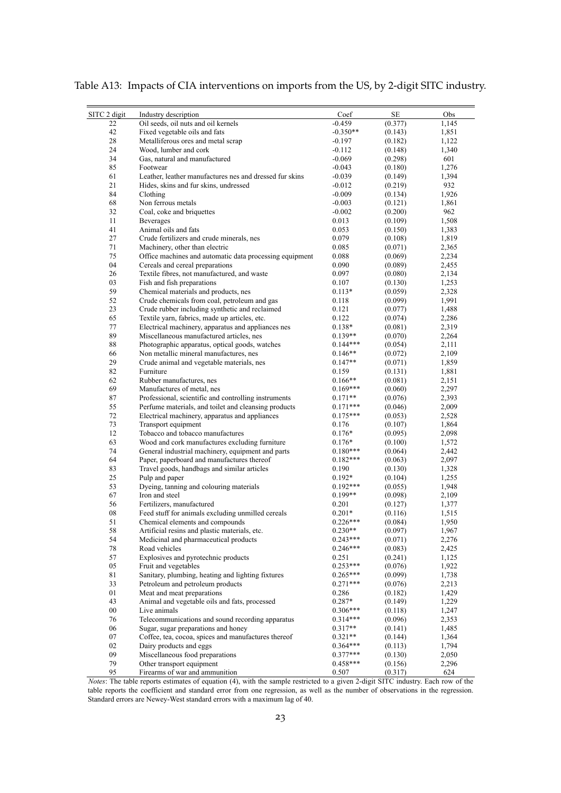| Industry description<br>SЕ<br>SITC 2 digit<br>Coef<br>Obs<br>22<br>Oil seeds, oil nuts and oil kernels<br>$-0.459$<br>(0.377)<br>1,145<br>42<br>Fixed vegetable oils and fats<br>$-0.350**$<br>(0.143)<br>1,851<br>28<br>Metalliferous ores and metal scrap<br>$-0.197$<br>(0.182)<br>1,122<br>24<br>Wood, lumber and cork<br>$-0.112$<br>1,340<br>(0.148)<br>34<br>Gas, natural and manufactured<br>$-0.069$<br>(0.298)<br>601<br>85<br>Footwear<br>$-0.043$<br>(0.180)<br>1,276<br>61<br>Leather, leather manufactures nes and dressed fur skins<br>$-0.039$<br>(0.149)<br>1,394<br>21<br>$-0.012$<br>932<br>Hides, skins and fur skins, undressed<br>(0.219)<br>84<br>$-0.009$<br>1,926<br>Clothing<br>(0.134)<br>68<br>Non ferrous metals<br>$-0.003$<br>(0.121)<br>1,861<br>32<br>Coal, coke and briquettes<br>962<br>$-0.002$<br>(0.200)<br>11<br>Beverages<br>0.013<br>(0.109)<br>1,508<br>41<br>Animal oils and fats<br>0.053<br>1,383<br>(0.150)<br>27<br>Crude fertilizers and crude minerals, nes<br>0.079<br>(0.108)<br>1,819<br>71<br>0.085<br>2,365<br>Machinery, other than electric<br>(0.071)<br>75<br>Office machines and automatic data processing equipment<br>0.088<br>2,234<br>(0.069)<br>04<br>Cereals and cereal preparations<br>0.090<br>2,455<br>(0.089)<br>26<br>Textile fibres, not manufactured, and waste<br>0.097<br>2,134<br>(0.080)<br>03<br>Fish and fish preparations<br>1,253<br>0.107<br>(0.130)<br>59<br>Chemical materials and products, nes<br>$0.113*$<br>2,328<br>(0.059)<br>52<br>Crude chemicals from coal, petroleum and gas<br>1,991<br>(0.099)<br>0.118<br>23<br>Crude rubber including synthetic and reclaimed<br>0.121<br>(0.077)<br>1,488<br>2,286<br>65<br>Textile yarn, fabrics, made up articles, etc.<br>0.122<br>(0.074)<br>77<br>Electrical machinery, apparatus and appliances nes<br>(0.081)<br>2,319<br>$0.138*$<br>89<br>Miscellaneous manufactured articles, nes<br>$0.139**$<br>2,264<br>(0.070)<br>88<br>$0.144***$<br>Photographic apparatus, optical goods, watches<br>(0.054)<br>2,111<br>66<br>Non metallic mineral manufactures, nes<br>$0.146**$<br>(0.072)<br>2,109<br>29<br>$0.147**$<br>Crude animal and vegetable materials, nes<br>(0.071)<br>1,859<br>82<br>Furniture<br>0.159<br>(0.131)<br>1,881<br>Rubber manufactures, nes<br>62<br>$0.166**$<br>(0.081)<br>2,151<br>69<br>Manufactures of metal, nes<br>$0.169***$<br>(0.060)<br>2,297<br>87<br>Professional, scientific and controlling instruments<br>$0.171**$<br>2,393<br>(0.076)<br>55<br>Perfume materials, and toilet and cleansing products<br>$0.171***$<br>2,009<br>(0.046)<br>72<br>$0.175***$<br>(0.053)<br>2,528<br>Electrical machinery, apparatus and appliances<br>73<br>Transport equipment<br>(0.107)<br>1,864<br>0.176<br>12<br>Tobacco and tobacco manufactures<br>$0.176*$<br>(0.095)<br>2,098<br>Wood and cork manufactures excluding furniture<br>63<br>$0.176*$<br>(0.100)<br>1,572<br>74<br>General industrial machinery, equipment and parts<br>$0.180***$<br>(0.064)<br>2,442<br>64<br>Paper, paperboard and manufactures thereof<br>2,097<br>$0.182***$<br>(0.063)<br>83<br>Travel goods, handbags and similar articles<br>0.190<br>(0.130)<br>1,328<br>25<br>Pulp and paper<br>$0.192*$<br>1,255<br>(0.104)<br>53<br>Dyeing, tanning and colouring materials<br>$0.192***$<br>(0.055)<br>1,948<br>0.199**<br>67<br>Iron and steel<br>(0.098)<br>2,109<br>56<br>Fertilizers, manufactured<br>0.201<br>(0.127)<br>1,377<br>08<br>Feed stuff for animals excluding unmilled cereals<br>$0.201*$<br>(0.116)<br>1,515<br>51<br>$0.226***$<br>(0.084)<br>1,950<br>Chemical elements and compounds<br>58<br>Artificial resins and plastic materials, etc.<br>$0.230**$<br>(0.097)<br>1,967<br>$0.243***$<br>54<br>Medicinal and pharmaceutical products<br>(0.071)<br>2,276<br>$0.246***$<br>Road vehicles<br>(0.083)<br>2,425<br>78<br>57<br>Explosives and pyrotechnic products<br>1,125<br>0.251<br>(0.241)<br>05<br>Fruit and vegetables<br>$0.253***$<br>(0.076)<br>1,922<br>81<br>Sanitary, plumbing, heating and lighting fixtures<br>$0.265***$<br>(0.099)<br>1,738<br>33<br>Petroleum and petroleum products<br>$0.271***$<br>(0.076)<br>2,213<br>01<br>Meat and meat preparations<br>0.286<br>1,429<br>(0.182)<br>43<br>Animal and vegetable oils and fats, processed<br>$0.287*$<br>(0.149)<br>1,229<br>$00\,$<br>Live animals<br>$0.306***$<br>1,247<br>(0.118)<br>76<br>Telecommunications and sound recording apparatus<br>(0.096)<br>2,353<br>$0.314***$<br>Sugar, sugar preparations and honey<br>$0.317**$<br>06<br>(0.141)<br>1,485<br>07<br>Coffee, tea, cocoa, spices and manufactures thereof<br>$0.321**$<br>(0.144)<br>1,364<br>02<br>Dairy products and eggs<br>$0.364***$<br>1,794<br>(0.113)<br>$0.377***$<br>09<br>Miscellaneous food preparations<br>(0.130)<br>2,050<br>79<br>Other transport equipment<br>$0.458***$<br>2,296<br>(0.156)<br>95<br>Firearms of war and ammunition<br>0.507<br>(0.317)<br>624 |  |  |  |
|-------------------------------------------------------------------------------------------------------------------------------------------------------------------------------------------------------------------------------------------------------------------------------------------------------------------------------------------------------------------------------------------------------------------------------------------------------------------------------------------------------------------------------------------------------------------------------------------------------------------------------------------------------------------------------------------------------------------------------------------------------------------------------------------------------------------------------------------------------------------------------------------------------------------------------------------------------------------------------------------------------------------------------------------------------------------------------------------------------------------------------------------------------------------------------------------------------------------------------------------------------------------------------------------------------------------------------------------------------------------------------------------------------------------------------------------------------------------------------------------------------------------------------------------------------------------------------------------------------------------------------------------------------------------------------------------------------------------------------------------------------------------------------------------------------------------------------------------------------------------------------------------------------------------------------------------------------------------------------------------------------------------------------------------------------------------------------------------------------------------------------------------------------------------------------------------------------------------------------------------------------------------------------------------------------------------------------------------------------------------------------------------------------------------------------------------------------------------------------------------------------------------------------------------------------------------------------------------------------------------------------------------------------------------------------------------------------------------------------------------------------------------------------------------------------------------------------------------------------------------------------------------------------------------------------------------------------------------------------------------------------------------------------------------------------------------------------------------------------------------------------------------------------------------------------------------------------------------------------------------------------------------------------------------------------------------------------------------------------------------------------------------------------------------------------------------------------------------------------------------------------------------------------------------------------------------------------------------------------------------------------------------------------------------------------------------------------------------------------------------------------------------------------------------------------------------------------------------------------------------------------------------------------------------------------------------------------------------------------------------------------------------------------------------------------------------------------------------------------------------------------------------------------------------------------------------------------------------------------------------------------------------------------------------------------------------------------------------------------------------------------------------------------------------------------------------------------------------------------------------------------------------------------------------------------------------------------------------------------------------------------------------------------------------------------------------------------------------------------------------------------------------------------------------------------------------------------------------------------------------------------------------------------------------------------------------------------------------------------------------------|--|--|--|
|                                                                                                                                                                                                                                                                                                                                                                                                                                                                                                                                                                                                                                                                                                                                                                                                                                                                                                                                                                                                                                                                                                                                                                                                                                                                                                                                                                                                                                                                                                                                                                                                                                                                                                                                                                                                                                                                                                                                                                                                                                                                                                                                                                                                                                                                                                                                                                                                                                                                                                                                                                                                                                                                                                                                                                                                                                                                                                                                                                                                                                                                                                                                                                                                                                                                                                                                                                                                                                                                                                                                                                                                                                                                                                                                                                                                                                                                                                                                                                                                                                                                                                                                                                                                                                                                                                                                                                                                                                                                                                                                                                                                                                                                                                                                                                                                                                                                                                                                                                                                 |  |  |  |
|                                                                                                                                                                                                                                                                                                                                                                                                                                                                                                                                                                                                                                                                                                                                                                                                                                                                                                                                                                                                                                                                                                                                                                                                                                                                                                                                                                                                                                                                                                                                                                                                                                                                                                                                                                                                                                                                                                                                                                                                                                                                                                                                                                                                                                                                                                                                                                                                                                                                                                                                                                                                                                                                                                                                                                                                                                                                                                                                                                                                                                                                                                                                                                                                                                                                                                                                                                                                                                                                                                                                                                                                                                                                                                                                                                                                                                                                                                                                                                                                                                                                                                                                                                                                                                                                                                                                                                                                                                                                                                                                                                                                                                                                                                                                                                                                                                                                                                                                                                                                 |  |  |  |
|                                                                                                                                                                                                                                                                                                                                                                                                                                                                                                                                                                                                                                                                                                                                                                                                                                                                                                                                                                                                                                                                                                                                                                                                                                                                                                                                                                                                                                                                                                                                                                                                                                                                                                                                                                                                                                                                                                                                                                                                                                                                                                                                                                                                                                                                                                                                                                                                                                                                                                                                                                                                                                                                                                                                                                                                                                                                                                                                                                                                                                                                                                                                                                                                                                                                                                                                                                                                                                                                                                                                                                                                                                                                                                                                                                                                                                                                                                                                                                                                                                                                                                                                                                                                                                                                                                                                                                                                                                                                                                                                                                                                                                                                                                                                                                                                                                                                                                                                                                                                 |  |  |  |
|                                                                                                                                                                                                                                                                                                                                                                                                                                                                                                                                                                                                                                                                                                                                                                                                                                                                                                                                                                                                                                                                                                                                                                                                                                                                                                                                                                                                                                                                                                                                                                                                                                                                                                                                                                                                                                                                                                                                                                                                                                                                                                                                                                                                                                                                                                                                                                                                                                                                                                                                                                                                                                                                                                                                                                                                                                                                                                                                                                                                                                                                                                                                                                                                                                                                                                                                                                                                                                                                                                                                                                                                                                                                                                                                                                                                                                                                                                                                                                                                                                                                                                                                                                                                                                                                                                                                                                                                                                                                                                                                                                                                                                                                                                                                                                                                                                                                                                                                                                                                 |  |  |  |
|                                                                                                                                                                                                                                                                                                                                                                                                                                                                                                                                                                                                                                                                                                                                                                                                                                                                                                                                                                                                                                                                                                                                                                                                                                                                                                                                                                                                                                                                                                                                                                                                                                                                                                                                                                                                                                                                                                                                                                                                                                                                                                                                                                                                                                                                                                                                                                                                                                                                                                                                                                                                                                                                                                                                                                                                                                                                                                                                                                                                                                                                                                                                                                                                                                                                                                                                                                                                                                                                                                                                                                                                                                                                                                                                                                                                                                                                                                                                                                                                                                                                                                                                                                                                                                                                                                                                                                                                                                                                                                                                                                                                                                                                                                                                                                                                                                                                                                                                                                                                 |  |  |  |
|                                                                                                                                                                                                                                                                                                                                                                                                                                                                                                                                                                                                                                                                                                                                                                                                                                                                                                                                                                                                                                                                                                                                                                                                                                                                                                                                                                                                                                                                                                                                                                                                                                                                                                                                                                                                                                                                                                                                                                                                                                                                                                                                                                                                                                                                                                                                                                                                                                                                                                                                                                                                                                                                                                                                                                                                                                                                                                                                                                                                                                                                                                                                                                                                                                                                                                                                                                                                                                                                                                                                                                                                                                                                                                                                                                                                                                                                                                                                                                                                                                                                                                                                                                                                                                                                                                                                                                                                                                                                                                                                                                                                                                                                                                                                                                                                                                                                                                                                                                                                 |  |  |  |
|                                                                                                                                                                                                                                                                                                                                                                                                                                                                                                                                                                                                                                                                                                                                                                                                                                                                                                                                                                                                                                                                                                                                                                                                                                                                                                                                                                                                                                                                                                                                                                                                                                                                                                                                                                                                                                                                                                                                                                                                                                                                                                                                                                                                                                                                                                                                                                                                                                                                                                                                                                                                                                                                                                                                                                                                                                                                                                                                                                                                                                                                                                                                                                                                                                                                                                                                                                                                                                                                                                                                                                                                                                                                                                                                                                                                                                                                                                                                                                                                                                                                                                                                                                                                                                                                                                                                                                                                                                                                                                                                                                                                                                                                                                                                                                                                                                                                                                                                                                                                 |  |  |  |
|                                                                                                                                                                                                                                                                                                                                                                                                                                                                                                                                                                                                                                                                                                                                                                                                                                                                                                                                                                                                                                                                                                                                                                                                                                                                                                                                                                                                                                                                                                                                                                                                                                                                                                                                                                                                                                                                                                                                                                                                                                                                                                                                                                                                                                                                                                                                                                                                                                                                                                                                                                                                                                                                                                                                                                                                                                                                                                                                                                                                                                                                                                                                                                                                                                                                                                                                                                                                                                                                                                                                                                                                                                                                                                                                                                                                                                                                                                                                                                                                                                                                                                                                                                                                                                                                                                                                                                                                                                                                                                                                                                                                                                                                                                                                                                                                                                                                                                                                                                                                 |  |  |  |
|                                                                                                                                                                                                                                                                                                                                                                                                                                                                                                                                                                                                                                                                                                                                                                                                                                                                                                                                                                                                                                                                                                                                                                                                                                                                                                                                                                                                                                                                                                                                                                                                                                                                                                                                                                                                                                                                                                                                                                                                                                                                                                                                                                                                                                                                                                                                                                                                                                                                                                                                                                                                                                                                                                                                                                                                                                                                                                                                                                                                                                                                                                                                                                                                                                                                                                                                                                                                                                                                                                                                                                                                                                                                                                                                                                                                                                                                                                                                                                                                                                                                                                                                                                                                                                                                                                                                                                                                                                                                                                                                                                                                                                                                                                                                                                                                                                                                                                                                                                                                 |  |  |  |
|                                                                                                                                                                                                                                                                                                                                                                                                                                                                                                                                                                                                                                                                                                                                                                                                                                                                                                                                                                                                                                                                                                                                                                                                                                                                                                                                                                                                                                                                                                                                                                                                                                                                                                                                                                                                                                                                                                                                                                                                                                                                                                                                                                                                                                                                                                                                                                                                                                                                                                                                                                                                                                                                                                                                                                                                                                                                                                                                                                                                                                                                                                                                                                                                                                                                                                                                                                                                                                                                                                                                                                                                                                                                                                                                                                                                                                                                                                                                                                                                                                                                                                                                                                                                                                                                                                                                                                                                                                                                                                                                                                                                                                                                                                                                                                                                                                                                                                                                                                                                 |  |  |  |
|                                                                                                                                                                                                                                                                                                                                                                                                                                                                                                                                                                                                                                                                                                                                                                                                                                                                                                                                                                                                                                                                                                                                                                                                                                                                                                                                                                                                                                                                                                                                                                                                                                                                                                                                                                                                                                                                                                                                                                                                                                                                                                                                                                                                                                                                                                                                                                                                                                                                                                                                                                                                                                                                                                                                                                                                                                                                                                                                                                                                                                                                                                                                                                                                                                                                                                                                                                                                                                                                                                                                                                                                                                                                                                                                                                                                                                                                                                                                                                                                                                                                                                                                                                                                                                                                                                                                                                                                                                                                                                                                                                                                                                                                                                                                                                                                                                                                                                                                                                                                 |  |  |  |
|                                                                                                                                                                                                                                                                                                                                                                                                                                                                                                                                                                                                                                                                                                                                                                                                                                                                                                                                                                                                                                                                                                                                                                                                                                                                                                                                                                                                                                                                                                                                                                                                                                                                                                                                                                                                                                                                                                                                                                                                                                                                                                                                                                                                                                                                                                                                                                                                                                                                                                                                                                                                                                                                                                                                                                                                                                                                                                                                                                                                                                                                                                                                                                                                                                                                                                                                                                                                                                                                                                                                                                                                                                                                                                                                                                                                                                                                                                                                                                                                                                                                                                                                                                                                                                                                                                                                                                                                                                                                                                                                                                                                                                                                                                                                                                                                                                                                                                                                                                                                 |  |  |  |
|                                                                                                                                                                                                                                                                                                                                                                                                                                                                                                                                                                                                                                                                                                                                                                                                                                                                                                                                                                                                                                                                                                                                                                                                                                                                                                                                                                                                                                                                                                                                                                                                                                                                                                                                                                                                                                                                                                                                                                                                                                                                                                                                                                                                                                                                                                                                                                                                                                                                                                                                                                                                                                                                                                                                                                                                                                                                                                                                                                                                                                                                                                                                                                                                                                                                                                                                                                                                                                                                                                                                                                                                                                                                                                                                                                                                                                                                                                                                                                                                                                                                                                                                                                                                                                                                                                                                                                                                                                                                                                                                                                                                                                                                                                                                                                                                                                                                                                                                                                                                 |  |  |  |
|                                                                                                                                                                                                                                                                                                                                                                                                                                                                                                                                                                                                                                                                                                                                                                                                                                                                                                                                                                                                                                                                                                                                                                                                                                                                                                                                                                                                                                                                                                                                                                                                                                                                                                                                                                                                                                                                                                                                                                                                                                                                                                                                                                                                                                                                                                                                                                                                                                                                                                                                                                                                                                                                                                                                                                                                                                                                                                                                                                                                                                                                                                                                                                                                                                                                                                                                                                                                                                                                                                                                                                                                                                                                                                                                                                                                                                                                                                                                                                                                                                                                                                                                                                                                                                                                                                                                                                                                                                                                                                                                                                                                                                                                                                                                                                                                                                                                                                                                                                                                 |  |  |  |
|                                                                                                                                                                                                                                                                                                                                                                                                                                                                                                                                                                                                                                                                                                                                                                                                                                                                                                                                                                                                                                                                                                                                                                                                                                                                                                                                                                                                                                                                                                                                                                                                                                                                                                                                                                                                                                                                                                                                                                                                                                                                                                                                                                                                                                                                                                                                                                                                                                                                                                                                                                                                                                                                                                                                                                                                                                                                                                                                                                                                                                                                                                                                                                                                                                                                                                                                                                                                                                                                                                                                                                                                                                                                                                                                                                                                                                                                                                                                                                                                                                                                                                                                                                                                                                                                                                                                                                                                                                                                                                                                                                                                                                                                                                                                                                                                                                                                                                                                                                                                 |  |  |  |
|                                                                                                                                                                                                                                                                                                                                                                                                                                                                                                                                                                                                                                                                                                                                                                                                                                                                                                                                                                                                                                                                                                                                                                                                                                                                                                                                                                                                                                                                                                                                                                                                                                                                                                                                                                                                                                                                                                                                                                                                                                                                                                                                                                                                                                                                                                                                                                                                                                                                                                                                                                                                                                                                                                                                                                                                                                                                                                                                                                                                                                                                                                                                                                                                                                                                                                                                                                                                                                                                                                                                                                                                                                                                                                                                                                                                                                                                                                                                                                                                                                                                                                                                                                                                                                                                                                                                                                                                                                                                                                                                                                                                                                                                                                                                                                                                                                                                                                                                                                                                 |  |  |  |
|                                                                                                                                                                                                                                                                                                                                                                                                                                                                                                                                                                                                                                                                                                                                                                                                                                                                                                                                                                                                                                                                                                                                                                                                                                                                                                                                                                                                                                                                                                                                                                                                                                                                                                                                                                                                                                                                                                                                                                                                                                                                                                                                                                                                                                                                                                                                                                                                                                                                                                                                                                                                                                                                                                                                                                                                                                                                                                                                                                                                                                                                                                                                                                                                                                                                                                                                                                                                                                                                                                                                                                                                                                                                                                                                                                                                                                                                                                                                                                                                                                                                                                                                                                                                                                                                                                                                                                                                                                                                                                                                                                                                                                                                                                                                                                                                                                                                                                                                                                                                 |  |  |  |
|                                                                                                                                                                                                                                                                                                                                                                                                                                                                                                                                                                                                                                                                                                                                                                                                                                                                                                                                                                                                                                                                                                                                                                                                                                                                                                                                                                                                                                                                                                                                                                                                                                                                                                                                                                                                                                                                                                                                                                                                                                                                                                                                                                                                                                                                                                                                                                                                                                                                                                                                                                                                                                                                                                                                                                                                                                                                                                                                                                                                                                                                                                                                                                                                                                                                                                                                                                                                                                                                                                                                                                                                                                                                                                                                                                                                                                                                                                                                                                                                                                                                                                                                                                                                                                                                                                                                                                                                                                                                                                                                                                                                                                                                                                                                                                                                                                                                                                                                                                                                 |  |  |  |
|                                                                                                                                                                                                                                                                                                                                                                                                                                                                                                                                                                                                                                                                                                                                                                                                                                                                                                                                                                                                                                                                                                                                                                                                                                                                                                                                                                                                                                                                                                                                                                                                                                                                                                                                                                                                                                                                                                                                                                                                                                                                                                                                                                                                                                                                                                                                                                                                                                                                                                                                                                                                                                                                                                                                                                                                                                                                                                                                                                                                                                                                                                                                                                                                                                                                                                                                                                                                                                                                                                                                                                                                                                                                                                                                                                                                                                                                                                                                                                                                                                                                                                                                                                                                                                                                                                                                                                                                                                                                                                                                                                                                                                                                                                                                                                                                                                                                                                                                                                                                 |  |  |  |
|                                                                                                                                                                                                                                                                                                                                                                                                                                                                                                                                                                                                                                                                                                                                                                                                                                                                                                                                                                                                                                                                                                                                                                                                                                                                                                                                                                                                                                                                                                                                                                                                                                                                                                                                                                                                                                                                                                                                                                                                                                                                                                                                                                                                                                                                                                                                                                                                                                                                                                                                                                                                                                                                                                                                                                                                                                                                                                                                                                                                                                                                                                                                                                                                                                                                                                                                                                                                                                                                                                                                                                                                                                                                                                                                                                                                                                                                                                                                                                                                                                                                                                                                                                                                                                                                                                                                                                                                                                                                                                                                                                                                                                                                                                                                                                                                                                                                                                                                                                                                 |  |  |  |
|                                                                                                                                                                                                                                                                                                                                                                                                                                                                                                                                                                                                                                                                                                                                                                                                                                                                                                                                                                                                                                                                                                                                                                                                                                                                                                                                                                                                                                                                                                                                                                                                                                                                                                                                                                                                                                                                                                                                                                                                                                                                                                                                                                                                                                                                                                                                                                                                                                                                                                                                                                                                                                                                                                                                                                                                                                                                                                                                                                                                                                                                                                                                                                                                                                                                                                                                                                                                                                                                                                                                                                                                                                                                                                                                                                                                                                                                                                                                                                                                                                                                                                                                                                                                                                                                                                                                                                                                                                                                                                                                                                                                                                                                                                                                                                                                                                                                                                                                                                                                 |  |  |  |
|                                                                                                                                                                                                                                                                                                                                                                                                                                                                                                                                                                                                                                                                                                                                                                                                                                                                                                                                                                                                                                                                                                                                                                                                                                                                                                                                                                                                                                                                                                                                                                                                                                                                                                                                                                                                                                                                                                                                                                                                                                                                                                                                                                                                                                                                                                                                                                                                                                                                                                                                                                                                                                                                                                                                                                                                                                                                                                                                                                                                                                                                                                                                                                                                                                                                                                                                                                                                                                                                                                                                                                                                                                                                                                                                                                                                                                                                                                                                                                                                                                                                                                                                                                                                                                                                                                                                                                                                                                                                                                                                                                                                                                                                                                                                                                                                                                                                                                                                                                                                 |  |  |  |
|                                                                                                                                                                                                                                                                                                                                                                                                                                                                                                                                                                                                                                                                                                                                                                                                                                                                                                                                                                                                                                                                                                                                                                                                                                                                                                                                                                                                                                                                                                                                                                                                                                                                                                                                                                                                                                                                                                                                                                                                                                                                                                                                                                                                                                                                                                                                                                                                                                                                                                                                                                                                                                                                                                                                                                                                                                                                                                                                                                                                                                                                                                                                                                                                                                                                                                                                                                                                                                                                                                                                                                                                                                                                                                                                                                                                                                                                                                                                                                                                                                                                                                                                                                                                                                                                                                                                                                                                                                                                                                                                                                                                                                                                                                                                                                                                                                                                                                                                                                                                 |  |  |  |
|                                                                                                                                                                                                                                                                                                                                                                                                                                                                                                                                                                                                                                                                                                                                                                                                                                                                                                                                                                                                                                                                                                                                                                                                                                                                                                                                                                                                                                                                                                                                                                                                                                                                                                                                                                                                                                                                                                                                                                                                                                                                                                                                                                                                                                                                                                                                                                                                                                                                                                                                                                                                                                                                                                                                                                                                                                                                                                                                                                                                                                                                                                                                                                                                                                                                                                                                                                                                                                                                                                                                                                                                                                                                                                                                                                                                                                                                                                                                                                                                                                                                                                                                                                                                                                                                                                                                                                                                                                                                                                                                                                                                                                                                                                                                                                                                                                                                                                                                                                                                 |  |  |  |
|                                                                                                                                                                                                                                                                                                                                                                                                                                                                                                                                                                                                                                                                                                                                                                                                                                                                                                                                                                                                                                                                                                                                                                                                                                                                                                                                                                                                                                                                                                                                                                                                                                                                                                                                                                                                                                                                                                                                                                                                                                                                                                                                                                                                                                                                                                                                                                                                                                                                                                                                                                                                                                                                                                                                                                                                                                                                                                                                                                                                                                                                                                                                                                                                                                                                                                                                                                                                                                                                                                                                                                                                                                                                                                                                                                                                                                                                                                                                                                                                                                                                                                                                                                                                                                                                                                                                                                                                                                                                                                                                                                                                                                                                                                                                                                                                                                                                                                                                                                                                 |  |  |  |
|                                                                                                                                                                                                                                                                                                                                                                                                                                                                                                                                                                                                                                                                                                                                                                                                                                                                                                                                                                                                                                                                                                                                                                                                                                                                                                                                                                                                                                                                                                                                                                                                                                                                                                                                                                                                                                                                                                                                                                                                                                                                                                                                                                                                                                                                                                                                                                                                                                                                                                                                                                                                                                                                                                                                                                                                                                                                                                                                                                                                                                                                                                                                                                                                                                                                                                                                                                                                                                                                                                                                                                                                                                                                                                                                                                                                                                                                                                                                                                                                                                                                                                                                                                                                                                                                                                                                                                                                                                                                                                                                                                                                                                                                                                                                                                                                                                                                                                                                                                                                 |  |  |  |
|                                                                                                                                                                                                                                                                                                                                                                                                                                                                                                                                                                                                                                                                                                                                                                                                                                                                                                                                                                                                                                                                                                                                                                                                                                                                                                                                                                                                                                                                                                                                                                                                                                                                                                                                                                                                                                                                                                                                                                                                                                                                                                                                                                                                                                                                                                                                                                                                                                                                                                                                                                                                                                                                                                                                                                                                                                                                                                                                                                                                                                                                                                                                                                                                                                                                                                                                                                                                                                                                                                                                                                                                                                                                                                                                                                                                                                                                                                                                                                                                                                                                                                                                                                                                                                                                                                                                                                                                                                                                                                                                                                                                                                                                                                                                                                                                                                                                                                                                                                                                 |  |  |  |
|                                                                                                                                                                                                                                                                                                                                                                                                                                                                                                                                                                                                                                                                                                                                                                                                                                                                                                                                                                                                                                                                                                                                                                                                                                                                                                                                                                                                                                                                                                                                                                                                                                                                                                                                                                                                                                                                                                                                                                                                                                                                                                                                                                                                                                                                                                                                                                                                                                                                                                                                                                                                                                                                                                                                                                                                                                                                                                                                                                                                                                                                                                                                                                                                                                                                                                                                                                                                                                                                                                                                                                                                                                                                                                                                                                                                                                                                                                                                                                                                                                                                                                                                                                                                                                                                                                                                                                                                                                                                                                                                                                                                                                                                                                                                                                                                                                                                                                                                                                                                 |  |  |  |
|                                                                                                                                                                                                                                                                                                                                                                                                                                                                                                                                                                                                                                                                                                                                                                                                                                                                                                                                                                                                                                                                                                                                                                                                                                                                                                                                                                                                                                                                                                                                                                                                                                                                                                                                                                                                                                                                                                                                                                                                                                                                                                                                                                                                                                                                                                                                                                                                                                                                                                                                                                                                                                                                                                                                                                                                                                                                                                                                                                                                                                                                                                                                                                                                                                                                                                                                                                                                                                                                                                                                                                                                                                                                                                                                                                                                                                                                                                                                                                                                                                                                                                                                                                                                                                                                                                                                                                                                                                                                                                                                                                                                                                                                                                                                                                                                                                                                                                                                                                                                 |  |  |  |
|                                                                                                                                                                                                                                                                                                                                                                                                                                                                                                                                                                                                                                                                                                                                                                                                                                                                                                                                                                                                                                                                                                                                                                                                                                                                                                                                                                                                                                                                                                                                                                                                                                                                                                                                                                                                                                                                                                                                                                                                                                                                                                                                                                                                                                                                                                                                                                                                                                                                                                                                                                                                                                                                                                                                                                                                                                                                                                                                                                                                                                                                                                                                                                                                                                                                                                                                                                                                                                                                                                                                                                                                                                                                                                                                                                                                                                                                                                                                                                                                                                                                                                                                                                                                                                                                                                                                                                                                                                                                                                                                                                                                                                                                                                                                                                                                                                                                                                                                                                                                 |  |  |  |
|                                                                                                                                                                                                                                                                                                                                                                                                                                                                                                                                                                                                                                                                                                                                                                                                                                                                                                                                                                                                                                                                                                                                                                                                                                                                                                                                                                                                                                                                                                                                                                                                                                                                                                                                                                                                                                                                                                                                                                                                                                                                                                                                                                                                                                                                                                                                                                                                                                                                                                                                                                                                                                                                                                                                                                                                                                                                                                                                                                                                                                                                                                                                                                                                                                                                                                                                                                                                                                                                                                                                                                                                                                                                                                                                                                                                                                                                                                                                                                                                                                                                                                                                                                                                                                                                                                                                                                                                                                                                                                                                                                                                                                                                                                                                                                                                                                                                                                                                                                                                 |  |  |  |
|                                                                                                                                                                                                                                                                                                                                                                                                                                                                                                                                                                                                                                                                                                                                                                                                                                                                                                                                                                                                                                                                                                                                                                                                                                                                                                                                                                                                                                                                                                                                                                                                                                                                                                                                                                                                                                                                                                                                                                                                                                                                                                                                                                                                                                                                                                                                                                                                                                                                                                                                                                                                                                                                                                                                                                                                                                                                                                                                                                                                                                                                                                                                                                                                                                                                                                                                                                                                                                                                                                                                                                                                                                                                                                                                                                                                                                                                                                                                                                                                                                                                                                                                                                                                                                                                                                                                                                                                                                                                                                                                                                                                                                                                                                                                                                                                                                                                                                                                                                                                 |  |  |  |
|                                                                                                                                                                                                                                                                                                                                                                                                                                                                                                                                                                                                                                                                                                                                                                                                                                                                                                                                                                                                                                                                                                                                                                                                                                                                                                                                                                                                                                                                                                                                                                                                                                                                                                                                                                                                                                                                                                                                                                                                                                                                                                                                                                                                                                                                                                                                                                                                                                                                                                                                                                                                                                                                                                                                                                                                                                                                                                                                                                                                                                                                                                                                                                                                                                                                                                                                                                                                                                                                                                                                                                                                                                                                                                                                                                                                                                                                                                                                                                                                                                                                                                                                                                                                                                                                                                                                                                                                                                                                                                                                                                                                                                                                                                                                                                                                                                                                                                                                                                                                 |  |  |  |
|                                                                                                                                                                                                                                                                                                                                                                                                                                                                                                                                                                                                                                                                                                                                                                                                                                                                                                                                                                                                                                                                                                                                                                                                                                                                                                                                                                                                                                                                                                                                                                                                                                                                                                                                                                                                                                                                                                                                                                                                                                                                                                                                                                                                                                                                                                                                                                                                                                                                                                                                                                                                                                                                                                                                                                                                                                                                                                                                                                                                                                                                                                                                                                                                                                                                                                                                                                                                                                                                                                                                                                                                                                                                                                                                                                                                                                                                                                                                                                                                                                                                                                                                                                                                                                                                                                                                                                                                                                                                                                                                                                                                                                                                                                                                                                                                                                                                                                                                                                                                 |  |  |  |
|                                                                                                                                                                                                                                                                                                                                                                                                                                                                                                                                                                                                                                                                                                                                                                                                                                                                                                                                                                                                                                                                                                                                                                                                                                                                                                                                                                                                                                                                                                                                                                                                                                                                                                                                                                                                                                                                                                                                                                                                                                                                                                                                                                                                                                                                                                                                                                                                                                                                                                                                                                                                                                                                                                                                                                                                                                                                                                                                                                                                                                                                                                                                                                                                                                                                                                                                                                                                                                                                                                                                                                                                                                                                                                                                                                                                                                                                                                                                                                                                                                                                                                                                                                                                                                                                                                                                                                                                                                                                                                                                                                                                                                                                                                                                                                                                                                                                                                                                                                                                 |  |  |  |
|                                                                                                                                                                                                                                                                                                                                                                                                                                                                                                                                                                                                                                                                                                                                                                                                                                                                                                                                                                                                                                                                                                                                                                                                                                                                                                                                                                                                                                                                                                                                                                                                                                                                                                                                                                                                                                                                                                                                                                                                                                                                                                                                                                                                                                                                                                                                                                                                                                                                                                                                                                                                                                                                                                                                                                                                                                                                                                                                                                                                                                                                                                                                                                                                                                                                                                                                                                                                                                                                                                                                                                                                                                                                                                                                                                                                                                                                                                                                                                                                                                                                                                                                                                                                                                                                                                                                                                                                                                                                                                                                                                                                                                                                                                                                                                                                                                                                                                                                                                                                 |  |  |  |
|                                                                                                                                                                                                                                                                                                                                                                                                                                                                                                                                                                                                                                                                                                                                                                                                                                                                                                                                                                                                                                                                                                                                                                                                                                                                                                                                                                                                                                                                                                                                                                                                                                                                                                                                                                                                                                                                                                                                                                                                                                                                                                                                                                                                                                                                                                                                                                                                                                                                                                                                                                                                                                                                                                                                                                                                                                                                                                                                                                                                                                                                                                                                                                                                                                                                                                                                                                                                                                                                                                                                                                                                                                                                                                                                                                                                                                                                                                                                                                                                                                                                                                                                                                                                                                                                                                                                                                                                                                                                                                                                                                                                                                                                                                                                                                                                                                                                                                                                                                                                 |  |  |  |
|                                                                                                                                                                                                                                                                                                                                                                                                                                                                                                                                                                                                                                                                                                                                                                                                                                                                                                                                                                                                                                                                                                                                                                                                                                                                                                                                                                                                                                                                                                                                                                                                                                                                                                                                                                                                                                                                                                                                                                                                                                                                                                                                                                                                                                                                                                                                                                                                                                                                                                                                                                                                                                                                                                                                                                                                                                                                                                                                                                                                                                                                                                                                                                                                                                                                                                                                                                                                                                                                                                                                                                                                                                                                                                                                                                                                                                                                                                                                                                                                                                                                                                                                                                                                                                                                                                                                                                                                                                                                                                                                                                                                                                                                                                                                                                                                                                                                                                                                                                                                 |  |  |  |
|                                                                                                                                                                                                                                                                                                                                                                                                                                                                                                                                                                                                                                                                                                                                                                                                                                                                                                                                                                                                                                                                                                                                                                                                                                                                                                                                                                                                                                                                                                                                                                                                                                                                                                                                                                                                                                                                                                                                                                                                                                                                                                                                                                                                                                                                                                                                                                                                                                                                                                                                                                                                                                                                                                                                                                                                                                                                                                                                                                                                                                                                                                                                                                                                                                                                                                                                                                                                                                                                                                                                                                                                                                                                                                                                                                                                                                                                                                                                                                                                                                                                                                                                                                                                                                                                                                                                                                                                                                                                                                                                                                                                                                                                                                                                                                                                                                                                                                                                                                                                 |  |  |  |
|                                                                                                                                                                                                                                                                                                                                                                                                                                                                                                                                                                                                                                                                                                                                                                                                                                                                                                                                                                                                                                                                                                                                                                                                                                                                                                                                                                                                                                                                                                                                                                                                                                                                                                                                                                                                                                                                                                                                                                                                                                                                                                                                                                                                                                                                                                                                                                                                                                                                                                                                                                                                                                                                                                                                                                                                                                                                                                                                                                                                                                                                                                                                                                                                                                                                                                                                                                                                                                                                                                                                                                                                                                                                                                                                                                                                                                                                                                                                                                                                                                                                                                                                                                                                                                                                                                                                                                                                                                                                                                                                                                                                                                                                                                                                                                                                                                                                                                                                                                                                 |  |  |  |
|                                                                                                                                                                                                                                                                                                                                                                                                                                                                                                                                                                                                                                                                                                                                                                                                                                                                                                                                                                                                                                                                                                                                                                                                                                                                                                                                                                                                                                                                                                                                                                                                                                                                                                                                                                                                                                                                                                                                                                                                                                                                                                                                                                                                                                                                                                                                                                                                                                                                                                                                                                                                                                                                                                                                                                                                                                                                                                                                                                                                                                                                                                                                                                                                                                                                                                                                                                                                                                                                                                                                                                                                                                                                                                                                                                                                                                                                                                                                                                                                                                                                                                                                                                                                                                                                                                                                                                                                                                                                                                                                                                                                                                                                                                                                                                                                                                                                                                                                                                                                 |  |  |  |
|                                                                                                                                                                                                                                                                                                                                                                                                                                                                                                                                                                                                                                                                                                                                                                                                                                                                                                                                                                                                                                                                                                                                                                                                                                                                                                                                                                                                                                                                                                                                                                                                                                                                                                                                                                                                                                                                                                                                                                                                                                                                                                                                                                                                                                                                                                                                                                                                                                                                                                                                                                                                                                                                                                                                                                                                                                                                                                                                                                                                                                                                                                                                                                                                                                                                                                                                                                                                                                                                                                                                                                                                                                                                                                                                                                                                                                                                                                                                                                                                                                                                                                                                                                                                                                                                                                                                                                                                                                                                                                                                                                                                                                                                                                                                                                                                                                                                                                                                                                                                 |  |  |  |
|                                                                                                                                                                                                                                                                                                                                                                                                                                                                                                                                                                                                                                                                                                                                                                                                                                                                                                                                                                                                                                                                                                                                                                                                                                                                                                                                                                                                                                                                                                                                                                                                                                                                                                                                                                                                                                                                                                                                                                                                                                                                                                                                                                                                                                                                                                                                                                                                                                                                                                                                                                                                                                                                                                                                                                                                                                                                                                                                                                                                                                                                                                                                                                                                                                                                                                                                                                                                                                                                                                                                                                                                                                                                                                                                                                                                                                                                                                                                                                                                                                                                                                                                                                                                                                                                                                                                                                                                                                                                                                                                                                                                                                                                                                                                                                                                                                                                                                                                                                                                 |  |  |  |
|                                                                                                                                                                                                                                                                                                                                                                                                                                                                                                                                                                                                                                                                                                                                                                                                                                                                                                                                                                                                                                                                                                                                                                                                                                                                                                                                                                                                                                                                                                                                                                                                                                                                                                                                                                                                                                                                                                                                                                                                                                                                                                                                                                                                                                                                                                                                                                                                                                                                                                                                                                                                                                                                                                                                                                                                                                                                                                                                                                                                                                                                                                                                                                                                                                                                                                                                                                                                                                                                                                                                                                                                                                                                                                                                                                                                                                                                                                                                                                                                                                                                                                                                                                                                                                                                                                                                                                                                                                                                                                                                                                                                                                                                                                                                                                                                                                                                                                                                                                                                 |  |  |  |
|                                                                                                                                                                                                                                                                                                                                                                                                                                                                                                                                                                                                                                                                                                                                                                                                                                                                                                                                                                                                                                                                                                                                                                                                                                                                                                                                                                                                                                                                                                                                                                                                                                                                                                                                                                                                                                                                                                                                                                                                                                                                                                                                                                                                                                                                                                                                                                                                                                                                                                                                                                                                                                                                                                                                                                                                                                                                                                                                                                                                                                                                                                                                                                                                                                                                                                                                                                                                                                                                                                                                                                                                                                                                                                                                                                                                                                                                                                                                                                                                                                                                                                                                                                                                                                                                                                                                                                                                                                                                                                                                                                                                                                                                                                                                                                                                                                                                                                                                                                                                 |  |  |  |
|                                                                                                                                                                                                                                                                                                                                                                                                                                                                                                                                                                                                                                                                                                                                                                                                                                                                                                                                                                                                                                                                                                                                                                                                                                                                                                                                                                                                                                                                                                                                                                                                                                                                                                                                                                                                                                                                                                                                                                                                                                                                                                                                                                                                                                                                                                                                                                                                                                                                                                                                                                                                                                                                                                                                                                                                                                                                                                                                                                                                                                                                                                                                                                                                                                                                                                                                                                                                                                                                                                                                                                                                                                                                                                                                                                                                                                                                                                                                                                                                                                                                                                                                                                                                                                                                                                                                                                                                                                                                                                                                                                                                                                                                                                                                                                                                                                                                                                                                                                                                 |  |  |  |
|                                                                                                                                                                                                                                                                                                                                                                                                                                                                                                                                                                                                                                                                                                                                                                                                                                                                                                                                                                                                                                                                                                                                                                                                                                                                                                                                                                                                                                                                                                                                                                                                                                                                                                                                                                                                                                                                                                                                                                                                                                                                                                                                                                                                                                                                                                                                                                                                                                                                                                                                                                                                                                                                                                                                                                                                                                                                                                                                                                                                                                                                                                                                                                                                                                                                                                                                                                                                                                                                                                                                                                                                                                                                                                                                                                                                                                                                                                                                                                                                                                                                                                                                                                                                                                                                                                                                                                                                                                                                                                                                                                                                                                                                                                                                                                                                                                                                                                                                                                                                 |  |  |  |
|                                                                                                                                                                                                                                                                                                                                                                                                                                                                                                                                                                                                                                                                                                                                                                                                                                                                                                                                                                                                                                                                                                                                                                                                                                                                                                                                                                                                                                                                                                                                                                                                                                                                                                                                                                                                                                                                                                                                                                                                                                                                                                                                                                                                                                                                                                                                                                                                                                                                                                                                                                                                                                                                                                                                                                                                                                                                                                                                                                                                                                                                                                                                                                                                                                                                                                                                                                                                                                                                                                                                                                                                                                                                                                                                                                                                                                                                                                                                                                                                                                                                                                                                                                                                                                                                                                                                                                                                                                                                                                                                                                                                                                                                                                                                                                                                                                                                                                                                                                                                 |  |  |  |
|                                                                                                                                                                                                                                                                                                                                                                                                                                                                                                                                                                                                                                                                                                                                                                                                                                                                                                                                                                                                                                                                                                                                                                                                                                                                                                                                                                                                                                                                                                                                                                                                                                                                                                                                                                                                                                                                                                                                                                                                                                                                                                                                                                                                                                                                                                                                                                                                                                                                                                                                                                                                                                                                                                                                                                                                                                                                                                                                                                                                                                                                                                                                                                                                                                                                                                                                                                                                                                                                                                                                                                                                                                                                                                                                                                                                                                                                                                                                                                                                                                                                                                                                                                                                                                                                                                                                                                                                                                                                                                                                                                                                                                                                                                                                                                                                                                                                                                                                                                                                 |  |  |  |
|                                                                                                                                                                                                                                                                                                                                                                                                                                                                                                                                                                                                                                                                                                                                                                                                                                                                                                                                                                                                                                                                                                                                                                                                                                                                                                                                                                                                                                                                                                                                                                                                                                                                                                                                                                                                                                                                                                                                                                                                                                                                                                                                                                                                                                                                                                                                                                                                                                                                                                                                                                                                                                                                                                                                                                                                                                                                                                                                                                                                                                                                                                                                                                                                                                                                                                                                                                                                                                                                                                                                                                                                                                                                                                                                                                                                                                                                                                                                                                                                                                                                                                                                                                                                                                                                                                                                                                                                                                                                                                                                                                                                                                                                                                                                                                                                                                                                                                                                                                                                 |  |  |  |
|                                                                                                                                                                                                                                                                                                                                                                                                                                                                                                                                                                                                                                                                                                                                                                                                                                                                                                                                                                                                                                                                                                                                                                                                                                                                                                                                                                                                                                                                                                                                                                                                                                                                                                                                                                                                                                                                                                                                                                                                                                                                                                                                                                                                                                                                                                                                                                                                                                                                                                                                                                                                                                                                                                                                                                                                                                                                                                                                                                                                                                                                                                                                                                                                                                                                                                                                                                                                                                                                                                                                                                                                                                                                                                                                                                                                                                                                                                                                                                                                                                                                                                                                                                                                                                                                                                                                                                                                                                                                                                                                                                                                                                                                                                                                                                                                                                                                                                                                                                                                 |  |  |  |
|                                                                                                                                                                                                                                                                                                                                                                                                                                                                                                                                                                                                                                                                                                                                                                                                                                                                                                                                                                                                                                                                                                                                                                                                                                                                                                                                                                                                                                                                                                                                                                                                                                                                                                                                                                                                                                                                                                                                                                                                                                                                                                                                                                                                                                                                                                                                                                                                                                                                                                                                                                                                                                                                                                                                                                                                                                                                                                                                                                                                                                                                                                                                                                                                                                                                                                                                                                                                                                                                                                                                                                                                                                                                                                                                                                                                                                                                                                                                                                                                                                                                                                                                                                                                                                                                                                                                                                                                                                                                                                                                                                                                                                                                                                                                                                                                                                                                                                                                                                                                 |  |  |  |
|                                                                                                                                                                                                                                                                                                                                                                                                                                                                                                                                                                                                                                                                                                                                                                                                                                                                                                                                                                                                                                                                                                                                                                                                                                                                                                                                                                                                                                                                                                                                                                                                                                                                                                                                                                                                                                                                                                                                                                                                                                                                                                                                                                                                                                                                                                                                                                                                                                                                                                                                                                                                                                                                                                                                                                                                                                                                                                                                                                                                                                                                                                                                                                                                                                                                                                                                                                                                                                                                                                                                                                                                                                                                                                                                                                                                                                                                                                                                                                                                                                                                                                                                                                                                                                                                                                                                                                                                                                                                                                                                                                                                                                                                                                                                                                                                                                                                                                                                                                                                 |  |  |  |
|                                                                                                                                                                                                                                                                                                                                                                                                                                                                                                                                                                                                                                                                                                                                                                                                                                                                                                                                                                                                                                                                                                                                                                                                                                                                                                                                                                                                                                                                                                                                                                                                                                                                                                                                                                                                                                                                                                                                                                                                                                                                                                                                                                                                                                                                                                                                                                                                                                                                                                                                                                                                                                                                                                                                                                                                                                                                                                                                                                                                                                                                                                                                                                                                                                                                                                                                                                                                                                                                                                                                                                                                                                                                                                                                                                                                                                                                                                                                                                                                                                                                                                                                                                                                                                                                                                                                                                                                                                                                                                                                                                                                                                                                                                                                                                                                                                                                                                                                                                                                 |  |  |  |
|                                                                                                                                                                                                                                                                                                                                                                                                                                                                                                                                                                                                                                                                                                                                                                                                                                                                                                                                                                                                                                                                                                                                                                                                                                                                                                                                                                                                                                                                                                                                                                                                                                                                                                                                                                                                                                                                                                                                                                                                                                                                                                                                                                                                                                                                                                                                                                                                                                                                                                                                                                                                                                                                                                                                                                                                                                                                                                                                                                                                                                                                                                                                                                                                                                                                                                                                                                                                                                                                                                                                                                                                                                                                                                                                                                                                                                                                                                                                                                                                                                                                                                                                                                                                                                                                                                                                                                                                                                                                                                                                                                                                                                                                                                                                                                                                                                                                                                                                                                                                 |  |  |  |
|                                                                                                                                                                                                                                                                                                                                                                                                                                                                                                                                                                                                                                                                                                                                                                                                                                                                                                                                                                                                                                                                                                                                                                                                                                                                                                                                                                                                                                                                                                                                                                                                                                                                                                                                                                                                                                                                                                                                                                                                                                                                                                                                                                                                                                                                                                                                                                                                                                                                                                                                                                                                                                                                                                                                                                                                                                                                                                                                                                                                                                                                                                                                                                                                                                                                                                                                                                                                                                                                                                                                                                                                                                                                                                                                                                                                                                                                                                                                                                                                                                                                                                                                                                                                                                                                                                                                                                                                                                                                                                                                                                                                                                                                                                                                                                                                                                                                                                                                                                                                 |  |  |  |
|                                                                                                                                                                                                                                                                                                                                                                                                                                                                                                                                                                                                                                                                                                                                                                                                                                                                                                                                                                                                                                                                                                                                                                                                                                                                                                                                                                                                                                                                                                                                                                                                                                                                                                                                                                                                                                                                                                                                                                                                                                                                                                                                                                                                                                                                                                                                                                                                                                                                                                                                                                                                                                                                                                                                                                                                                                                                                                                                                                                                                                                                                                                                                                                                                                                                                                                                                                                                                                                                                                                                                                                                                                                                                                                                                                                                                                                                                                                                                                                                                                                                                                                                                                                                                                                                                                                                                                                                                                                                                                                                                                                                                                                                                                                                                                                                                                                                                                                                                                                                 |  |  |  |
|                                                                                                                                                                                                                                                                                                                                                                                                                                                                                                                                                                                                                                                                                                                                                                                                                                                                                                                                                                                                                                                                                                                                                                                                                                                                                                                                                                                                                                                                                                                                                                                                                                                                                                                                                                                                                                                                                                                                                                                                                                                                                                                                                                                                                                                                                                                                                                                                                                                                                                                                                                                                                                                                                                                                                                                                                                                                                                                                                                                                                                                                                                                                                                                                                                                                                                                                                                                                                                                                                                                                                                                                                                                                                                                                                                                                                                                                                                                                                                                                                                                                                                                                                                                                                                                                                                                                                                                                                                                                                                                                                                                                                                                                                                                                                                                                                                                                                                                                                                                                 |  |  |  |
|                                                                                                                                                                                                                                                                                                                                                                                                                                                                                                                                                                                                                                                                                                                                                                                                                                                                                                                                                                                                                                                                                                                                                                                                                                                                                                                                                                                                                                                                                                                                                                                                                                                                                                                                                                                                                                                                                                                                                                                                                                                                                                                                                                                                                                                                                                                                                                                                                                                                                                                                                                                                                                                                                                                                                                                                                                                                                                                                                                                                                                                                                                                                                                                                                                                                                                                                                                                                                                                                                                                                                                                                                                                                                                                                                                                                                                                                                                                                                                                                                                                                                                                                                                                                                                                                                                                                                                                                                                                                                                                                                                                                                                                                                                                                                                                                                                                                                                                                                                                                 |  |  |  |
|                                                                                                                                                                                                                                                                                                                                                                                                                                                                                                                                                                                                                                                                                                                                                                                                                                                                                                                                                                                                                                                                                                                                                                                                                                                                                                                                                                                                                                                                                                                                                                                                                                                                                                                                                                                                                                                                                                                                                                                                                                                                                                                                                                                                                                                                                                                                                                                                                                                                                                                                                                                                                                                                                                                                                                                                                                                                                                                                                                                                                                                                                                                                                                                                                                                                                                                                                                                                                                                                                                                                                                                                                                                                                                                                                                                                                                                                                                                                                                                                                                                                                                                                                                                                                                                                                                                                                                                                                                                                                                                                                                                                                                                                                                                                                                                                                                                                                                                                                                                                 |  |  |  |
|                                                                                                                                                                                                                                                                                                                                                                                                                                                                                                                                                                                                                                                                                                                                                                                                                                                                                                                                                                                                                                                                                                                                                                                                                                                                                                                                                                                                                                                                                                                                                                                                                                                                                                                                                                                                                                                                                                                                                                                                                                                                                                                                                                                                                                                                                                                                                                                                                                                                                                                                                                                                                                                                                                                                                                                                                                                                                                                                                                                                                                                                                                                                                                                                                                                                                                                                                                                                                                                                                                                                                                                                                                                                                                                                                                                                                                                                                                                                                                                                                                                                                                                                                                                                                                                                                                                                                                                                                                                                                                                                                                                                                                                                                                                                                                                                                                                                                                                                                                                                 |  |  |  |
|                                                                                                                                                                                                                                                                                                                                                                                                                                                                                                                                                                                                                                                                                                                                                                                                                                                                                                                                                                                                                                                                                                                                                                                                                                                                                                                                                                                                                                                                                                                                                                                                                                                                                                                                                                                                                                                                                                                                                                                                                                                                                                                                                                                                                                                                                                                                                                                                                                                                                                                                                                                                                                                                                                                                                                                                                                                                                                                                                                                                                                                                                                                                                                                                                                                                                                                                                                                                                                                                                                                                                                                                                                                                                                                                                                                                                                                                                                                                                                                                                                                                                                                                                                                                                                                                                                                                                                                                                                                                                                                                                                                                                                                                                                                                                                                                                                                                                                                                                                                                 |  |  |  |

<span id="page-22-0"></span>Table A13: Impacts of CIA interventions on imports from the US, by 2-digit SITC industry.

*Notes*: The table reports estimates of equation (4), with the sample restricted to a given 2-digit SITC industry. Each row of the table reports the coefficient and standard error from one regression, as well as the number of observations in the regression. Standard errors are Newey-West standard errors with a maximum lag of 40.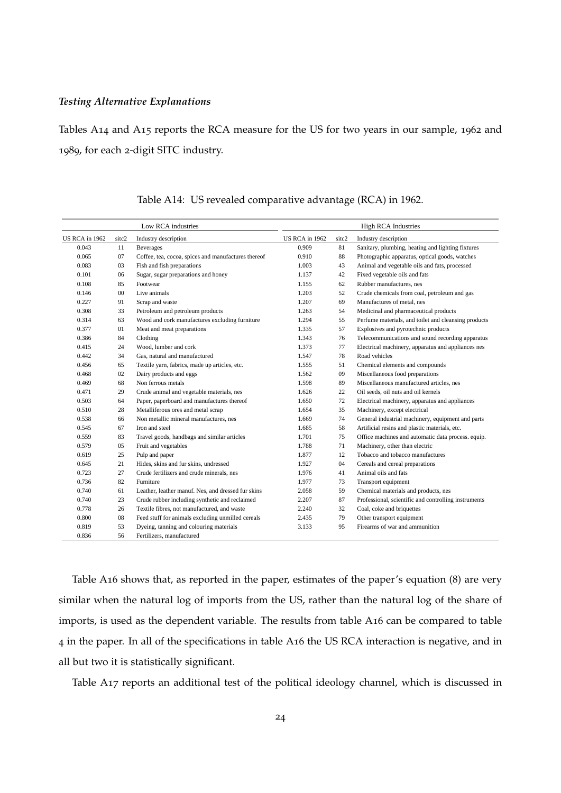#### *Testing Alternative Explanations*

<span id="page-23-0"></span>Tables A[14](#page-23-0) and A[15](#page-24-0) reports the RCA measure for the US for two years in our sample, 1962 and 1989, for each 2-digit SITC industry.

|                |        | Low RCA industries                                  | <b>High RCA Industries</b> |       |                                                      |  |  |
|----------------|--------|-----------------------------------------------------|----------------------------|-------|------------------------------------------------------|--|--|
| US RCA in 1962 | sitc2  | Industry description                                | US RCA in 1962             | sitc2 | Industry description                                 |  |  |
| 0.043          | 11     | <b>Beverages</b>                                    | 0.909                      | 81    | Sanitary, plumbing, heating and lighting fixtures    |  |  |
| 0.065          | 07     | Coffee, tea, cocoa, spices and manufactures thereof | 0.910                      | 88    | Photographic apparatus, optical goods, watches       |  |  |
| 0.083          | 03     | Fish and fish preparations                          | 1.003                      | 43    | Animal and vegetable oils and fats, processed        |  |  |
| 0.101          | 06     | Sugar, sugar preparations and honey                 | 1.137                      | 42    | Fixed vegetable oils and fats                        |  |  |
| 0.108          | 85     | Footwear                                            | 1.155                      | 62    | Rubber manufactures, nes                             |  |  |
| 0.146          | $00\,$ | Live animals                                        | 1.203                      | 52    | Crude chemicals from coal, petroleum and gas         |  |  |
| 0.227          | 91     | Scrap and waste                                     | 1.207                      | 69    | Manufactures of metal, nes                           |  |  |
| 0.308          | 33     | Petroleum and petroleum products                    | 1.263                      | 54    | Medicinal and pharmaceutical products                |  |  |
| 0.314          | 63     | Wood and cork manufactures excluding furniture      | 1.294                      | 55    | Perfume materials, and toilet and cleansing products |  |  |
| 0.377          | 01     | Meat and meat preparations                          | 1.335                      | 57    | Explosives and pyrotechnic products                  |  |  |
| 0.386          | 84     | Clothing                                            | 1.343                      | 76    | Telecommunications and sound recording apparatus     |  |  |
| 0.415          | 24     | Wood, lumber and cork                               | 1.373                      | 77    | Electrical machinery, apparatus and appliances nes   |  |  |
| 0.442          | 34     | Gas, natural and manufactured                       | 1.547                      | 78    | Road vehicles                                        |  |  |
| 0.456          | 65     | Textile yarn, fabrics, made up articles, etc.       | 1.555                      | 51    | Chemical elements and compounds                      |  |  |
| 0.468          | 02     | Dairy products and eggs                             | 1.562                      | 09    | Miscellaneous food preparations                      |  |  |
| 0.469          | 68     | Non ferrous metals                                  | 1.598                      | 89    | Miscellaneous manufactured articles, nes             |  |  |
| 0.471          | 29     | Crude animal and vegetable materials, nes           | 1.626                      | 22    | Oil seeds, oil nuts and oil kernels                  |  |  |
| 0.503          | 64     | Paper, paperboard and manufactures thereof          | 1.650                      | 72    | Electrical machinery, apparatus and appliances       |  |  |
| 0.510          | 28     | Metalliferous ores and metal scrap                  | 1.654                      | 35    | Machinery, except electrical                         |  |  |
| 0.538          | 66     | Non metallic mineral manufactures, nes              | 1.669                      | 74    | General industrial machinery, equipment and parts    |  |  |
| 0.545          | 67     | Iron and steel                                      | 1.685                      | 58    | Artificial resins and plastic materials, etc.        |  |  |
| 0.559          | 83     | Travel goods, handbags and similar articles         | 1.701                      | 75    | Office machines and automatic data process. equip.   |  |  |
| 0.579          | 05     | Fruit and vegetables                                | 1.788                      | 71    | Machinery, other than electric                       |  |  |
| 0.619          | 25     | Pulp and paper                                      | 1.877                      | 12    | Tobacco and tobacco manufactures                     |  |  |
| 0.645          | 21     | Hides, skins and fur skins, undressed               | 1.927                      | 04    | Cereals and cereal preparations                      |  |  |
| 0.723          | 27     | Crude fertilizers and crude minerals, nes           | 1.976                      | 41    | Animal oils and fats                                 |  |  |
| 0.736          | 82     | Furniture                                           | 1.977                      | 73    | Transport equipment                                  |  |  |
| 0.740          | 61     | Leather, leather manuf. Nes, and dressed fur skins  | 2.058                      | 59    | Chemical materials and products, nes                 |  |  |
| 0.740          | 23     | Crude rubber including synthetic and reclaimed      | 2.207                      | 87    | Professional, scientific and controlling instruments |  |  |
| 0.778          | 26     | Textile fibres, not manufactured, and waste         | 2.240                      | 32    | Coal, coke and briquettes                            |  |  |
| 0.800          | 08     | Feed stuff for animals excluding unmilled cereals   | 2.435                      | 79    | Other transport equipment                            |  |  |
| 0.819          | 53     | Dyeing, tanning and colouring materials             | 3.133                      | 95    | Firearms of war and ammunition                       |  |  |
| 0.836          | 56     | Fertilizers, manufactured                           |                            |       |                                                      |  |  |

Table A14: US revealed comparative advantage (RCA) in 1962.

Table A[16](#page-25-0) shows that, as reported in the paper, estimates of the paper's equation (8) are very similar when the natural log of imports from the US, rather than the natural log of the share of imports, is used as the dependent variable. The results from table A[16](#page-25-0) can be compared to table 4 in the paper. In all of the specifications in table A[16](#page-25-0) the US RCA interaction is negative, and in all but two it is statistically significant.

Table A[17](#page-26-0) reports an additional test of the political ideology channel, which is discussed in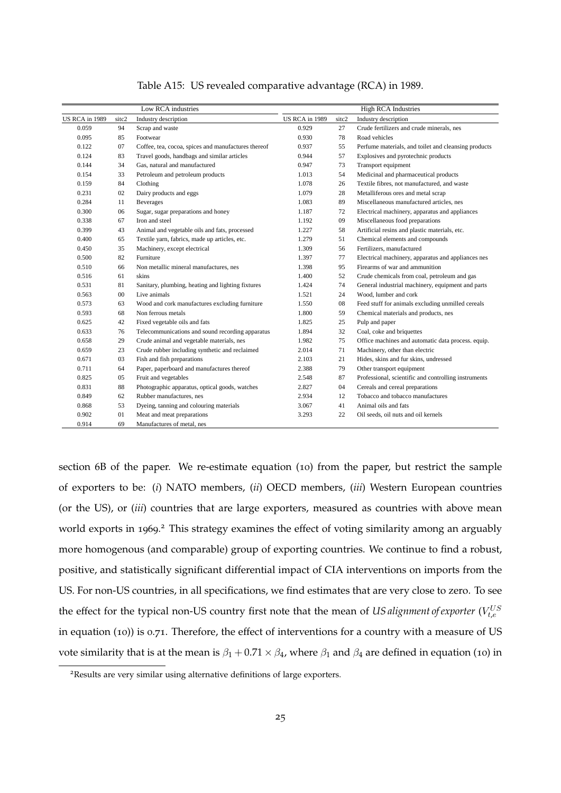<span id="page-24-0"></span>

|                |       | Low RCA industries                                  |                |       | <b>High RCA Industries</b>                           |
|----------------|-------|-----------------------------------------------------|----------------|-------|------------------------------------------------------|
| US RCA in 1989 | sitc2 | Industry description                                | US RCA in 1989 | sitc2 | Industry description                                 |
| 0.059          | 94    | Scrap and waste                                     | 0.929          | 27    | Crude fertilizers and crude minerals, nes            |
| 0.095          | 85    | Footwear                                            | 0.930          | 78    | Road vehicles                                        |
| 0.122          | 07    | Coffee, tea, cocoa, spices and manufactures thereof | 0.937          | 55    | Perfume materials, and toilet and cleansing products |
| 0.124          | 83    | Travel goods, handbags and similar articles         | 0.944          | 57    | Explosives and pyrotechnic products                  |
| 0.144          | 34    | Gas, natural and manufactured                       | 0.947          | 73    | Transport equipment                                  |
| 0.154          | 33    | Petroleum and petroleum products                    | 1.013          | 54    | Medicinal and pharmaceutical products                |
| 0.159          | 84    | Clothing                                            | 1.078          | 26    | Textile fibres, not manufactured, and waste          |
| 0.231          | 02    | Dairy products and eggs                             | 1.079          | 28    | Metalliferous ores and metal scrap                   |
| 0.284          | 11    | <b>Beverages</b>                                    | 1.083          | 89    | Miscellaneous manufactured articles, nes             |
| 0.300          | 06    | Sugar, sugar preparations and honey                 | 1.187          | 72    | Electrical machinery, apparatus and appliances       |
| 0.338          | 67    | Iron and steel                                      | 1.192          | 09    | Miscellaneous food preparations                      |
| 0.399          | 43    | Animal and vegetable oils and fats, processed       | 1.227          | 58    | Artificial resins and plastic materials, etc.        |
| 0.400          | 65    | Textile yarn, fabrics, made up articles, etc.       | 1.279          | 51    | Chemical elements and compounds                      |
| 0.450          | 35    | Machinery, except electrical                        | 1.309          | 56    | Fertilizers, manufactured                            |
| 0.500          | 82    | Furniture                                           | 1.397          | 77    | Electrical machinery, apparatus and appliances nes   |
| 0.510          | 66    | Non metallic mineral manufactures, nes              | 1.398          | 95    | Firearms of war and ammunition                       |
| 0.516          | 61    | skins                                               | 1.400          | 52    | Crude chemicals from coal, petroleum and gas         |
| 0.531          | 81    | Sanitary, plumbing, heating and lighting fixtures   | 1.424          | 74    | General industrial machinery, equipment and parts    |
| 0.563          | 00    | Live animals                                        | 1.521          | 24    | Wood, lumber and cork                                |
| 0.573          | 63    | Wood and cork manufactures excluding furniture      | 1.550          | 08    | Feed stuff for animals excluding unmilled cereals    |
| 0.593          | 68    | Non ferrous metals                                  | 1.800          | 59    | Chemical materials and products, nes                 |
| 0.625          | 42    | Fixed vegetable oils and fats                       | 1.825          | 25    | Pulp and paper                                       |
| 0.633          | 76    | Telecommunications and sound recording apparatus    | 1.894          | 32    | Coal, coke and briquettes                            |
| 0.658          | 29    | Crude animal and vegetable materials, nes           | 1.982          | 75    | Office machines and automatic data process. equip.   |
| 0.659          | 23    | Crude rubber including synthetic and reclaimed      | 2.014          | 71    | Machinery, other than electric                       |
| 0.671          | 03    | Fish and fish preparations                          | 2.103          | 21    | Hides, skins and fur skins, undressed                |
| 0.711          | 64    | Paper, paperboard and manufactures thereof          | 2.388          | 79    | Other transport equipment                            |
| 0.825          | 05    | Fruit and vegetables                                | 2.548          | 87    | Professional, scientific and controlling instruments |
| 0.831          | 88    | Photographic apparatus, optical goods, watches      | 2.827          | 04    | Cereals and cereal preparations                      |
| 0.849          | 62    | Rubber manufactures, nes                            | 2.934          | 12    | Tobacco and tobacco manufactures                     |
| 0.868          | 53    | Dyeing, tanning and colouring materials             | 3.067          | 41    | Animal oils and fats                                 |
| 0.902          | 01    | Meat and meat preparations                          | 3.293          | 22    | Oil seeds, oil nuts and oil kernels                  |
| 0.914          | 69    | Manufactures of metal, nes                          |                |       |                                                      |

Table A15: US revealed comparative advantage (RCA) in 1989.

section 6B of the paper. We re-estimate equation (10) from the paper, but restrict the sample of exporters to be: (*i*) NATO members, (*ii*) OECD members, (*iii*) Western European countries (or the US), or (*iii*) countries that are large exporters, measured as countries with above mean world exports in 1969.<sup>[2](#page-24-1)</sup> This strategy examines the effect of voting similarity among an arguably more homogenous (and comparable) group of exporting countries. We continue to find a robust, positive, and statistically significant differential impact of CIA interventions on imports from the US. For non-US countries, in all specifications, we find estimates that are very close to zero. To see the effect for the typical non-US country first note that the mean of *US alignment of exporter* ( $V_{t,e}^{US}$ in equation (10)) is 0.71. Therefore, the effect of interventions for a country with a measure of US vote similarity that is at the mean is  $\beta_1 + 0.71 \times \beta_4$ , where  $\beta_1$  and  $\beta_4$  are defined in equation (10) in

<span id="page-24-1"></span><sup>2</sup>Results are very similar using alternative definitions of large exporters.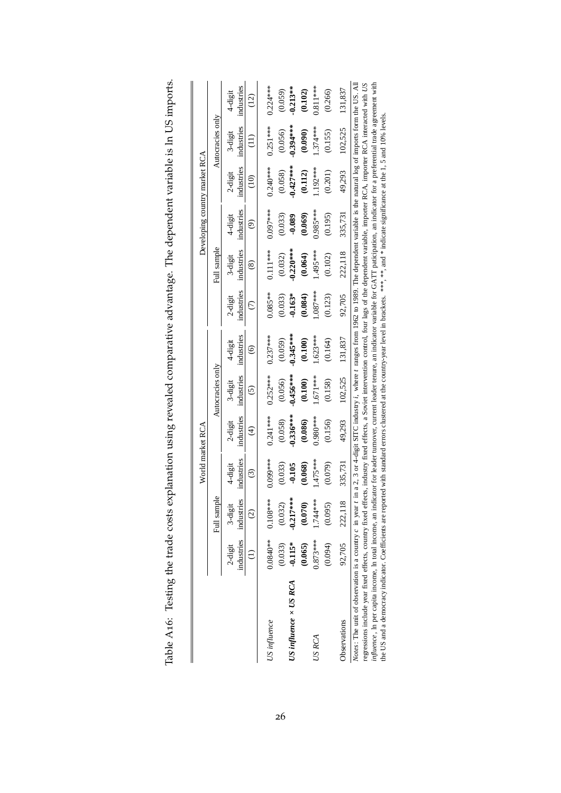|                                                                                                                                                                                                                                                                                                                                                                                                                   |                       |                                         | World market RCA           |                                        |                             |                                            |                       |                            | Developing country market RCA |                       |                       |                                                       |
|-------------------------------------------------------------------------------------------------------------------------------------------------------------------------------------------------------------------------------------------------------------------------------------------------------------------------------------------------------------------------------------------------------------------|-----------------------|-----------------------------------------|----------------------------|----------------------------------------|-----------------------------|--------------------------------------------|-----------------------|----------------------------|-------------------------------|-----------------------|-----------------------|-------------------------------------------------------|
|                                                                                                                                                                                                                                                                                                                                                                                                                   |                       | Full sample                             |                            |                                        | Autocracies only            |                                            |                       | Full sample                |                               |                       | Autocracies only      |                                                       |
|                                                                                                                                                                                                                                                                                                                                                                                                                   | 2-digit               | industries industries<br>3-digit<br>(2) | industries<br>4-digit<br>⊙ | industries<br>2-digit<br>$\widehat{t}$ | industries<br>3-digit<br>ତି | industries<br>4-digit<br>$\widehat{\circ}$ | industries<br>2-digit | industries<br>3-digit<br>@ | industries<br>4-digit<br>ම    | industries<br>2-digit | industries<br>3-digit | industries<br>4-digit<br>$\left( \frac{1}{2} \right)$ |
| US influence                                                                                                                                                                                                                                                                                                                                                                                                      |                       | $0.0840***$ 0.108***                    | 0.099***                   | $0.241***$                             | $0.252***$                  | $0.237***$                                 | $0.085***$            | $0.111***$                 | $0.097***$                    | $0.240***$            | $0.251***$            | $0.224***$                                            |
| US influence $\times$ US RCA                                                                                                                                                                                                                                                                                                                                                                                      | (0.033)<br>$-0.115*$  | (0.032)<br>$-0.217***$                  | $-0.105$<br>(0.033)        | $0.336***$<br>(0.058)                  | $-0.456***$<br>(0.056)      | $0.345***$<br>(0.059)                      | $-0.163*$<br>(0.033)  | $0.220***$<br>(0.032)      | (0.033)<br>$-0.089$           | $0.427***$<br>(0.058) | $0.394***$<br>(0.056) | $0.213**$<br>(0.059)                                  |
| US RCA                                                                                                                                                                                                                                                                                                                                                                                                            | $0.873***$<br>(0.065) | (0.070)<br>1.744 ***                    | 475 ***<br>(0.068)         | 1.980****<br>(0.086)                   | $.671***$<br>(0.100)        | $.623***$<br>(0.100)                       | $.087***$<br>(0.084)  | ****495<br>(0.064)         | $0.985***$<br>(0.069)         | $.192***$<br>(0.112)  | $.374***$<br>(0.090)  | $0.811***$<br>(0.102)                                 |
|                                                                                                                                                                                                                                                                                                                                                                                                                   | (0.094)               | (0.095)                                 | (0.079)                    | (0.156)                                | (0.158)                     | (0.164)                                    | (0.123)               | (0.102)                    | (0.195)                       | (0.201)               | (0.155)               | (0.266)                                               |
| Observations                                                                                                                                                                                                                                                                                                                                                                                                      | 92,705                | 222,118                                 | 335,731                    | 49.293                                 | 102.525                     | 131.837                                    | 92,705                | 222,118                    | 335,731                       | 49,293                | 102.525               | 131,837                                               |
| Notes: The unit of observation is a country c in year t in a 2, 3 or 4-digit SITC industry i, where t ranges from 1962 to 1989. The dependent variable is the natural log of imports form the US. All<br>regressions include year fixed effects, country fixed effects, industry fixed effects, a Soviet intervention control, four lags of the dependent variable, importer RCA, importer RCA interacted with US |                       |                                         |                            |                                        |                             |                                            |                       |                            |                               |                       |                       |                                                       |

<span id="page-25-0"></span>

| くりり                                                                                                            |  |
|----------------------------------------------------------------------------------------------------------------|--|
| j                                                                                                              |  |
| romer I e la ciencia de la companiencia de la contractiva de la contractiva de la contractiva de la contractiv |  |
|                                                                                                                |  |
| ł<br>$\mathbf$                                                                                                 |  |
|                                                                                                                |  |
| $\ddot{\phantom{a}}$<br>$\overline{1}$<br>I                                                                    |  |

*influence* ,

ln per capita income, ln total income, an indicator for leader turnover, current leader tenure, an indicator variable for GATT paticipation, an indicator for

the US and a democracy indicator. Coefficients are reported with standard errors clustered at the country-year level in brackets. \*\*\*, \*\*, and \* indicate significance at the 1, 5 and 10% levels.

 $\mathfrak{a}$ 

preferential trade agreement with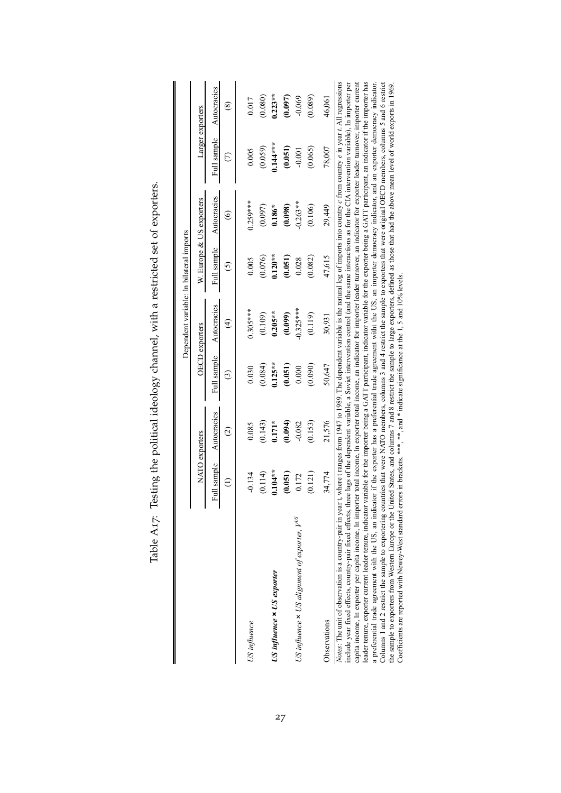<span id="page-26-0"></span>

|                                                                                                                                                                                                                                                                                                                                                                                                                                                                                                                                                                                                                                                                                     |             |                    |             |                       | Dependent variable: In bilateral imports |                                                                                                                                                   |                  |             |
|-------------------------------------------------------------------------------------------------------------------------------------------------------------------------------------------------------------------------------------------------------------------------------------------------------------------------------------------------------------------------------------------------------------------------------------------------------------------------------------------------------------------------------------------------------------------------------------------------------------------------------------------------------------------------------------|-------------|--------------------|-------------|-----------------------|------------------------------------------|---------------------------------------------------------------------------------------------------------------------------------------------------|------------------|-------------|
|                                                                                                                                                                                                                                                                                                                                                                                                                                                                                                                                                                                                                                                                                     |             | NATO exporters     |             | <b>OECD</b> exporters |                                          | W. Europe & US exporters                                                                                                                          | Larger exporters |             |
|                                                                                                                                                                                                                                                                                                                                                                                                                                                                                                                                                                                                                                                                                     | Full sample | Autocracies        | Full sample | Autocracies           | Full sample                              | Autocracies                                                                                                                                       | Full sample      | Autocracies |
|                                                                                                                                                                                                                                                                                                                                                                                                                                                                                                                                                                                                                                                                                     |             | $\widehat{\infty}$ | $\odot$     | $\widehat{t}$         | $\overline{S}$                           | ၜ                                                                                                                                                 | E                | ⊗           |
| US influence                                                                                                                                                                                                                                                                                                                                                                                                                                                                                                                                                                                                                                                                        | $-0.134$    | 0.085              | 0.030       | $0.305***$            | 0.005                                    | $0.259***$                                                                                                                                        | 0.005            | 0.017       |
|                                                                                                                                                                                                                                                                                                                                                                                                                                                                                                                                                                                                                                                                                     | (0.114)     | (0.143)            | (0.084)     | (0.109)               | (0.076)                                  | (0.097)                                                                                                                                           | (0.059)          | (0.080)     |
| US influence x US exporter                                                                                                                                                                                                                                                                                                                                                                                                                                                                                                                                                                                                                                                          | $0.104**$   | $0.171*$           | $0.125**$   | $0.205**$             | $0.120**$                                | $0.186*$                                                                                                                                          | $0.144***$       | $0.223**$   |
|                                                                                                                                                                                                                                                                                                                                                                                                                                                                                                                                                                                                                                                                                     | (0.051)     | (10.094)           | (0.051)     | (0.099)               | (0.051)                                  | (0.098)                                                                                                                                           | (0.051)          | (0.097)     |
| US influence $\times$ US alignment of exporter, $V^{US}$                                                                                                                                                                                                                                                                                                                                                                                                                                                                                                                                                                                                                            | 0.172       | $-0.082$           | 0.000       | $-0.325***$           | 0.028                                    | $-0.263**$                                                                                                                                        | $-0.001$         | $-0.069$    |
|                                                                                                                                                                                                                                                                                                                                                                                                                                                                                                                                                                                                                                                                                     | (0.121)     | (0.153)            | (0.090)     | (0.119)               | (0.082)                                  | (0.106)                                                                                                                                           | (0.065)          | (0.089)     |
| Observations                                                                                                                                                                                                                                                                                                                                                                                                                                                                                                                                                                                                                                                                        | 34,774      | 21,576             | 50,647      | 30,931                | 47,615                                   | 29,449                                                                                                                                            | 78,007           | 46,061      |
| leader tenure, exporter current leader tenure, indicator variable for the importer being a GATT participant, indicator variable for the exporter being a GATT participant, an indicator if the importer has<br>include year fixed effects, country-pair fixed effects, three lags of the dependent variable, a Soviet intervention control (and the same interactions as for the CIA intervention variable), In importer per<br>capita income, In exporter per capita income, In importer total income, In exporter total income, an indicator furnover, an indicator for exporter leader turnover, importer current<br>Notes: The unit of observation is a country-pair in year t, |             |                    |             |                       |                                          | where t ranges from 1947 to 1989. The dependent variable is the natural log of imports into country c from country $e$ in year t. All regressions |                  |             |

Table A17: Testing the political ideology channel, with a restricted set of exporters. Table A17: Testing the political ideology channel, with a restricted set of exporters.

Columns 1 and 2

restrict the sample to exportering countries that were NATO members, columns

the sample to exporters from Western Europe or the United States, and columns

3 and 4

7 and 8

Coefficients are reported with Newey-West standard errors in brackets. \*\*\*, and \* indicate significance at the 1, 5 and 10% levels.

restrict the sample to exporters that were original OECD members, columns

restrict the sample to large exporters, defined as those that had the above mean level of world exports in 1969.

5 and 6 restrict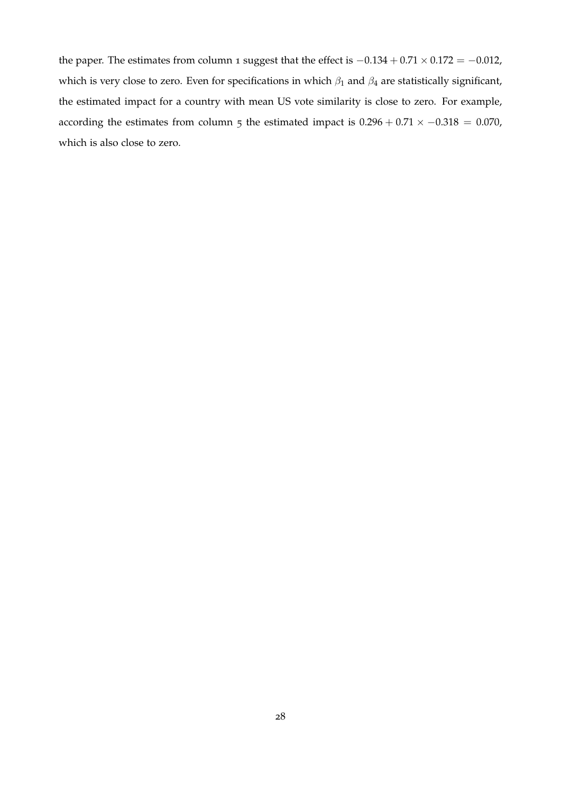the paper. The estimates from column 1 suggest that the effect is  $-0.134 + 0.71 \times 0.172 = -0.012$ , which is very close to zero. Even for specifications in which  $\beta_1$  and  $\beta_4$  are statistically significant, the estimated impact for a country with mean US vote similarity is close to zero. For example, according the estimates from column 5 the estimated impact is  $0.296 + 0.71 \times -0.318 = 0.070$ , which is also close to zero.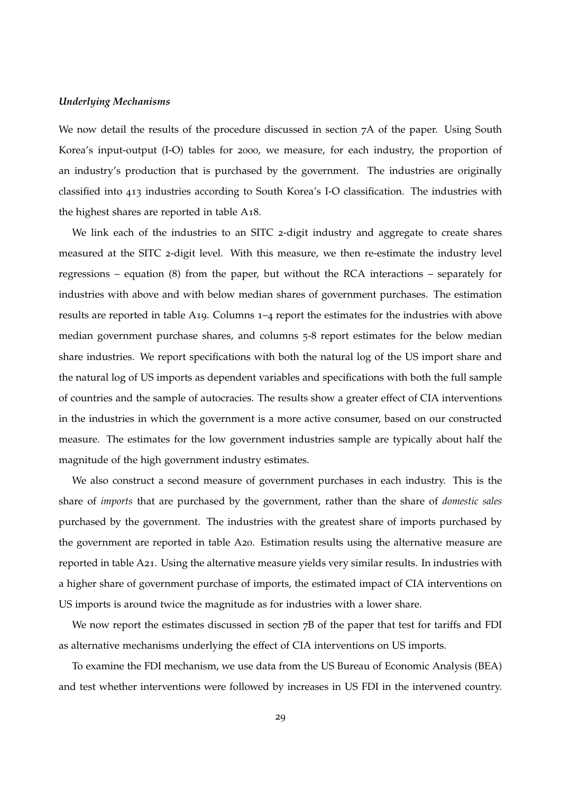#### *Underlying Mechanisms*

We now detail the results of the procedure discussed in section 7A of the paper. Using South Korea's input-output (I-O) tables for 2000, we measure, for each industry, the proportion of an industry's production that is purchased by the government. The industries are originally classified into 413 industries according to South Korea's I-O classification. The industries with the highest shares are reported in table A[18](#page-31-0).

We link each of the industries to an SITC 2-digit industry and aggregate to create shares measured at the SITC 2-digit level. With this measure, we then re-estimate the industry level regressions – equation (8) from the paper, but without the RCA interactions – separately for industries with above and with below median shares of government purchases. The estimation results are reported in table A[19](#page-32-0). Columns 1–4 report the estimates for the industries with above median government purchase shares, and columns 5-8 report estimates for the below median share industries. We report specifications with both the natural log of the US import share and the natural log of US imports as dependent variables and specifications with both the full sample of countries and the sample of autocracies. The results show a greater effect of CIA interventions in the industries in which the government is a more active consumer, based on our constructed measure. The estimates for the low government industries sample are typically about half the magnitude of the high government industry estimates.

We also construct a second measure of government purchases in each industry. This is the share of *imports* that are purchased by the government, rather than the share of *domestic sales* purchased by the government. The industries with the greatest share of imports purchased by the government are reported in table A[20](#page-33-0). Estimation results using the alternative measure are reported in table A[21](#page-34-0). Using the alternative measure yields very similar results. In industries with a higher share of government purchase of imports, the estimated impact of CIA interventions on US imports is around twice the magnitude as for industries with a lower share.

We now report the estimates discussed in section  $7B$  of the paper that test for tariffs and FDI as alternative mechanisms underlying the effect of CIA interventions on US imports.

To examine the FDI mechanism, we use data from the US Bureau of Economic Analysis (BEA) and test whether interventions were followed by increases in US FDI in the intervened country.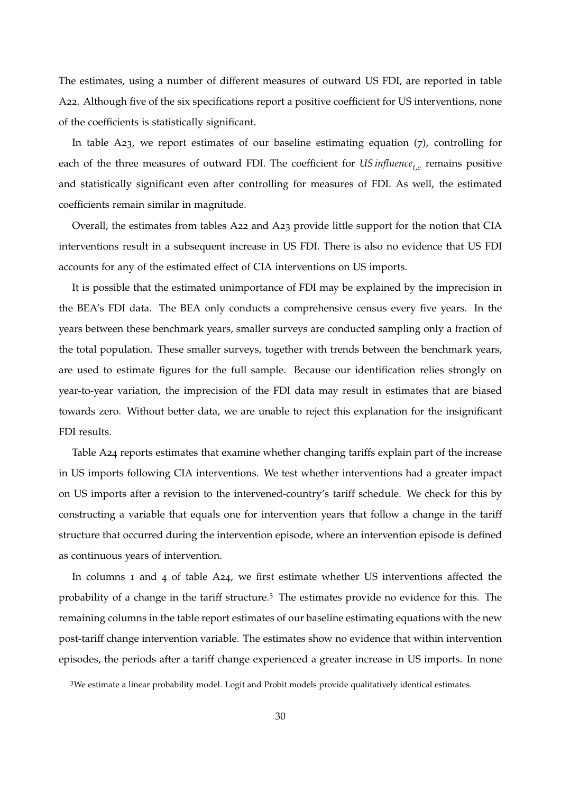The estimates, using a number of different measures of outward US FDI, are reported in table A[22](#page-34-1). Although five of the six specifications report a positive coefficient for US interventions, none of the coefficients is statistically significant.

In table A[23](#page-35-0), we report estimates of our baseline estimating equation (7), controlling for each of the three measures of outward FDI. The coefficient for  $\mathit{US}\ \mathit{influence}_{t,c}$  remains positive and statistically significant even after controlling for measures of FDI. As well, the estimated coefficients remain similar in magnitude.

Overall, the estimates from tables A[22](#page-34-1) and A[23](#page-35-0) provide little support for the notion that CIA interventions result in a subsequent increase in US FDI. There is also no evidence that US FDI accounts for any of the estimated effect of CIA interventions on US imports.

It is possible that the estimated unimportance of FDI may be explained by the imprecision in the BEA's FDI data. The BEA only conducts a comprehensive census every five years. In the years between these benchmark years, smaller surveys are conducted sampling only a fraction of the total population. These smaller surveys, together with trends between the benchmark years, are used to estimate figures for the full sample. Because our identification relies strongly on year-to-year variation, the imprecision of the FDI data may result in estimates that are biased towards zero. Without better data, we are unable to reject this explanation for the insignificant FDI results.

Table A[24](#page-35-1) reports estimates that examine whether changing tariffs explain part of the increase in US imports following CIA interventions. We test whether interventions had a greater impact on US imports after a revision to the intervened-country's tariff schedule. We check for this by constructing a variable that equals one for intervention years that follow a change in the tariff structure that occurred during the intervention episode, where an intervention episode is defined as continuous years of intervention.

In columns 1 and 4 of table A[24](#page-35-1), we first estimate whether US interventions affected the probability of a change in the tariff structure.[3](#page-29-0) The estimates provide no evidence for this. The remaining columns in the table report estimates of our baseline estimating equations with the new post-tariff change intervention variable. The estimates show no evidence that within intervention episodes, the periods after a tariff change experienced a greater increase in US imports. In none

<span id="page-29-0"></span><sup>&</sup>lt;sup>3</sup>We estimate a linear probability model. Logit and Probit models provide qualitatively identical estimates.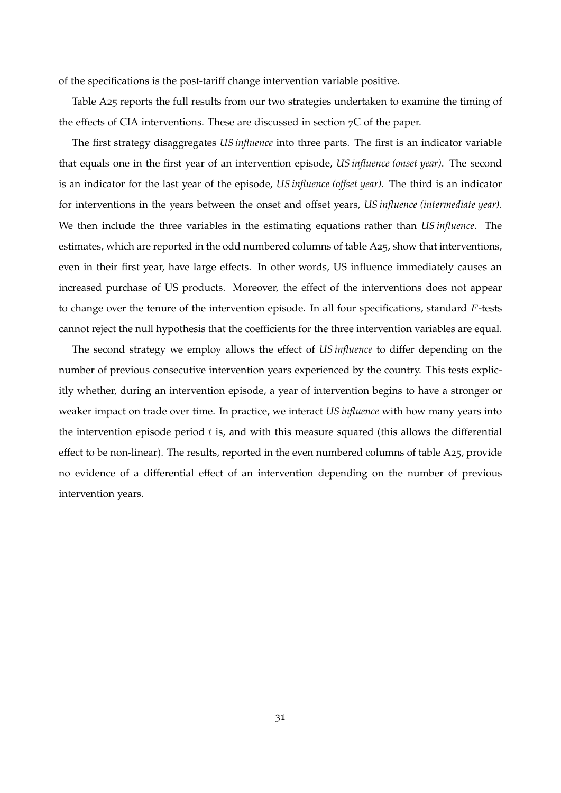of the specifications is the post-tariff change intervention variable positive.

Table A[25](#page-36-0) reports the full results from our two strategies undertaken to examine the timing of the effects of CIA interventions. These are discussed in section 7C of the paper.

The first strategy disaggregates *US influence* into three parts. The first is an indicator variable that equals one in the first year of an intervention episode, *US influence (onset year)*. The second is an indicator for the last year of the episode, *US influence (offset year)*. The third is an indicator for interventions in the years between the onset and offset years, *US influence (intermediate year)*. We then include the three variables in the estimating equations rather than *US influence*. The estimates, which are reported in the odd numbered columns of table A[25](#page-36-0), show that interventions, even in their first year, have large effects. In other words, US influence immediately causes an increased purchase of US products. Moreover, the effect of the interventions does not appear to change over the tenure of the intervention episode. In all four specifications, standard F-tests cannot reject the null hypothesis that the coefficients for the three intervention variables are equal.

The second strategy we employ allows the effect of *US influence* to differ depending on the number of previous consecutive intervention years experienced by the country. This tests explicitly whether, during an intervention episode, a year of intervention begins to have a stronger or weaker impact on trade over time. In practice, we interact *US influence* with how many years into the intervention episode period  $t$  is, and with this measure squared (this allows the differential effect to be non-linear). The results, reported in the even numbered columns of table A[25](#page-36-0), provide no evidence of a differential effect of an intervention depending on the number of previous intervention years.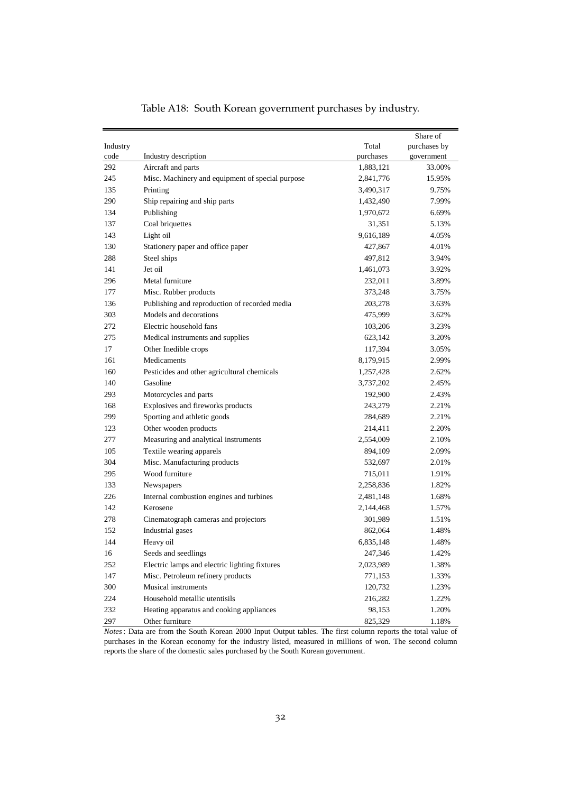<span id="page-31-0"></span>

|          |                                                  |           | Share of     |
|----------|--------------------------------------------------|-----------|--------------|
| Industry |                                                  | Total     | purchases by |
| code     | Industry description                             | purchases | government   |
| 292      | Aircraft and parts                               | 1,883,121 | 33.00%       |
| 245      | Misc. Machinery and equipment of special purpose | 2,841,776 | 15.95%       |
| 135      | Printing                                         | 3,490,317 | 9.75%        |
| 290      | Ship repairing and ship parts                    | 1,432,490 | 7.99%        |
| 134      | Publishing                                       | 1,970,672 | 6.69%        |
| 137      | Coal briquettes                                  | 31,351    | 5.13%        |
| 143      | Light oil                                        | 9,616,189 | 4.05%        |
| 130      | Stationery paper and office paper                | 427,867   | 4.01%        |
| 288      | Steel ships                                      | 497,812   | 3.94%        |
| 141      | Jet oil                                          | 1,461,073 | 3.92%        |
| 296      | Metal furniture                                  | 232,011   | 3.89%        |
| 177      | Misc. Rubber products                            | 373,248   | 3.75%        |
| 136      | Publishing and reproduction of recorded media    | 203,278   | 3.63%        |
| 303      | Models and decorations                           | 475,999   | 3.62%        |
| 272      | Electric household fans                          | 103,206   | 3.23%        |
| 275      | Medical instruments and supplies                 | 623,142   | 3.20%        |
| 17       | Other Inedible crops                             | 117,394   | 3.05%        |
| 161      | Medicaments                                      | 8,179,915 | 2.99%        |
| 160      | Pesticides and other agricultural chemicals      | 1,257,428 | 2.62%        |
| 140      | Gasoline                                         | 3,737,202 | 2.45%        |
| 293      | Motorcycles and parts                            | 192,900   | 2.43%        |
| 168      | Explosives and fireworks products                | 243,279   | 2.21%        |
| 299      | Sporting and athletic goods                      | 284,689   | 2.21%        |
| 123      | Other wooden products                            | 214,411   | 2.20%        |
| 277      | Measuring and analytical instruments             | 2,554,009 | 2.10%        |
| 105      | Textile wearing apparels                         | 894,109   | 2.09%        |
| 304      | Misc. Manufacturing products                     | 532,697   | 2.01%        |
| 295      | Wood furniture                                   | 715,011   | 1.91%        |
| 133      | Newspapers                                       | 2,258,836 | 1.82%        |
| 226      | Internal combustion engines and turbines         | 2,481,148 | 1.68%        |
| 142      | Kerosene                                         | 2,144,468 | 1.57%        |
| 278      | Cinematograph cameras and projectors             | 301,989   | 1.51%        |
| 152      | Industrial gases                                 | 862,064   | 1.48%        |
| 144      | Heavy oil                                        | 6,835,148 | 1.48%        |
| 16       | Seeds and seedlings                              | 247,346   | 1.42%        |
| 252      | Electric lamps and electric lighting fixtures    | 2,023,989 | 1.38%        |
| 147      | Misc. Petroleum refinery products                | 771,153   | 1.33%        |
| 300      | Musical instruments                              | 120,732   | 1.23%        |
| 224      | Household metallic utentisils                    | 216,282   | 1.22%        |
| 232      | Heating apparatus and cooking appliances         | 98,153    | 1.20%        |
| 297      | Other furniture                                  | 825,329   | 1.18%        |

Table A18: South Korean government purchases by industry.

*Notes*: Data are from the South Korean 2000 Input Output tables. The first column reports the total value of purchases in the Korean economy for the industry listed, measured in millions of won. The second column reports the share of the domestic sales purchased by the South Korean government.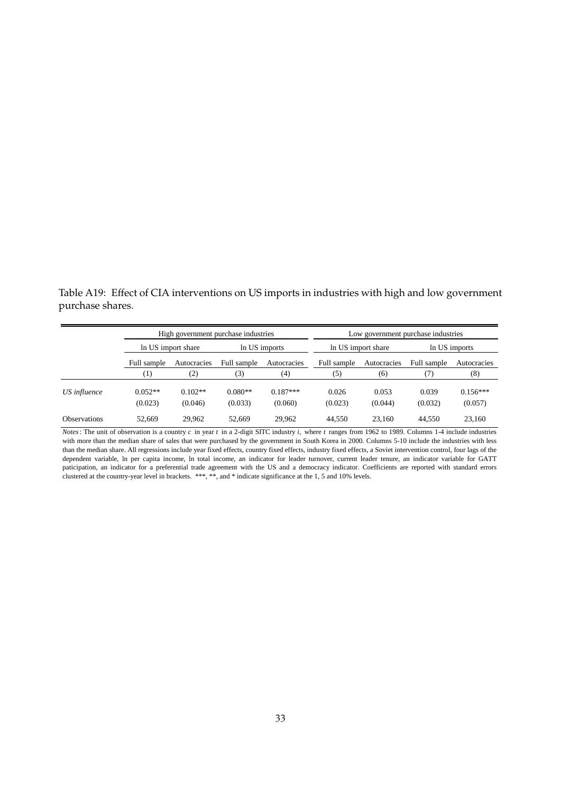<span id="page-32-0"></span>Table A19: Effect of CIA interventions on US imports in industries with high and low government purchase shares.

|                     |                      | High government purchase industries |                      |                       |                  | Low government purchase industries |                  |                       |
|---------------------|----------------------|-------------------------------------|----------------------|-----------------------|------------------|------------------------------------|------------------|-----------------------|
|                     |                      | In US import share                  |                      | In US imports         |                  | In US import share                 |                  | In US imports         |
|                     | Full sample          | Autocracies                         | Full sample          | Autocracies           | Full sample      | Autocracies                        | Full sample      | Autocracies           |
|                     | $\scriptstyle{(1)}$  | $\rm(2)$                            | (3)                  | $\scriptstyle{(4)}$   | (5)              | (6)                                |                  | (8)                   |
| US influence        | $0.052**$<br>(0.023) | $0.102**$<br>(0.046)                | $0.080**$<br>(0.033) | $0.187***$<br>(0.060) | 0.026<br>(0.023) | 0.053<br>(0.044)                   | 0.039<br>(0.032) | $0.156***$<br>(0.057) |
| <b>Observations</b> | 52.669               | 29.962                              | 52.669               | 29.962                | 44.550           | 23.160                             | 44.550           | 23.160                |

*Notes*: The unit of observation is a country *c* in year *t* in a 2-digit SITC industry *i,* where *t* ranges from 1962 to 1989. Columns 1-4 include industries with more than the median share of sales that were purchased by the government in South Korea in 2000. Columns 5-10 include the industries with less than the median share. All regressions include year fixed effects, country fixed effects, industry fixed effects, a Soviet intervention control, four lags of the dependent variable, ln per capita income, ln total income, an indicator for leader turnover, current leader tenure, an indicator variable for GATT paticipation, an indicator for a preferential trade agreement with the US and a democracy indicator. Coefficients are reported with standard errors clustered at the country-year level in brackets. \*\*\*, \*\*, and \* indicate significance at the 1, 5 and 10% levels.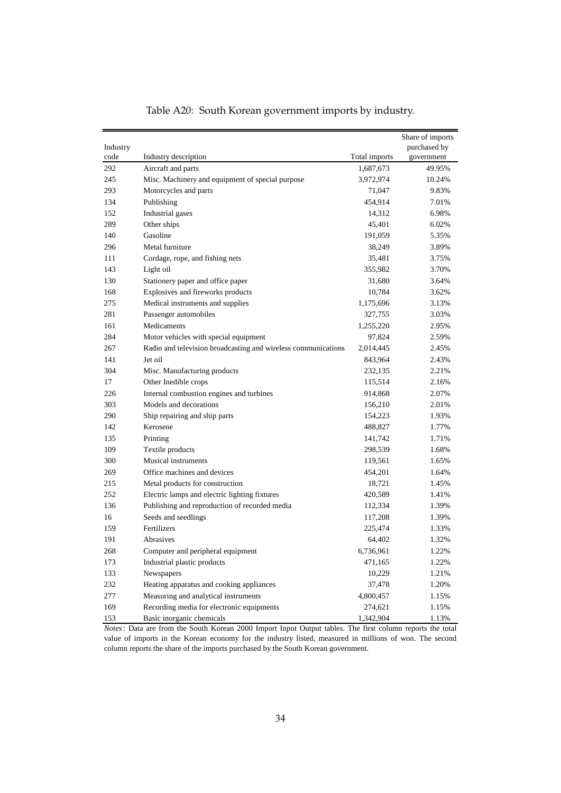<span id="page-33-0"></span>

| Industry |                                                               |               | Share of imports<br>purchased by |
|----------|---------------------------------------------------------------|---------------|----------------------------------|
| code     | Industry description                                          | Total imports | government                       |
| 292      | Aircraft and parts                                            | 1,687,673     | 49.95%                           |
| 245      | Misc. Machinery and equipment of special purpose              | 3,972,974     | 10.24%                           |
| 293      | Motorcycles and parts                                         | 71,047        | 9.83%                            |
| 134      | Publishing                                                    | 454,914       | 7.01%                            |
| 152      | Industrial gases                                              | 14,312        | 6.98%                            |
| 289      | Other ships                                                   | 45,401        | 6.02%                            |
| 140      | Gasoline                                                      | 191,059       | 5.35%                            |
| 296      | Metal furniture                                               | 38,249        | 3.89%                            |
| 111      | Cordage, rope, and fishing nets                               | 35,481        | 3.75%                            |
| 143      | Light oil                                                     | 355,982       | 3.70%                            |
| 130      | Stationery paper and office paper                             | 31,680        | 3.64%                            |
| 168      | Explosives and fireworks products                             | 10,784        | 3.62%                            |
| 275      | Medical instruments and supplies                              | 1,175,696     | 3.13%                            |
| 281      | Passenger automobiles                                         | 327,755       | 3.03%                            |
| 161      | Medicaments                                                   | 1,255,220     | 2.95%                            |
| 284      | Motor vehicles with special equipment                         | 97,824        | 2.59%                            |
| 267      | Radio and television broadcasting and wireless communications | 2,014,445     | 2.45%                            |
| 141      | Jet oil                                                       | 843,964       | 2.43%                            |
| 304      | Misc. Manufacturing products                                  | 232,135       | 2.21%                            |
| 17       | Other Inedible crops                                          | 115,514       | 2.16%                            |
| 226      | Internal combustion engines and turbines                      | 914,868       | 2.07%                            |
| 303      | Models and decorations                                        | 156,210       | 2.01%                            |
| 290      | Ship repairing and ship parts                                 | 154,223       | 1.93%                            |
| 142      | Kerosene                                                      | 488,827       | 1.77%                            |
| 135      | Printing                                                      | 141,742       | 1.71%                            |
| 109      | Textile products                                              | 298,539       | 1.68%                            |
| 300      | Musical instruments                                           | 119,561       | 1.65%                            |
| 269      | Office machines and devices                                   | 454,201       | 1.64%                            |
| 215      | Metal products for construction                               | 18,721        | 1.45%                            |
| 252      | Electric lamps and electric lighting fixtures                 | 420,589       | 1.41%                            |
| 136      | Publishing and reproduction of recorded media                 | 112,334       | 1.39%                            |
| 16       | Seeds and seedlings                                           | 117,208       | 1.39%                            |
| 159      | Fertilizers                                                   | 225,474       | 1.33%                            |
| 191      | Abrasives                                                     | 64,402        | 1.32%                            |
| 268      | Computer and peripheral equipment                             | 6,736,961     | 1.22%                            |
| 173      | Industrial plastic products                                   | 471,165       | 1.22%                            |
| 133      | Newspapers                                                    | 10,229        | 1.21%                            |
| 232      | Heating apparatus and cooking appliances                      | 37,478        | 1.20%                            |
| 277      | Measuring and analytical instruments                          | 4,800,457     | 1.15%                            |
| 169      | Recording media for electronic equipments                     | 274,621       | 1.15%                            |
| 153      | Basic inorganic chemicals                                     | 1,342,904     | 1.13%                            |

Table A20: South Korean government imports by industry.

*Notes*: Data are from the South Korean 2000 Import Input Output tables. The first column reports the total value of imports in the Korean economy for the industry listed, measured in millions of won. The second column reports the share of the imports purchased by the South Korean government.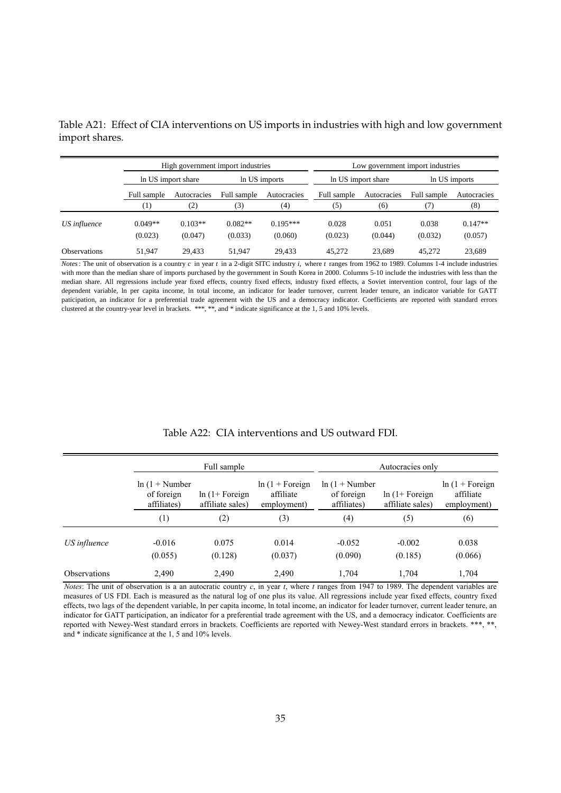|                     |                  | High government import industries |             |               | Low government import industries |                    |             |               |
|---------------------|------------------|-----------------------------------|-------------|---------------|----------------------------------|--------------------|-------------|---------------|
|                     |                  | In US import share                |             | In US imports |                                  | In US import share |             | In US imports |
|                     | Full sample      | Autocracies                       | Full sample | Autocracies   | Full sample                      | Autocracies        | Full sample | Autocracies   |
|                     | $\left(1\right)$ | (2)                               | (3)         | (4)           | (5)                              | (6)                | (7)         | (8)           |
| US influence        | $0.049**$        | $0.103**$                         | $0.082**$   | $0.195***$    | 0.028                            | 0.051              | 0.038       | $0.147**$     |
|                     | (0.023)          | (0.047)                           | (0.033)     | (0.060)       | (0.023)                          | (0.044)            | (0.032)     | (0.057)       |
| <b>Observations</b> | 51.947           | 29.433                            | 51.947      | 29.433        | 45.272                           | 23,689             | 45,272      | 23,689        |

<span id="page-34-0"></span>Table A21: Effect of CIA interventions on US imports in industries with high and low government import shares.

*Notes*: The unit of observation is a country *c* in year *t* in a 2-digit SITC industry *i,* where *t* ranges from 1962 to 1989. Columns 1-4 include industries with more than the median share of imports purchased by the government in South Korea in 2000. Columns 5-10 include the industries with less than the median share. All regressions include year fixed effects, country fixed effects, industry fixed effects, a Soviet intervention control, four lags of the dependent variable, ln per capita income, ln total income, an indicator for leader turnover, current leader tenure, an indicator variable for GATT paticipation, an indicator for a preferential trade agreement with the US and a democracy indicator. Coefficients are reported with standard errors clustered at the country-year level in brackets. \*\*\*, \*\*, and \* indicate significance at the 1, 5 and 10% levels.

<span id="page-34-1"></span>

|                     |                                               | Full sample                           |                                               |                                               | Autocracies only                      |                                               |
|---------------------|-----------------------------------------------|---------------------------------------|-----------------------------------------------|-----------------------------------------------|---------------------------------------|-----------------------------------------------|
|                     | $ln(1 + Number)$<br>of foreign<br>affiliates) | $ln(1 + Foreign)$<br>affiliate sales) | $ln(1 + Foreign)$<br>affiliate<br>employment) | $ln(1 + Number)$<br>of foreign<br>affiliates) | $ln(1 + Foreign)$<br>affiliate sales) | $ln(1 + Foreign)$<br>affiliate<br>employment) |
|                     | (1)                                           | (2)                                   | (3)                                           | (4)                                           | (5)                                   | (6)                                           |
| US influence        | $-0.016$<br>(0.055)                           | 0.075<br>(0.128)                      | 0.014<br>(0.037)                              | $-0.052$<br>(0.090)                           | $-0.002$<br>(0.185)                   | 0.038<br>(0.066)                              |
| <b>Observations</b> | 2.490                                         | 2.490                                 | 2,490                                         | 1.704                                         | 1.704                                 | 1,704                                         |

#### Table A22: CIA interventions and US outward FDI.

*Notes*: The unit of observation is a an autocratic country *c*, in year *t*, where *t* ranges from 1947 to 1989. The dependent variables are measures of US FDI. Each is measured as the natural log of one plus its value. All regressions include year fixed effects, country fixed effects, two lags of the dependent variable, ln per capita income, ln total income, an indicator for leader turnover, current leader tenure, an indicator for GATT participation, an indicator for a preferential trade agreement with the US, and a democracy indicator. Coefficients are reported with Newey-West standard errors in brackets. Coefficients are reported with Newey-West standard errors in brackets. \*\*\*, \*\*, and \* indicate significance at the 1, 5 and 10% levels.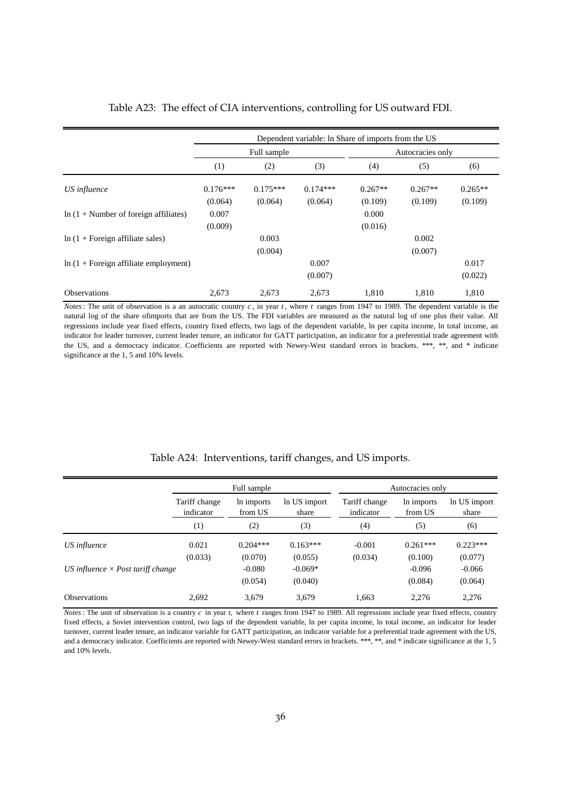|                                                | Dependent variable: In Share of imports from the US |            |            |                  |           |           |  |
|------------------------------------------------|-----------------------------------------------------|------------|------------|------------------|-----------|-----------|--|
|                                                | Full sample                                         |            |            | Autocracies only |           |           |  |
|                                                | (1)                                                 | (2)        | (3)        | (4)              | (5)       | (6)       |  |
| US influence                                   | $0.176***$                                          | $0.175***$ | $0.174***$ | $0.267**$        | $0.267**$ | $0.265**$ |  |
|                                                | (0.064)                                             | (0.064)    | (0.064)    | (0.109)          | (0.109)   | (0.109)   |  |
| $\ln(1 + \text{Number of foreign affiliates})$ | 0.007                                               |            |            | 0.000            |           |           |  |
|                                                | (0.009)                                             |            |            | (0.016)          |           |           |  |
| $\ln(1 + \text{Foreign affiliate sales})$      |                                                     | 0.003      |            |                  | 0.002     |           |  |
|                                                |                                                     | (0.004)    |            |                  | (0.007)   |           |  |
| $\ln(1 + \text{Foreign affiliate employment})$ |                                                     |            | 0.007      |                  |           | 0.017     |  |
|                                                |                                                     |            | (0.007)    |                  |           | (0.022)   |  |
| <b>Observations</b>                            | 2,673                                               | 2,673      | 2,673      | 1,810            | 1.810     | 1,810     |  |

#### <span id="page-35-0"></span>Table A23: The effect of CIA interventions, controlling for US outward FDI.

*Notes*: The unit of observation is a an autocratic country *c*, in year *t*, where *t* ranges from 1947 to 1989. The dependent variable is the natural log of the share ofimports that are from the US. The FDI variables are measured as the natural log of one plus their value. All regressions include year fixed effects, country fixed effects, two lags of the dependent variable, ln per capita income, ln total income, an indicator for leader turnover, current leader tenure, an indicator for GATT participation, an indicator for a preferential trade agreement with the US, and a democracy indicator. Coefficients are reported with Newey-West standard errors in brackets. \*\*\*, \*\*, and \* indicate significance at the 1, 5 and 10% levels.

<span id="page-35-1"></span>

|                                          | Full sample                |                       |                       | Autocracies only           |                       |                       |  |
|------------------------------------------|----------------------------|-----------------------|-----------------------|----------------------------|-----------------------|-----------------------|--|
|                                          | Tariff change<br>indicator | In imports<br>from US | In US import<br>share | Tariff change<br>indicator | In imports<br>from US | In US import<br>share |  |
|                                          | (1)                        | (2)                   | (3)                   | (4)                        | (5)                   | (6)                   |  |
| US influence                             | 0.021                      | $0.204***$            | $0.163***$            | $-0.001$                   | $0.261***$            | $0.223***$            |  |
| US influence $\times$ Post tariff change | (0.033)                    | (0.070)<br>$-0.080$   | (0.055)<br>$-0.069*$  | (0.034)                    | (0.100)<br>$-0.096$   | (0.077)<br>$-0.066$   |  |
|                                          |                            | (0.054)               | (0.040)               |                            | (0.084)               | (0.064)               |  |
| <b>Observations</b>                      | 2,692                      | 3,679                 | 3.679                 | 1.663                      | 2,276                 | 2,276                 |  |

#### Table A24: Interventions, tariff changes, and US imports.

*Notes*: The unit of observation is a country *c* in year *t,* where *t* ranges from 1947 to 1989. All regressions include year fixed effects, country fixed effects, a Soviet intervention control, two lags of the dependent variable, ln per capita income, ln total income, an indicator for leader turnover, current leader tenure, an indicator variable for GATT participation, an indicator variable for a preferential trade agreement with the US, and a democracy indicator. Coefficients are reported with Newey-West standard errors in brackets. \*\*\*, \*\*, and \* indicate significance at the 1, 5 and 10% levels.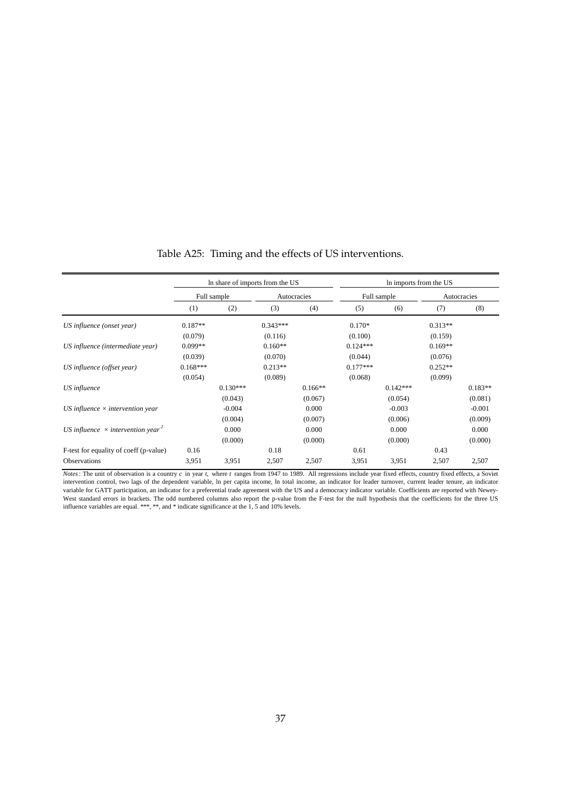<span id="page-36-0"></span>

|                                                      | In share of imports from the US |            |             |           | In imports from the US |            |             |           |
|------------------------------------------------------|---------------------------------|------------|-------------|-----------|------------------------|------------|-------------|-----------|
|                                                      | Full sample                     |            | Autocracies |           | Full sample            |            | Autocracies |           |
|                                                      | (1)                             | (2)        | (3)         | (4)       | (5)                    | (6)        | (7)         | (8)       |
| US influence (onset year)                            | $0.187**$                       |            | $0.343***$  |           | $0.170*$               |            | $0.313**$   |           |
|                                                      | (0.079)                         |            | (0.116)     |           | (0.100)                |            | (0.159)     |           |
| US influence (intermediate year)                     | $0.099**$                       |            | $0.160**$   |           | $0.124***$             |            | $0.169**$   |           |
|                                                      | (0.039)                         |            | (0.070)     |           | (0.044)                |            | (0.076)     |           |
| US influence (offset year)                           | $0.168***$                      |            | $0.213**$   |           | $0.177***$             |            | $0.252**$   |           |
|                                                      | (0.054)                         |            | (0.089)     |           | (0.068)                |            | (0.099)     |           |
| US influence                                         |                                 | $0.130***$ |             | $0.166**$ |                        | $0.142***$ |             | $0.183**$ |
|                                                      |                                 | (0.043)    |             | (0.067)   |                        | (0.054)    |             | (0.081)   |
| US influence $\times$ intervention year              |                                 | $-0.004$   |             | 0.000     |                        | $-0.003$   |             | $-0.001$  |
|                                                      |                                 | (0.004)    |             | (0.007)   |                        | (0.006)    |             | (0.009)   |
| US influence $\times$ intervention year <sup>2</sup> |                                 | 0.000      |             | 0.000     |                        | 0.000      |             | 0.000     |
|                                                      |                                 | (0.000)    |             | (0.000)   |                        | (0.000)    |             | (0.000)   |
| F-test for equality of coeff (p-value)               | 0.16                            |            | 0.18        |           | 0.61                   |            | 0.43        |           |
| <b>Observations</b>                                  | 3,951                           | 3,951      | 2,507       | 2,507     | 3,951                  | 3,951      | 2,507       | 2,507     |

Table A25: Timing and the effects of US interventions.

*Notes*: The unit of observation is a country *c* in year *t,* where *t* ranges from 1947 to 1989. All regressions include year fixed effects, country fixed effects, a Soviet intervention control, two lags of the dependent variable, ln per capita income, ln total income, an indicator for leader turnover, current leader tenure, an indicator variable for GATT participation, an indicator for a preferential trade agreement with the US and a democracy indicator variable. Coefficients are reported with Newey-West standard errors in brackets. The odd numbered columns also report the p-value from the F-test for the null hypothesis that the coefficients for the three US influence variables are equal. \*\*\*, \*\*, and \* indicate significance at the 1, 5 and 10% levels.